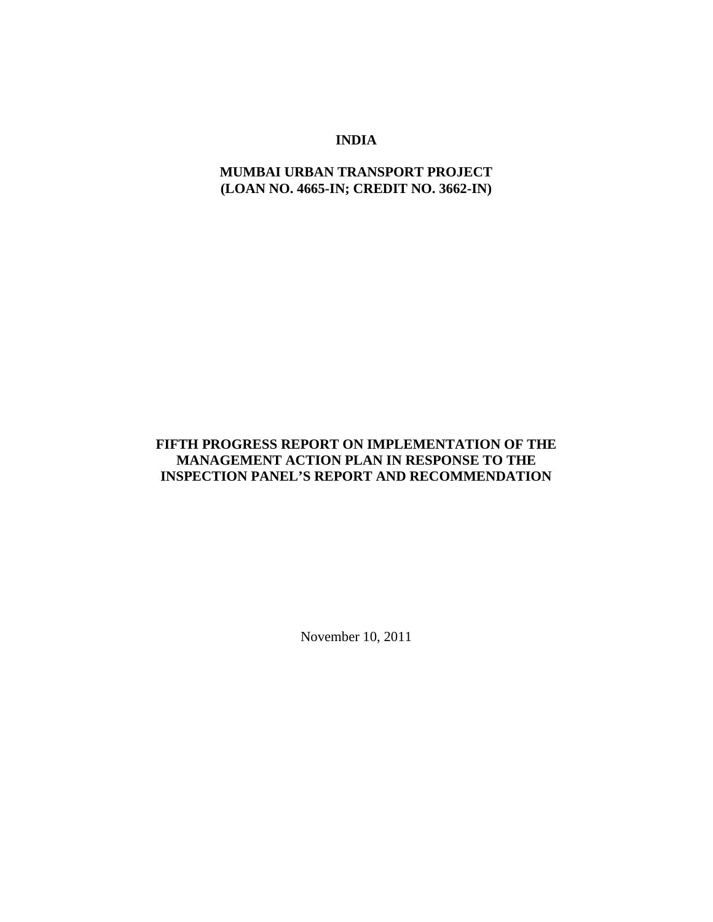## **INDIA**

## **MUMBAI URBAN TRANSPORT PROJECT (LOAN NO. 4665-IN; CREDIT NO. 3662-IN)**

## **FIFTH PROGRESS REPORT ON IMPLEMENTATION OF THE MANAGEMENT ACTION PLAN IN RESPONSE TO THE INSPECTION PANEL'S REPORT AND RECOMMENDATION**

November 10, 2011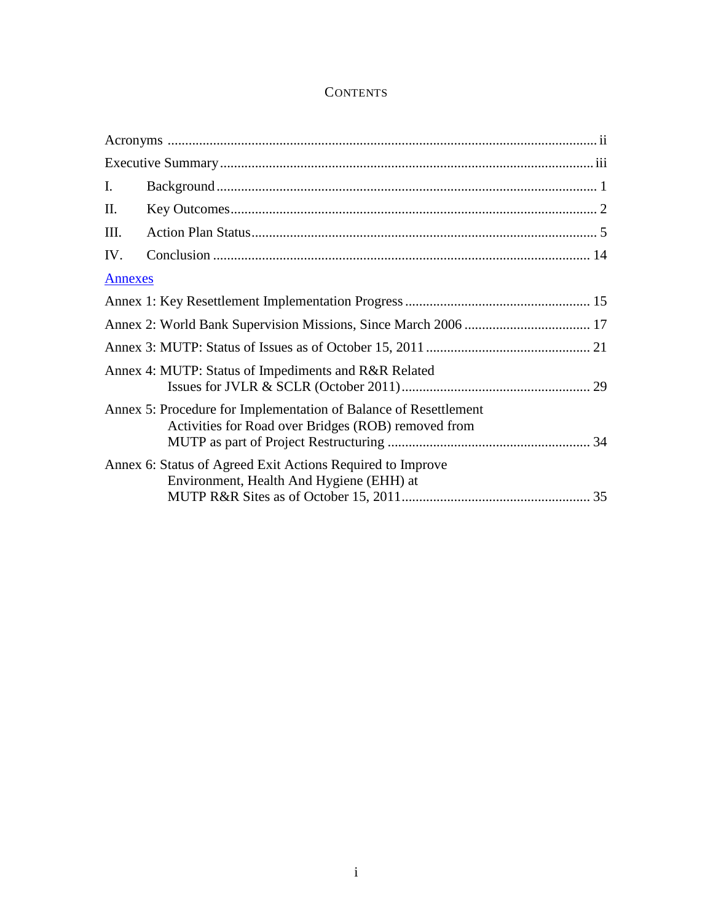# **CONTENTS**

| I.             |                                                                                                                         |  |
|----------------|-------------------------------------------------------------------------------------------------------------------------|--|
| Π.             |                                                                                                                         |  |
| III.           |                                                                                                                         |  |
| IV.            |                                                                                                                         |  |
| <b>Annexes</b> |                                                                                                                         |  |
|                |                                                                                                                         |  |
|                |                                                                                                                         |  |
|                |                                                                                                                         |  |
|                | Annex 4: MUTP: Status of Impediments and R&R Related                                                                    |  |
|                | Annex 5: Procedure for Implementation of Balance of Resettlement<br>Activities for Road over Bridges (ROB) removed from |  |
|                | Annex 6: Status of Agreed Exit Actions Required to Improve<br>Environment, Health And Hygiene (EHH) at                  |  |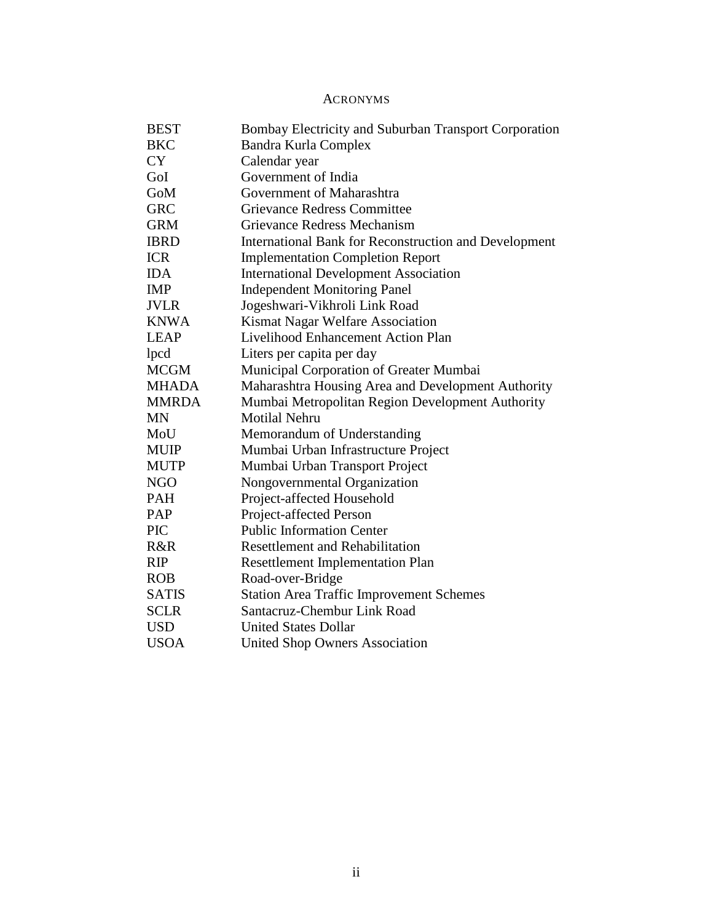## ACRONYMS

<span id="page-3-0"></span>

| <b>BEST</b>  | Bombay Electricity and Suburban Transport Corporation |
|--------------|-------------------------------------------------------|
| <b>BKC</b>   | Bandra Kurla Complex                                  |
| <b>CY</b>    | Calendar year                                         |
| GoI          | Government of India                                   |
| GoM          | Government of Maharashtra                             |
| <b>GRC</b>   | <b>Grievance Redress Committee</b>                    |
| <b>GRM</b>   | Grievance Redress Mechanism                           |
| <b>IBRD</b>  | International Bank for Reconstruction and Development |
| <b>ICR</b>   | <b>Implementation Completion Report</b>               |
| <b>IDA</b>   | <b>International Development Association</b>          |
| <b>IMP</b>   | <b>Independent Monitoring Panel</b>                   |
| <b>JVLR</b>  | Jogeshwari-Vikhroli Link Road                         |
| <b>KNWA</b>  | Kismat Nagar Welfare Association                      |
| <b>LEAP</b>  | Livelihood Enhancement Action Plan                    |
| lpcd         | Liters per capita per day                             |
| <b>MCGM</b>  | Municipal Corporation of Greater Mumbai               |
| <b>MHADA</b> | Maharashtra Housing Area and Development Authority    |
| <b>MMRDA</b> | Mumbai Metropolitan Region Development Authority      |
| <b>MN</b>    | Motilal Nehru                                         |
| MoU          | Memorandum of Understanding                           |
| <b>MUIP</b>  | Mumbai Urban Infrastructure Project                   |
| <b>MUTP</b>  | Mumbai Urban Transport Project                        |
| <b>NGO</b>   | Nongovernmental Organization                          |
| <b>PAH</b>   | Project-affected Household                            |
| PAP          | Project-affected Person                               |
| <b>PIC</b>   | <b>Public Information Center</b>                      |
| R&R          | <b>Resettlement and Rehabilitation</b>                |
| <b>RIP</b>   | <b>Resettlement Implementation Plan</b>               |
| <b>ROB</b>   | Road-over-Bridge                                      |
| <b>SATIS</b> | <b>Station Area Traffic Improvement Schemes</b>       |
| <b>SCLR</b>  | Santacruz-Chembur Link Road                           |
| <b>USD</b>   | <b>United States Dollar</b>                           |
| <b>USOA</b>  | <b>United Shop Owners Association</b>                 |
|              |                                                       |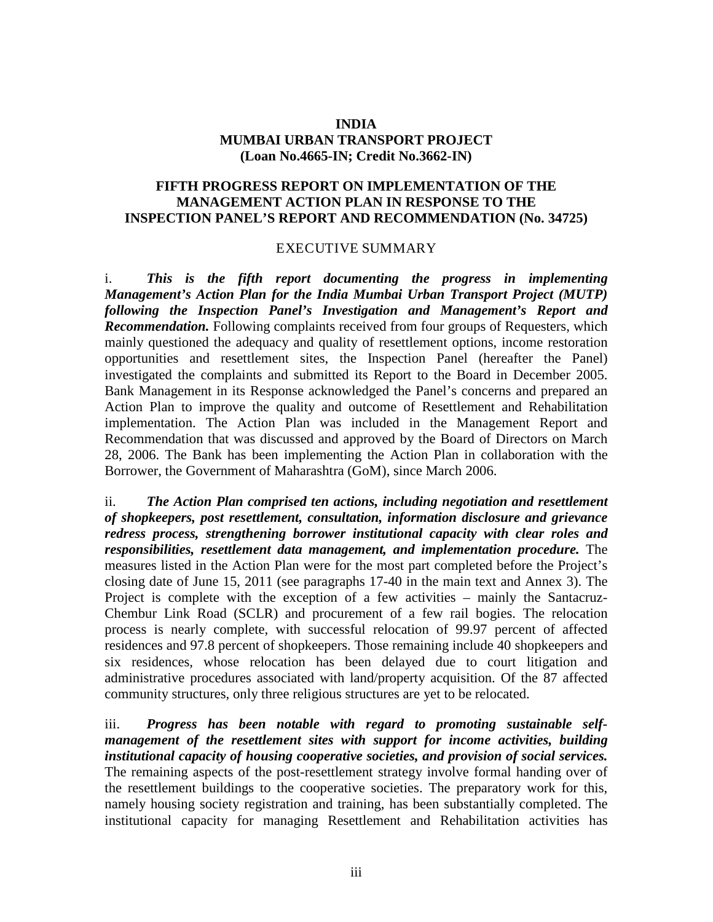## **INDIA MUMBAI URBAN TRANSPORT PROJECT (Loan No.4665-IN; Credit No.3662-IN)**

## **FIFTH PROGRESS REPORT ON IMPLEMENTATION OF THE MANAGEMENT ACTION PLAN IN RESPONSE TO THE INSPECTION PANEL'S REPORT AND RECOMMENDATION (No. 34725)**

## EXECUTIVE SUMMARY

<span id="page-4-0"></span>i. *This is the fifth report documenting the progress in implementing Management's Action Plan for the India Mumbai Urban Transport Project (MUTP) following the Inspection Panel's Investigation and Management's Report and Recommendation.* Following complaints received from four groups of Requesters, which mainly questioned the adequacy and quality of resettlement options, income restoration opportunities and resettlement sites, the Inspection Panel (hereafter the Panel) investigated the complaints and submitted its Report to the Board in December 2005. Bank Management in its Response acknowledged the Panel's concerns and prepared an Action Plan to improve the quality and outcome of Resettlement and Rehabilitation implementation. The Action Plan was included in the Management Report and Recommendation that was discussed and approved by the Board of Directors on March 28, 2006. The Bank has been implementing the Action Plan in collaboration with the Borrower, the Government of Maharashtra (GoM), since March 2006.

ii. *The Action Plan comprised ten actions, including negotiation and resettlement of shopkeepers, post resettlement, consultation, information disclosure and grievance redress process, strengthening borrower institutional capacity with clear roles and responsibilities, resettlement data management, and implementation procedure.* The measures listed in the Action Plan were for the most part completed before the Project's closing date of June 15, 2011 (see paragraphs 17-40 in the main text and Annex 3). The Project is complete with the exception of a few activities – mainly the Santacruz-Chembur Link Road (SCLR) and procurement of a few rail bogies. The relocation process is nearly complete, with successful relocation of 99.97 percent of affected residences and 97.8 percent of shopkeepers. Those remaining include 40 shopkeepers and six residences, whose relocation has been delayed due to court litigation and administrative procedures associated with land/property acquisition. Of the 87 affected community structures, only three religious structures are yet to be relocated.

iii. *Progress has been notable with regard to promoting sustainable selfmanagement of the resettlement sites with support for income activities, building institutional capacity of housing cooperative societies, and provision of social services.* The remaining aspects of the post-resettlement strategy involve formal handing over of the resettlement buildings to the cooperative societies. The preparatory work for this, namely housing society registration and training, has been substantially completed. The institutional capacity for managing Resettlement and Rehabilitation activities has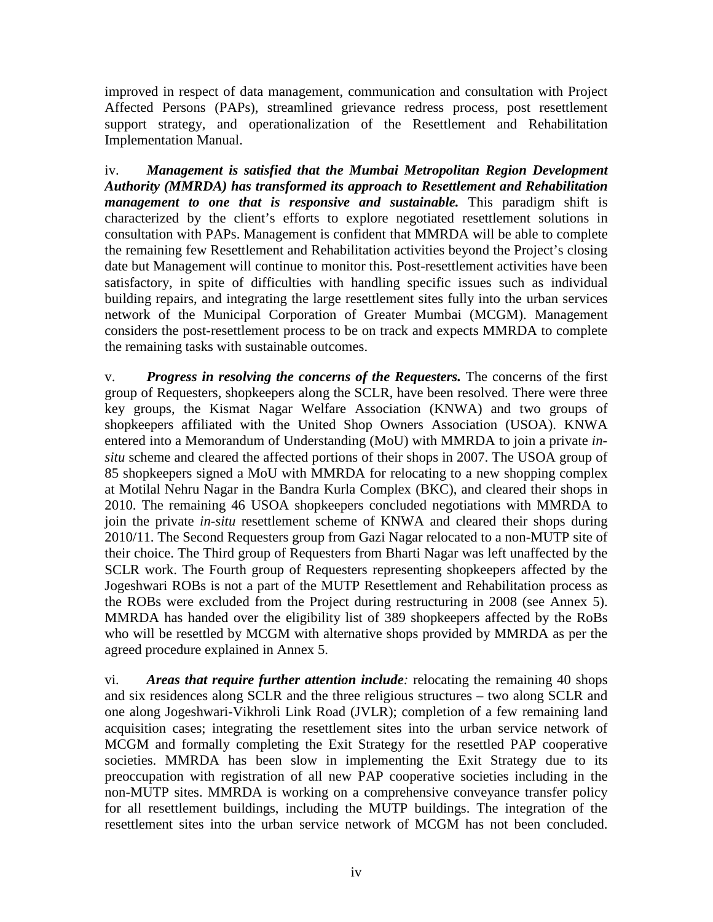improved in respect of data management, communication and consultation with Project Affected Persons (PAPs), streamlined grievance redress process, post resettlement support strategy, and operationalization of the Resettlement and Rehabilitation Implementation Manual.

iv. *Management is satisfied that the Mumbai Metropolitan Region Development Authority (MMRDA) has transformed its approach to Resettlement and Rehabilitation management to one that is responsive and sustainable.* This paradigm shift is characterized by the client's efforts to explore negotiated resettlement solutions in consultation with PAPs. Management is confident that MMRDA will be able to complete the remaining few Resettlement and Rehabilitation activities beyond the Project's closing date but Management will continue to monitor this. Post-resettlement activities have been satisfactory, in spite of difficulties with handling specific issues such as individual building repairs, and integrating the large resettlement sites fully into the urban services network of the Municipal Corporation of Greater Mumbai (MCGM). Management considers the post-resettlement process to be on track and expects MMRDA to complete the remaining tasks with sustainable outcomes.

v. *Progress in resolving the concerns of the Requesters.* The concerns of the first group of Requesters, shopkeepers along the SCLR, have been resolved. There were three key groups, the Kismat Nagar Welfare Association (KNWA) and two groups of shopkeepers affiliated with the United Shop Owners Association (USOA). KNWA entered into a Memorandum of Understanding (MoU) with MMRDA to join a private *insitu* scheme and cleared the affected portions of their shops in 2007. The USOA group of 85 shopkeepers signed a MoU with MMRDA for relocating to a new shopping complex at Motilal Nehru Nagar in the Bandra Kurla Complex (BKC), and cleared their shops in 2010. The remaining 46 USOA shopkeepers concluded negotiations with MMRDA to join the private *in-situ* resettlement scheme of KNWA and cleared their shops during 2010/11. The Second Requesters group from Gazi Nagar relocated to a non-MUTP site of their choice. The Third group of Requesters from Bharti Nagar was left unaffected by the SCLR work. The Fourth group of Requesters representing shopkeepers affected by the Jogeshwari ROBs is not a part of the MUTP Resettlement and Rehabilitation process as the ROBs were excluded from the Project during restructuring in 2008 (see Annex 5). MMRDA has handed over the eligibility list of 389 shopkeepers affected by the RoBs who will be resettled by MCGM with alternative shops provided by MMRDA as per the agreed procedure explained in Annex 5.

vi. *Areas that require further attention include:* relocating the remaining 40 shops and six residences along SCLR and the three religious structures – two along SCLR and one along Jogeshwari-Vikhroli Link Road (JVLR); completion of a few remaining land acquisition cases; integrating the resettlement sites into the urban service network of MCGM and formally completing the Exit Strategy for the resettled PAP cooperative societies. MMRDA has been slow in implementing the Exit Strategy due to its preoccupation with registration of all new PAP cooperative societies including in the non-MUTP sites. MMRDA is working on a comprehensive conveyance transfer policy for all resettlement buildings, including the MUTP buildings. The integration of the resettlement sites into the urban service network of MCGM has not been concluded.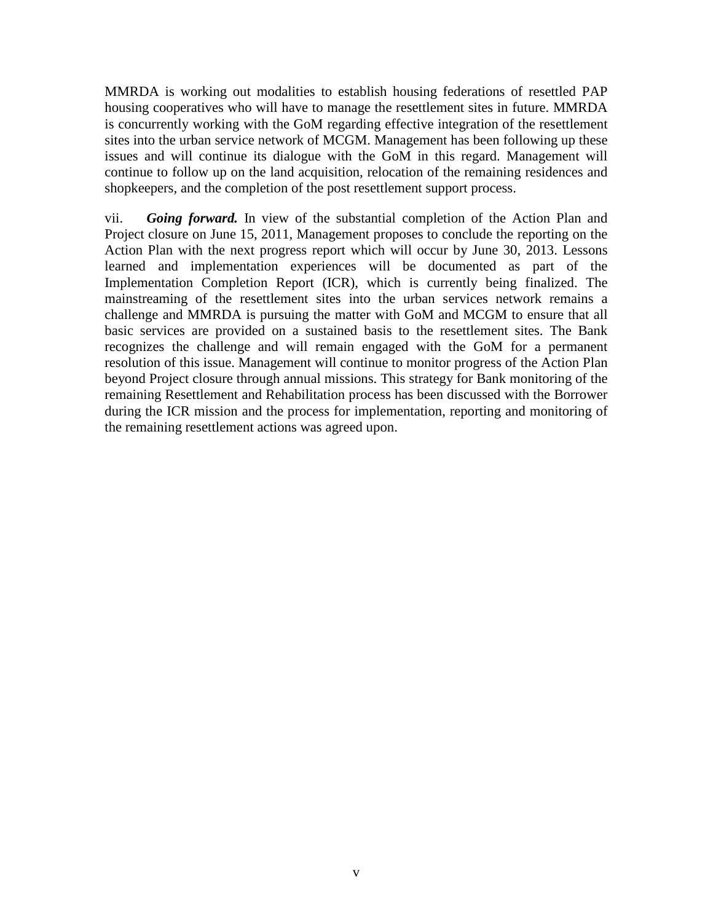MMRDA is working out modalities to establish housing federations of resettled PAP housing cooperatives who will have to manage the resettlement sites in future. MMRDA is concurrently working with the GoM regarding effective integration of the resettlement sites into the urban service network of MCGM. Management has been following up these issues and will continue its dialogue with the GoM in this regard. Management will continue to follow up on the land acquisition, relocation of the remaining residences and shopkeepers, and the completion of the post resettlement support process.

vii. *Going forward.* In view of the substantial completion of the Action Plan and Project closure on June 15, 2011, Management proposes to conclude the reporting on the Action Plan with the next progress report which will occur by June 30, 2013. Lessons learned and implementation experiences will be documented as part of the Implementation Completion Report (ICR), which is currently being finalized. The mainstreaming of the resettlement sites into the urban services network remains a challenge and MMRDA is pursuing the matter with GoM and MCGM to ensure that all basic services are provided on a sustained basis to the resettlement sites. The Bank recognizes the challenge and will remain engaged with the GoM for a permanent resolution of this issue. Management will continue to monitor progress of the Action Plan beyond Project closure through annual missions. This strategy for Bank monitoring of the remaining Resettlement and Rehabilitation process has been discussed with the Borrower during the ICR mission and the process for implementation, reporting and monitoring of the remaining resettlement actions was agreed upon.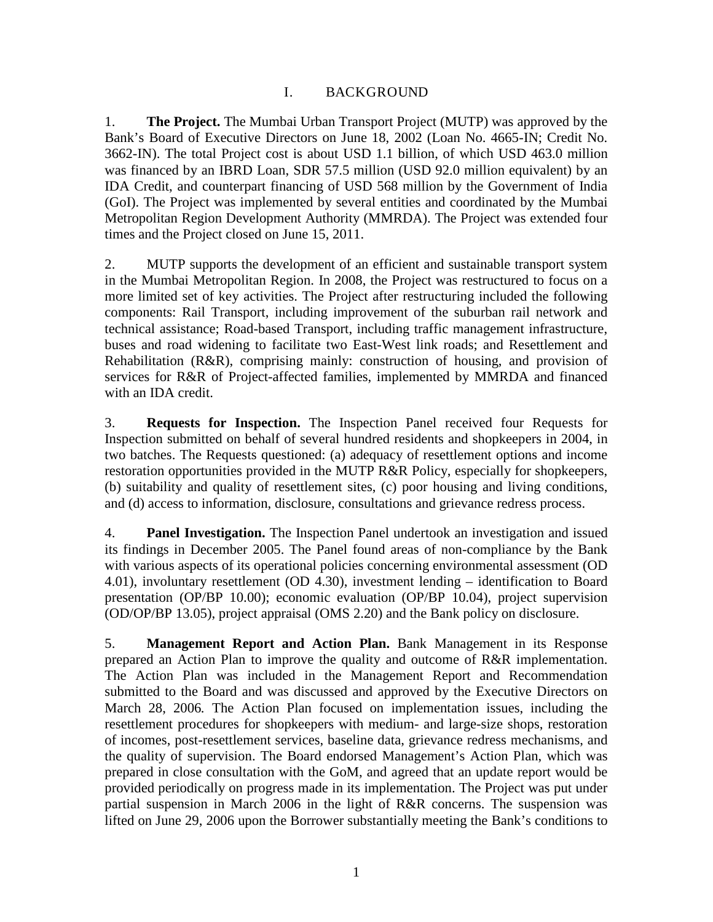## I. BACKGROUND

<span id="page-8-0"></span>1. **The Project.** The Mumbai Urban Transport Project (MUTP) was approved by the Bank's Board of Executive Directors on June 18, 2002 (Loan No. 4665-IN; Credit No. 3662-IN). The total Project cost is about USD 1.1 billion, of which USD 463.0 million was financed by an IBRD Loan, SDR 57.5 million (USD 92.0 million equivalent) by an IDA Credit, and counterpart financing of USD 568 million by the Government of India (GoI). The Project was implemented by several entities and coordinated by the Mumbai Metropolitan Region Development Authority (MMRDA). The Project was extended four times and the Project closed on June 15, 2011.

2. MUTP supports the development of an efficient and sustainable transport system in the Mumbai Metropolitan Region. In 2008, the Project was restructured to focus on a more limited set of key activities. The Project after restructuring included the following components: Rail Transport, including improvement of the suburban rail network and technical assistance; Road-based Transport, including traffic management infrastructure, buses and road widening to facilitate two East-West link roads; and Resettlement and Rehabilitation (R&R), comprising mainly: construction of housing, and provision of services for R&R of Project-affected families, implemented by MMRDA and financed with an IDA credit.

3. **Requests for Inspection.** The Inspection Panel received four Requests for Inspection submitted on behalf of several hundred residents and shopkeepers in 2004, in two batches. The Requests questioned: (a) adequacy of resettlement options and income restoration opportunities provided in the MUTP R&R Policy, especially for shopkeepers, (b) suitability and quality of resettlement sites, (c) poor housing and living conditions, and (d) access to information, disclosure, consultations and grievance redress process.

4. **Panel Investigation.** The Inspection Panel undertook an investigation and issued its findings in December 2005. The Panel found areas of non-compliance by the Bank with various aspects of its operational policies concerning environmental assessment (OD 4.01), involuntary resettlement (OD 4.30), investment lending – identification to Board presentation (OP/BP 10.00); economic evaluation (OP/BP 10.04), project supervision (OD/OP/BP 13.05), project appraisal (OMS 2.20) and the Bank policy on disclosure.

5. **Management Report and Action Plan.** Bank Management in its Response prepared an Action Plan to improve the quality and outcome of R&R implementation. The Action Plan was included in the Management Report and Recommendation submitted to the Board and was discussed and approved by the Executive Directors on March 28, 2006*.* The Action Plan focused on implementation issues, including the resettlement procedures for shopkeepers with medium- and large-size shops, restoration of incomes, post-resettlement services, baseline data, grievance redress mechanisms, and the quality of supervision. The Board endorsed Management's Action Plan, which was prepared in close consultation with the GoM, and agreed that an update report would be provided periodically on progress made in its implementation. The Project was put under partial suspension in March 2006 in the light of R&R concerns. The suspension was lifted on June 29, 2006 upon the Borrower substantially meeting the Bank's conditions to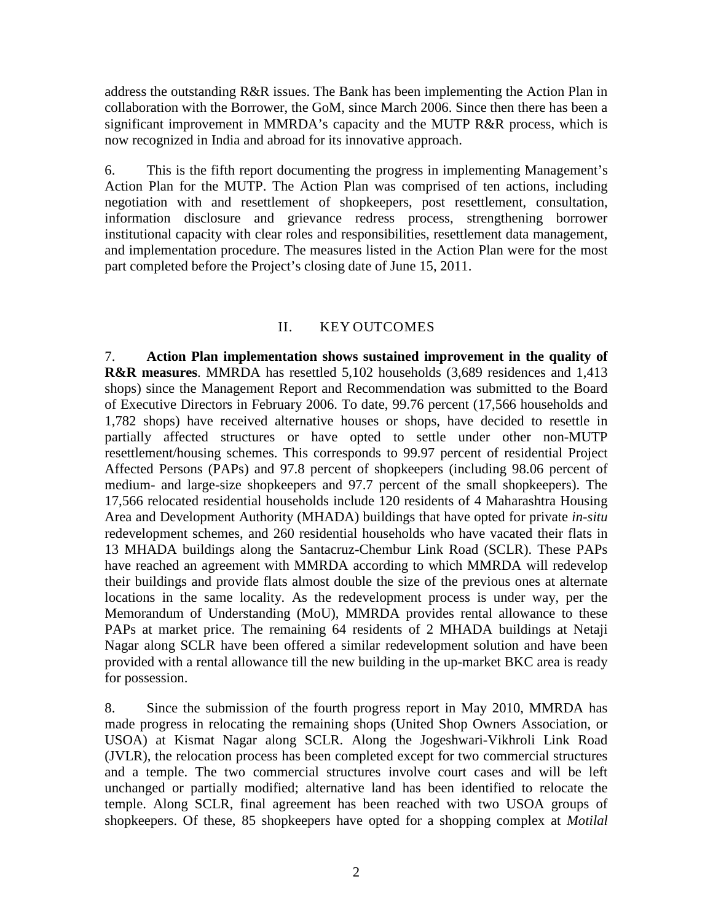address the outstanding R&R issues. The Bank has been implementing the Action Plan in collaboration with the Borrower, the GoM, since March 2006. Since then there has been a significant improvement in MMRDA's capacity and the MUTP R&R process, which is now recognized in India and abroad for its innovative approach.

6. This is the fifth report documenting the progress in implementing Management's Action Plan for the MUTP. The Action Plan was comprised of ten actions, including negotiation with and resettlement of shopkeepers, post resettlement, consultation, information disclosure and grievance redress process, strengthening borrower institutional capacity with clear roles and responsibilities, resettlement data management, and implementation procedure. The measures listed in the Action Plan were for the most part completed before the Project's closing date of June 15, 2011.

## II. KEY OUTCOMES

<span id="page-9-0"></span>7. **Action Plan implementation shows sustained improvement in the quality of R&R measures**. MMRDA has resettled 5,102 households (3,689 residences and 1,413 shops) since the Management Report and Recommendation was submitted to the Board of Executive Directors in February 2006. To date, 99.76 percent (17,566 households and 1,782 shops) have received alternative houses or shops, have decided to resettle in partially affected structures or have opted to settle under other non-MUTP resettlement/housing schemes. This corresponds to 99.97 percent of residential Project Affected Persons (PAPs) and 97.8 percent of shopkeepers (including 98.06 percent of medium- and large-size shopkeepers and 97.7 percent of the small shopkeepers). The 17,566 relocated residential households include 120 residents of 4 Maharashtra Housing Area and Development Authority (MHADA) buildings that have opted for private *in-situ* redevelopment schemes, and 260 residential households who have vacated their flats in 13 MHADA buildings along the Santacruz-Chembur Link Road (SCLR). These PAPs have reached an agreement with MMRDA according to which MMRDA will redevelop their buildings and provide flats almost double the size of the previous ones at alternate locations in the same locality. As the redevelopment process is under way, per the Memorandum of Understanding (MoU), MMRDA provides rental allowance to these PAPs at market price. The remaining 64 residents of 2 MHADA buildings at Netaji Nagar along SCLR have been offered a similar redevelopment solution and have been provided with a rental allowance till the new building in the up-market BKC area is ready for possession.

8. Since the submission of the fourth progress report in May 2010, MMRDA has made progress in relocating the remaining shops (United Shop Owners Association, or USOA) at Kismat Nagar along SCLR. Along the Jogeshwari-Vikhroli Link Road (JVLR), the relocation process has been completed except for two commercial structures and a temple. The two commercial structures involve court cases and will be left unchanged or partially modified; alternative land has been identified to relocate the temple. Along SCLR, final agreement has been reached with two USOA groups of shopkeepers. Of these, 85 shopkeepers have opted for a shopping complex at *Motilal*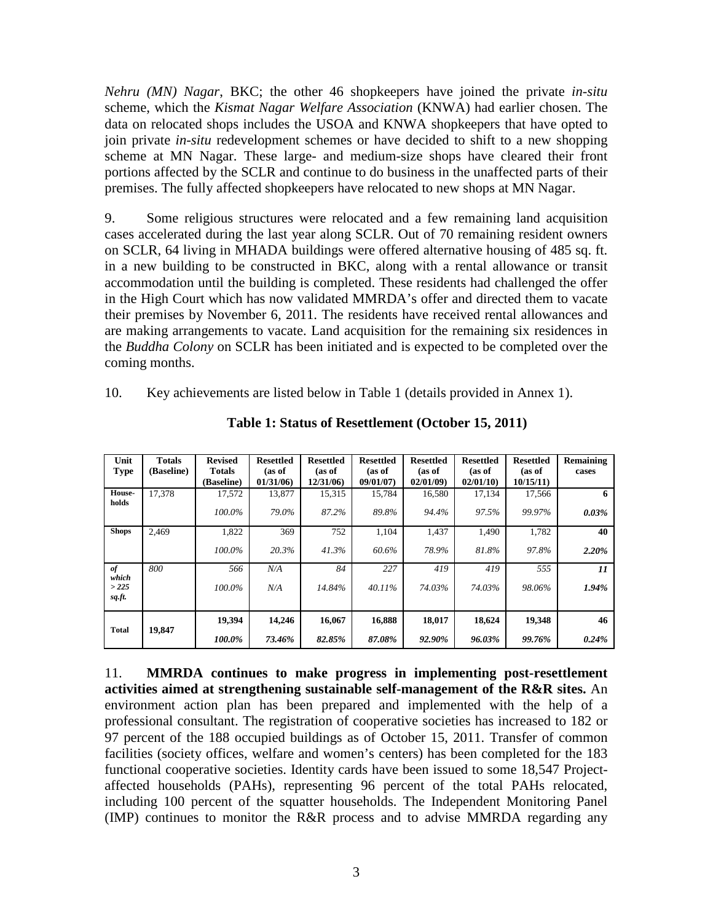*Nehru (MN) Nagar*, BKC; the other 46 shopkeepers have joined the private *in-situ* scheme, which the *Kismat Nagar Welfare Association* (KNWA) had earlier chosen. The data on relocated shops includes the USOA and KNWA shopkeepers that have opted to join private *in-situ* redevelopment schemes or have decided to shift to a new shopping scheme at MN Nagar. These large- and medium-size shops have cleared their front portions affected by the SCLR and continue to do business in the unaffected parts of their premises. The fully affected shopkeepers have relocated to new shops at MN Nagar.

9. Some religious structures were relocated and a few remaining land acquisition cases accelerated during the last year along SCLR. Out of 70 remaining resident owners on SCLR, 64 living in MHADA buildings were offered alternative housing of 485 sq. ft. in a new building to be constructed in BKC, along with a rental allowance or transit accommodation until the building is completed. These residents had challenged the offer in the High Court which has now validated MMRDA's offer and directed them to vacate their premises by November 6, 2011. The residents have received rental allowances and are making arrangements to vacate. Land acquisition for the remaining six residences in the *Buddha Colony* on SCLR has been initiated and is expected to be completed over the coming months.

10. Key achievements are listed below in Table 1 (details provided in Annex 1).

| Unit<br><b>Type</b>           | <b>Totals</b><br>(Baseline) | <b>Revised</b><br><b>Totals</b><br>(Baseline) | <b>Resettled</b><br>(as of<br>01/31/06 | <b>Resettled</b><br>(as of<br>12/31/06 | <b>Resettled</b><br>(as of<br>09/01/07 | <b>Resettled</b><br>(as of<br>02/01/09 | <b>Resettled</b><br>(as of<br>02/01/10 | <b>Resettled</b><br>(as of<br>10/15/11 | Remaining<br>cases                  |
|-------------------------------|-----------------------------|-----------------------------------------------|----------------------------------------|----------------------------------------|----------------------------------------|----------------------------------------|----------------------------------------|----------------------------------------|-------------------------------------|
| House-<br>holds               | 17.378                      | 17.572<br>$100.0\%$                           | 13.877<br>79.0%                        | 15,315<br>87.2%                        | 15.784<br>89.8%                        | 16,580<br>94.4%                        | 17.134<br>97.5%                        | 17.566<br>99.97%                       | 6<br>0.03%                          |
| <b>Shops</b>                  | 2.469                       | 1,822<br>$100.0\%$                            | 369<br>20.3%                           | 752<br>41.3%                           | 1,104<br>60.6%                         | 1,437<br>78.9%                         | 1,490<br>81.8%                         | 1,782<br>97.8%                         | 40<br>2.20%                         |
| of<br>which<br>>225<br>sq.ft. | 800                         | 566<br>100.0%                                 | N/A<br>N/A                             | 84<br>14.84%                           | 227<br>40.11%                          | 419<br>74.03%                          | 419<br>74.03%                          | 555<br>98.06%                          | $\boldsymbol{\mathit{11}}$<br>1.94% |
| <b>Total</b>                  | 19,847                      | 19.394<br>100.0%                              | 14,246<br>73.46%                       | 16.067<br>82.85%                       | 16,888<br>87.08%                       | 18,017<br>92.90%                       | 18,624<br>96.03%                       | 19.348<br>99.76%                       | 46<br>0.24%                         |

**Table 1: Status of Resettlement (October 15, 2011)** 

11. **MMRDA continues to make progress in implementing post-resettlement activities aimed at strengthening sustainable self-management of the R&R sites.** An environment action plan has been prepared and implemented with the help of a professional consultant. The registration of cooperative societies has increased to 182 or 97 percent of the 188 occupied buildings as of October 15, 2011. Transfer of common facilities (society offices, welfare and women's centers) has been completed for the 183 functional cooperative societies. Identity cards have been issued to some 18,547 Projectaffected households (PAHs), representing 96 percent of the total PAHs relocated, including 100 percent of the squatter households. The Independent Monitoring Panel (IMP) continues to monitor the R&R process and to advise MMRDA regarding any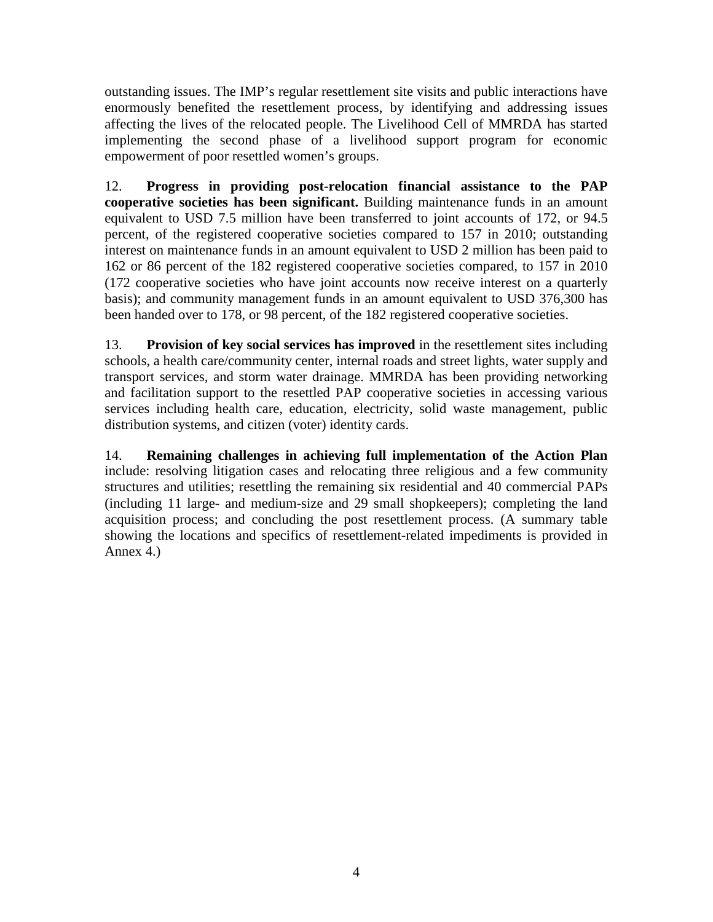outstanding issues. The IMP's regular resettlement site visits and public interactions have enormously benefited the resettlement process, by identifying and addressing issues affecting the lives of the relocated people. The Livelihood Cell of MMRDA has started implementing the second phase of a livelihood support program for economic empowerment of poor resettled women's groups.

12. **Progress in providing post-relocation financial assistance to the PAP cooperative societies has been significant.** Building maintenance funds in an amount equivalent to USD 7.5 million have been transferred to joint accounts of 172, or 94.5 percent, of the registered cooperative societies compared to 157 in 2010; outstanding interest on maintenance funds in an amount equivalent to USD 2 million has been paid to 162 or 86 percent of the 182 registered cooperative societies compared, to 157 in 2010 (172 cooperative societies who have joint accounts now receive interest on a quarterly basis); and community management funds in an amount equivalent to USD 376,300 has been handed over to 178, or 98 percent, of the 182 registered cooperative societies.

13. **Provision of key social services has improved** in the resettlement sites including schools, a health care/community center, internal roads and street lights, water supply and transport services, and storm water drainage. MMRDA has been providing networking and facilitation support to the resettled PAP cooperative societies in accessing various services including health care, education, electricity, solid waste management, public distribution systems, and citizen (voter) identity cards.

14. **Remaining challenges in achieving full implementation of the Action Plan** include: resolving litigation cases and relocating three religious and a few community structures and utilities; resettling the remaining six residential and 40 commercial PAPs (including 11 large- and medium-size and 29 small shopkeepers); completing the land acquisition process; and concluding the post resettlement process. (A summary table showing the locations and specifics of resettlement-related impediments is provided in Annex 4.)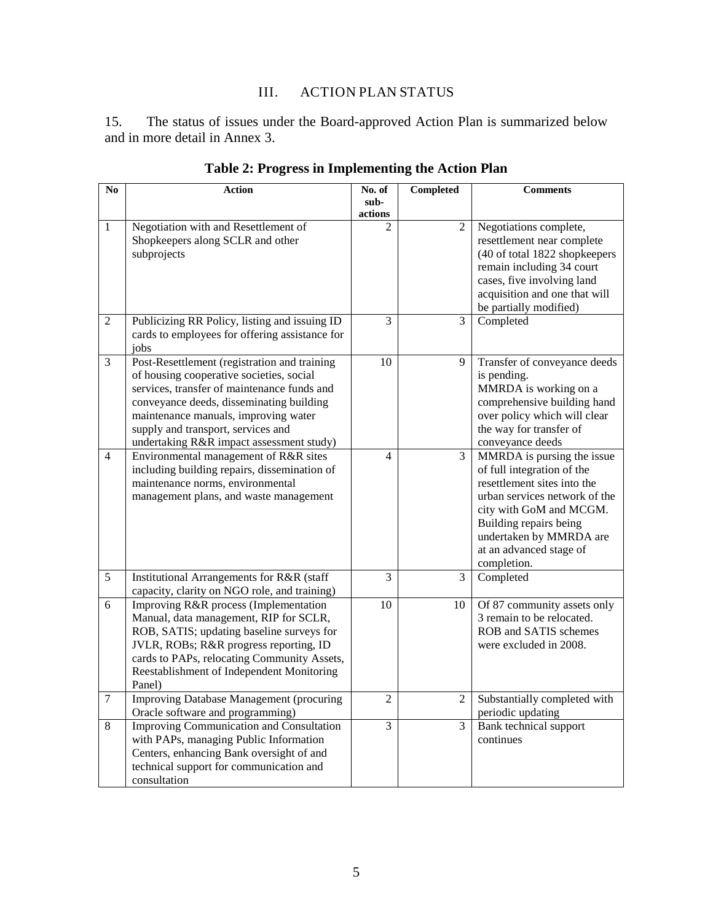# III. ACTION PLAN STATUS

<span id="page-12-0"></span>15. The status of issues under the Board-approved Action Plan is summarized below and in more detail in Annex 3.

| N <sub>0</sub>   | <b>Action</b>                                                                         | No. of                   | <b>Completed</b> | <b>Comments</b>                                          |
|------------------|---------------------------------------------------------------------------------------|--------------------------|------------------|----------------------------------------------------------|
|                  |                                                                                       | sub-                     |                  |                                                          |
|                  |                                                                                       | actions                  |                  |                                                          |
| 1                | Negotiation with and Resettlement of<br>Shopkeepers along SCLR and other              | $\mathfrak{D}$           | $\mathfrak{D}$   | Negotiations complete,<br>resettlement near complete     |
|                  | subprojects                                                                           |                          |                  | (40 of total 1822 shopkeepers                            |
|                  |                                                                                       |                          |                  | remain including 34 court                                |
|                  |                                                                                       |                          |                  | cases, five involving land                               |
|                  |                                                                                       |                          |                  | acquisition and one that will                            |
|                  |                                                                                       |                          |                  | be partially modified)                                   |
| 2                | Publicizing RR Policy, listing and issuing ID                                         | 3                        | 3                | Completed                                                |
|                  | cards to employees for offering assistance for                                        |                          |                  |                                                          |
|                  | jobs                                                                                  |                          |                  |                                                          |
| 3                | Post-Resettlement (registration and training                                          | 10                       | 9                | Transfer of conveyance deeds                             |
|                  | of housing cooperative societies, social                                              |                          |                  | is pending.                                              |
|                  | services, transfer of maintenance funds and                                           |                          |                  | MMRDA is working on a                                    |
|                  | conveyance deeds, disseminating building                                              |                          |                  | comprehensive building hand                              |
|                  | maintenance manuals, improving water                                                  |                          |                  | over policy which will clear                             |
|                  | supply and transport, services and                                                    |                          |                  | the way for transfer of                                  |
|                  | undertaking R&R impact assessment study)                                              |                          |                  | conveyance deeds                                         |
| $\overline{4}$   | Environmental management of R&R sites                                                 | $\overline{\mathcal{L}}$ | $\mathfrak{Z}$   | MMRDA is pursing the issue                               |
|                  | including building repairs, dissemination of                                          |                          |                  | of full integration of the                               |
|                  | maintenance norms, environmental                                                      |                          |                  | resettlement sites into the                              |
|                  | management plans, and waste management                                                |                          |                  | urban services network of the                            |
|                  |                                                                                       |                          |                  | city with GoM and MCGM.                                  |
|                  |                                                                                       |                          |                  | Building repairs being                                   |
|                  |                                                                                       |                          |                  | undertaken by MMRDA are                                  |
|                  |                                                                                       |                          |                  | at an advanced stage of                                  |
|                  |                                                                                       |                          |                  | completion.                                              |
| 5                | Institutional Arrangements for R&R (staff                                             | 3                        | 3                | Completed                                                |
| 6                | capacity, clarity on NGO role, and training)<br>Improving R&R process (Implementation | 10                       |                  |                                                          |
|                  | Manual, data management, RIP for SCLR,                                                |                          | 10               | Of 87 community assets only<br>3 remain to be relocated. |
|                  | ROB, SATIS; updating baseline surveys for                                             |                          |                  | ROB and SATIS schemes                                    |
|                  | JVLR, ROBs; R&R progress reporting, ID                                                |                          |                  | were excluded in 2008.                                   |
|                  | cards to PAPs, relocating Community Assets,                                           |                          |                  |                                                          |
|                  | Reestablishment of Independent Monitoring                                             |                          |                  |                                                          |
|                  | Panel)                                                                                |                          |                  |                                                          |
| $\boldsymbol{7}$ | Improving Database Management (procuring                                              | $\overline{2}$           | 2                | Substantially completed with                             |
|                  | Oracle software and programming)                                                      |                          |                  | periodic updating                                        |
| 8                | <b>Improving Communication and Consultation</b>                                       | 3                        | 3                | Bank technical support                                   |
|                  | with PAPs, managing Public Information                                                |                          |                  | continues                                                |
|                  | Centers, enhancing Bank oversight of and                                              |                          |                  |                                                          |
|                  | technical support for communication and                                               |                          |                  |                                                          |
|                  | consultation                                                                          |                          |                  |                                                          |

**Table 2: Progress in Implementing the Action Plan**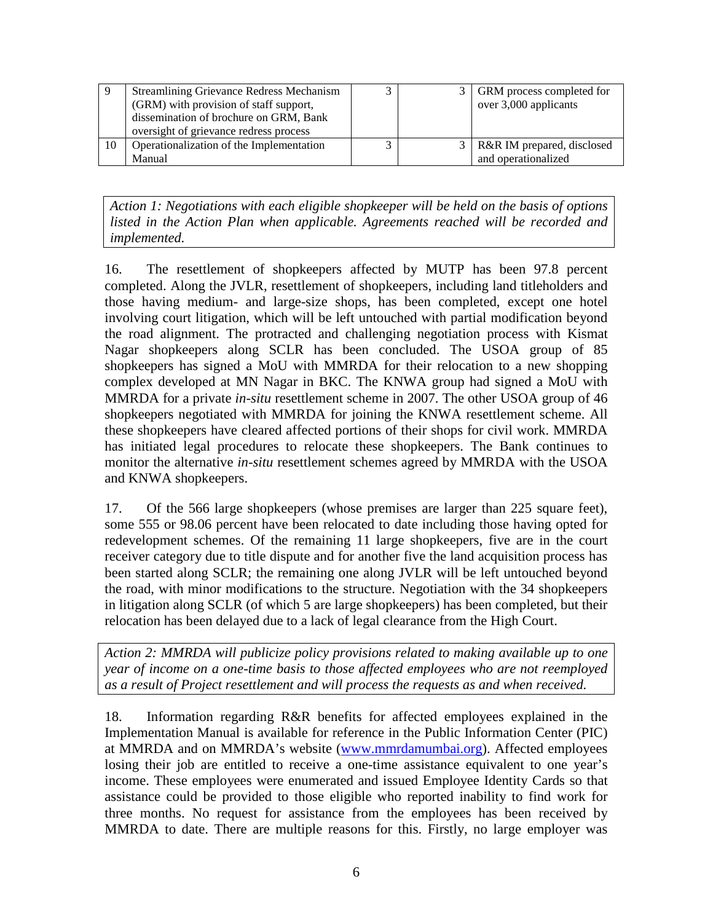| 9  | <b>Streamlining Grievance Redress Mechanism</b> |  | 3   GRM process completed for |
|----|-------------------------------------------------|--|-------------------------------|
|    | (GRM) with provision of staff support,          |  | over 3,000 applicants         |
|    | dissemination of brochure on GRM, Bank          |  |                               |
|    | oversight of grievance redress process          |  |                               |
| 10 | Operationalization of the Implementation        |  | R&R IM prepared, disclosed    |
|    | Manual                                          |  | and operationalized           |

*Action 1: Negotiations with each eligible shopkeeper will be held on the basis of options listed in the Action Plan when applicable. Agreements reached will be recorded and implemented.* 

16. The resettlement of shopkeepers affected by MUTP has been 97.8 percent completed. Along the JVLR, resettlement of shopkeepers, including land titleholders and those having medium- and large-size shops, has been completed, except one hotel involving court litigation, which will be left untouched with partial modification beyond the road alignment. The protracted and challenging negotiation process with Kismat Nagar shopkeepers along SCLR has been concluded. The USOA group of 85 shopkeepers has signed a MoU with MMRDA for their relocation to a new shopping complex developed at MN Nagar in BKC. The KNWA group had signed a MoU with MMRDA for a private *in-situ* resettlement scheme in 2007. The other USOA group of 46 shopkeepers negotiated with MMRDA for joining the KNWA resettlement scheme. All these shopkeepers have cleared affected portions of their shops for civil work. MMRDA has initiated legal procedures to relocate these shopkeepers. The Bank continues to monitor the alternative *in-situ* resettlement schemes agreed by MMRDA with the USOA and KNWA shopkeepers.

17. Of the 566 large shopkeepers (whose premises are larger than 225 square feet), some 555 or 98.06 percent have been relocated to date including those having opted for redevelopment schemes. Of the remaining 11 large shopkeepers, five are in the court receiver category due to title dispute and for another five the land acquisition process has been started along SCLR; the remaining one along JVLR will be left untouched beyond the road, with minor modifications to the structure. Negotiation with the 34 shopkeepers in litigation along SCLR (of which 5 are large shopkeepers) has been completed, but their relocation has been delayed due to a lack of legal clearance from the High Court.

*Action 2: MMRDA will publicize policy provisions related to making available up to one year of income on a one-time basis to those affected employees who are not reemployed as a result of Project resettlement and will process the requests as and when received.*

18. Information regarding R&R benefits for affected employees explained in the Implementation Manual is available for reference in the Public Information Center (PIC) at MMRDA and on MMRDA's website [\(www.mmrdamumbai.org\)](http://www.mmrdamumbai.org/). Affected employees losing their job are entitled to receive a one-time assistance equivalent to one year's income. These employees were enumerated and issued Employee Identity Cards so that assistance could be provided to those eligible who reported inability to find work for three months. No request for assistance from the employees has been received by MMRDA to date. There are multiple reasons for this. Firstly, no large employer was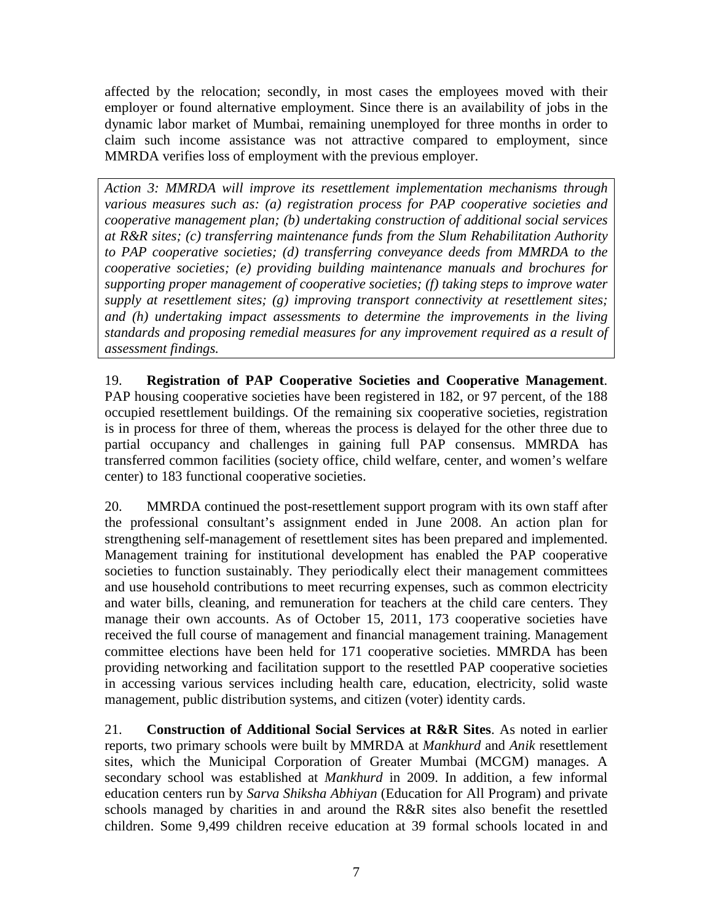affected by the relocation; secondly, in most cases the employees moved with their employer or found alternative employment. Since there is an availability of jobs in the dynamic labor market of Mumbai, remaining unemployed for three months in order to claim such income assistance was not attractive compared to employment, since MMRDA verifies loss of employment with the previous employer.

*Action 3: MMRDA will improve its resettlement implementation mechanisms through various measures such as: (a) registration process for PAP cooperative societies and cooperative management plan; (b) undertaking construction of additional social services at R&R sites; (c) transferring maintenance funds from the Slum Rehabilitation Authority to PAP cooperative societies; (d) transferring conveyance deeds from MMRDA to the cooperative societies; (e) providing building maintenance manuals and brochures for supporting proper management of cooperative societies; (f) taking steps to improve water supply at resettlement sites; (g) improving transport connectivity at resettlement sites; and (h) undertaking impact assessments to determine the improvements in the living standards and proposing remedial measures for any improvement required as a result of assessment findings.* 

19. **Registration of PAP Cooperative Societies and Cooperative Management**. PAP housing cooperative societies have been registered in 182, or 97 percent, of the 188 occupied resettlement buildings. Of the remaining six cooperative societies, registration is in process for three of them, whereas the process is delayed for the other three due to partial occupancy and challenges in gaining full PAP consensus. MMRDA has transferred common facilities (society office, child welfare, center, and women's welfare center) to 183 functional cooperative societies.

20. MMRDA continued the post-resettlement support program with its own staff after the professional consultant's assignment ended in June 2008. An action plan for strengthening self-management of resettlement sites has been prepared and implemented. Management training for institutional development has enabled the PAP cooperative societies to function sustainably. They periodically elect their management committees and use household contributions to meet recurring expenses, such as common electricity and water bills, cleaning, and remuneration for teachers at the child care centers. They manage their own accounts. As of October 15, 2011, 173 cooperative societies have received the full course of management and financial management training. Management committee elections have been held for 171 cooperative societies. MMRDA has been providing networking and facilitation support to the resettled PAP cooperative societies in accessing various services including health care, education, electricity, solid waste management, public distribution systems, and citizen (voter) identity cards.

21. **Construction of Additional Social Services at R&R Sites**. As noted in earlier reports, two primary schools were built by MMRDA at *Mankhurd* and *Anik* resettlement sites, which the Municipal Corporation of Greater Mumbai (MCGM) manages. A secondary school was established at *Mankhurd* in 2009. In addition, a few informal education centers run by *Sarva Shiksha Abhiyan* (Education for All Program) and private schools managed by charities in and around the R&R sites also benefit the resettled children. Some 9,499 children receive education at 39 formal schools located in and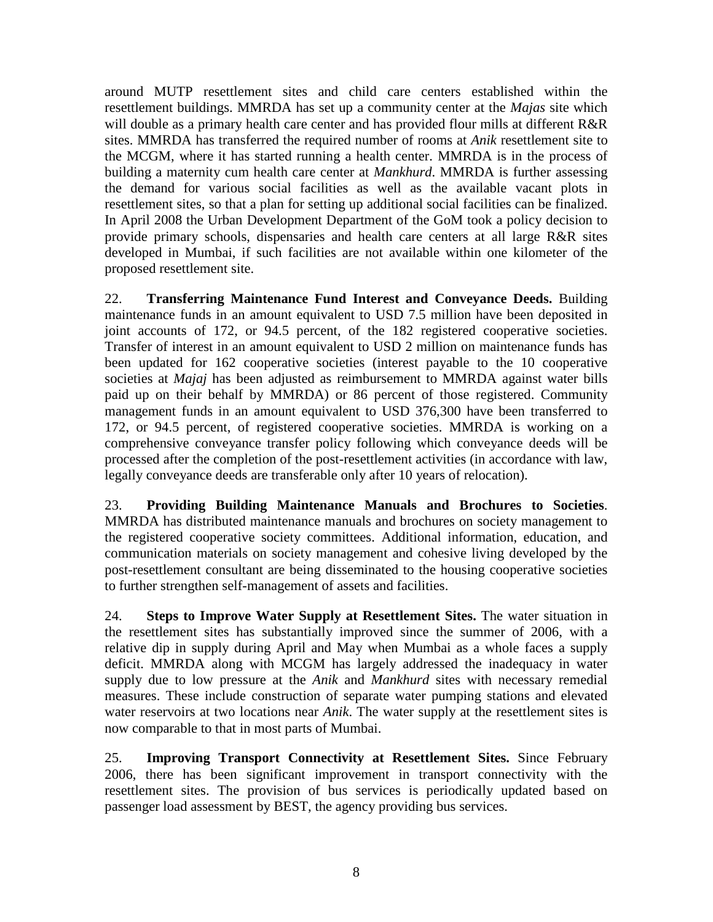around MUTP resettlement sites and child care centers established within the resettlement buildings. MMRDA has set up a community center at the *Majas* site which will double as a primary health care center and has provided flour mills at different R&R sites. MMRDA has transferred the required number of rooms at *Anik* resettlement site to the MCGM, where it has started running a health center. MMRDA is in the process of building a maternity cum health care center at *Mankhurd*. MMRDA is further assessing the demand for various social facilities as well as the available vacant plots in resettlement sites, so that a plan for setting up additional social facilities can be finalized. In April 2008 the Urban Development Department of the GoM took a policy decision to provide primary schools, dispensaries and health care centers at all large R&R sites developed in Mumbai, if such facilities are not available within one kilometer of the proposed resettlement site.

22. **Transferring Maintenance Fund Interest and Conveyance Deeds.** Building maintenance funds in an amount equivalent to USD 7.5 million have been deposited in joint accounts of 172, or 94.5 percent, of the 182 registered cooperative societies. Transfer of interest in an amount equivalent to USD 2 million on maintenance funds has been updated for 162 cooperative societies (interest payable to the 10 cooperative societies at *Majaj* has been adjusted as reimbursement to MMRDA against water bills paid up on their behalf by MMRDA) or 86 percent of those registered. Community management funds in an amount equivalent to USD 376,300 have been transferred to 172, or 94.5 percent, of registered cooperative societies. MMRDA is working on a comprehensive conveyance transfer policy following which conveyance deeds will be processed after the completion of the post-resettlement activities (in accordance with law, legally conveyance deeds are transferable only after 10 years of relocation).

23. **Providing Building Maintenance Manuals and Brochures to Societies**. MMRDA has distributed maintenance manuals and brochures on society management to the registered cooperative society committees. Additional information, education, and communication materials on society management and cohesive living developed by the post-resettlement consultant are being disseminated to the housing cooperative societies to further strengthen self-management of assets and facilities.

24. **Steps to Improve Water Supply at Resettlement Sites.** The water situation in the resettlement sites has substantially improved since the summer of 2006, with a relative dip in supply during April and May when Mumbai as a whole faces a supply deficit. MMRDA along with MCGM has largely addressed the inadequacy in water supply due to low pressure at the *Anik* and *Mankhurd* sites with necessary remedial measures. These include construction of separate water pumping stations and elevated water reservoirs at two locations near *Anik*. The water supply at the resettlement sites is now comparable to that in most parts of Mumbai.

25. **Improving Transport Connectivity at Resettlement Sites.** Since February 2006, there has been significant improvement in transport connectivity with the resettlement sites. The provision of bus services is periodically updated based on passenger load assessment by BEST, the agency providing bus services.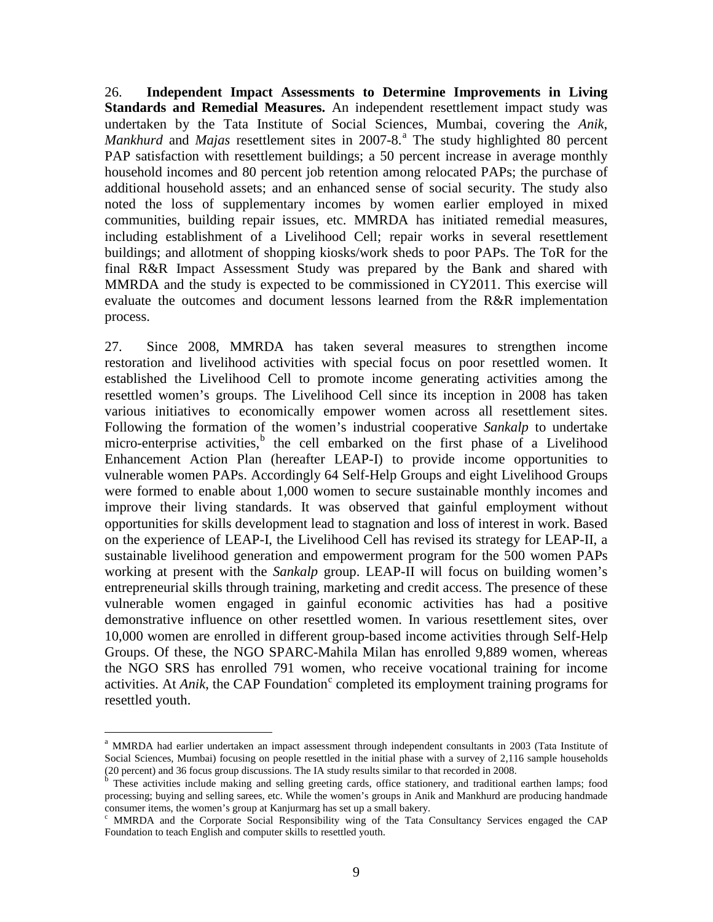26. **Independent Impact Assessments to Determine Improvements in Living Standards and Remedial Measures.** An independent resettlement impact study was undertaken by the Tata Institute of Social Sciences, Mumbai, covering the *Anik*, *Mankhurd* and *Majas* resettlement sites in 2007-8. [a](#page-16-0) The study highlighted 80 percent PAP satisfaction with resettlement buildings; a 50 percent increase in average monthly household incomes and 80 percent job retention among relocated PAPs; the purchase of additional household assets; and an enhanced sense of social security. The study also noted the loss of supplementary incomes by women earlier employed in mixed communities, building repair issues, etc. MMRDA has initiated remedial measures, including establishment of a Livelihood Cell; repair works in several resettlement buildings; and allotment of shopping kiosks/work sheds to poor PAPs. The ToR for the final R&R Impact Assessment Study was prepared by the Bank and shared with MMRDA and the study is expected to be commissioned in CY2011. This exercise will evaluate the outcomes and document lessons learned from the R&R implementation process.

27. Since 2008, MMRDA has taken several measures to strengthen income restoration and livelihood activities with special focus on poor resettled women. It established the Livelihood Cell to promote income generating activities among the resettled women's groups. The Livelihood Cell since its inception in 2008 has taken various initiatives to economically empower women across all resettlement sites. Following the formation of the women's industrial cooperative *Sankalp* to undertake micro-enterprise activities,<sup>[b](#page-16-1)</sup> the cell embarked on the first phase of a Livelihood Enhancement Action Plan (hereafter LEAP-I) to provide income opportunities to vulnerable women PAPs. Accordingly 64 Self-Help Groups and eight Livelihood Groups were formed to enable about 1,000 women to secure sustainable monthly incomes and improve their living standards. It was observed that gainful employment without opportunities for skills development lead to stagnation and loss of interest in work. Based on the experience of LEAP-I, the Livelihood Cell has revised its strategy for LEAP-II, a sustainable livelihood generation and empowerment program for the 500 women PAPs working at present with the *Sankalp* group. LEAP-II will focus on building women's entrepreneurial skills through training, marketing and credit access. The presence of these vulnerable women engaged in gainful economic activities has had a positive demonstrative influence on other resettled women. In various resettlement sites, over 10,000 women are enrolled in different group-based income activities through Self-Help Groups. Of these, the NGO SPARC-Mahila Milan has enrolled 9,889 women, whereas the NGO SRS has enrolled 791 women, who receive vocational training for income a[c](#page-16-2)tivities. At *Anik*, the CAP Foundation<sup>c</sup> completed its employment training programs for resettled youth.

<span id="page-16-0"></span>a MMRDA had earlier undertaken an impact assessment through independent consultants in 2003 (Tata Institute of Social Sciences, Mumbai) focusing on people resettled in the initial phase with a survey of 2,116 sample households (20 percent) and 36 focus group discussions. The IA study results similar to that recorded in 2008.

<span id="page-16-1"></span><sup>&</sup>lt;sup>b</sup> These activities include making and selling greeting cards, office stationery, and traditional earthen lamps; food processing; buying and selling sarees, etc. While the women's groups in Anik and Mankhurd are producing handmade consumer items, the women's group at Kanjurmarg has set up a small bakery.

<span id="page-16-2"></span><sup>c</sup> MMRDA and the Corporate Social Responsibility wing of the Tata Consultancy Services engaged the CAP Foundation to teach English and computer skills to resettled youth.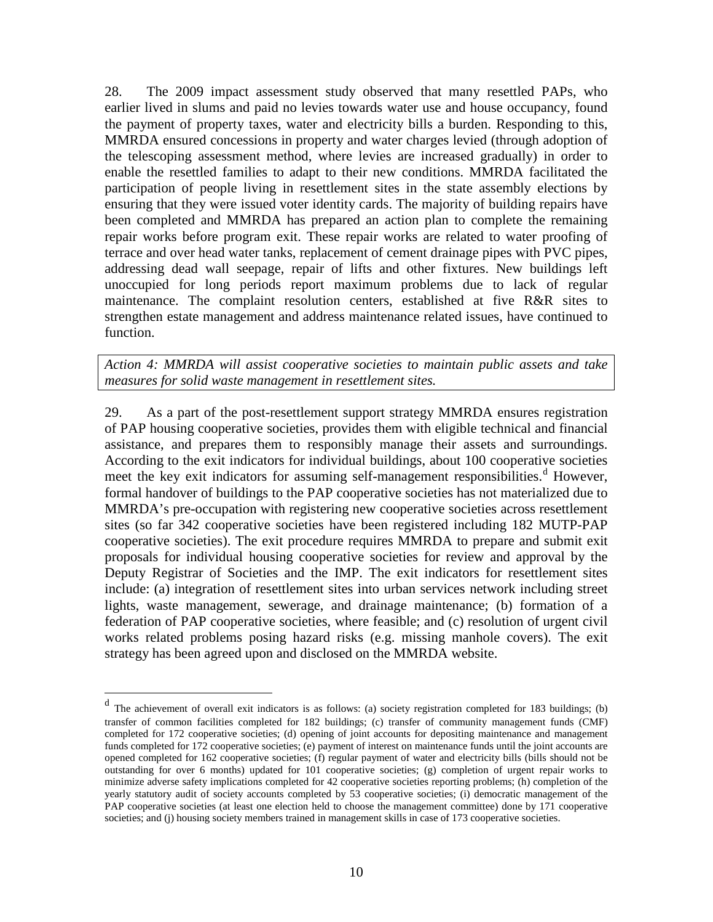28. The 2009 impact assessment study observed that many resettled PAPs, who earlier lived in slums and paid no levies towards water use and house occupancy, found the payment of property taxes, water and electricity bills a burden. Responding to this, MMRDA ensured concessions in property and water charges levied (through adoption of the telescoping assessment method, where levies are increased gradually) in order to enable the resettled families to adapt to their new conditions. MMRDA facilitated the participation of people living in resettlement sites in the state assembly elections by ensuring that they were issued voter identity cards. The majority of building repairs have been completed and MMRDA has prepared an action plan to complete the remaining repair works before program exit. These repair works are related to water proofing of terrace and over head water tanks, replacement of cement drainage pipes with PVC pipes, addressing dead wall seepage, repair of lifts and other fixtures. New buildings left unoccupied for long periods report maximum problems due to lack of regular maintenance. The complaint resolution centers, established at five R&R sites to strengthen estate management and address maintenance related issues, have continued to function.

*Action 4: MMRDA will assist cooperative societies to maintain public assets and take measures for solid waste management in resettlement sites.* 

29. As a part of the post-resettlement support strategy MMRDA ensures registration of PAP housing cooperative societies, provides them with eligible technical and financial assistance, and prepares them to responsibly manage their assets and surroundings. According to the exit indicators for individual buildings, about 100 cooperative societies meet the key exit in[d](#page-17-0)icators for assuming self-management responsibilities.<sup>d</sup> However, formal handover of buildings to the PAP cooperative societies has not materialized due to MMRDA's pre-occupation with registering new cooperative societies across resettlement sites (so far 342 cooperative societies have been registered including 182 MUTP-PAP cooperative societies). The exit procedure requires MMRDA to prepare and submit exit proposals for individual housing cooperative societies for review and approval by the Deputy Registrar of Societies and the IMP. The exit indicators for resettlement sites include: (a) integration of resettlement sites into urban services network including street lights, waste management, sewerage, and drainage maintenance; (b) formation of a federation of PAP cooperative societies, where feasible; and (c) resolution of urgent civil works related problems posing hazard risks (e.g. missing manhole covers). The exit strategy has been agreed upon and disclosed on the MMRDA website.

<span id="page-17-0"></span><sup>&</sup>lt;sup>d</sup> The achievement of overall exit indicators is as follows: (a) society registration completed for 183 buildings; (b) transfer of common facilities completed for 182 buildings; (c) transfer of community management funds (CMF) completed for 172 cooperative societies; (d) opening of joint accounts for depositing maintenance and management funds completed for 172 cooperative societies; (e) payment of interest on maintenance funds until the joint accounts are opened completed for 162 cooperative societies; (f) regular payment of water and electricity bills (bills should not be outstanding for over 6 months) updated for 101 cooperative societies; (g) completion of urgent repair works to minimize adverse safety implications completed for 42 cooperative societies reporting problems; (h) completion of the yearly statutory audit of society accounts completed by 53 cooperative societies; (i) democratic management of the PAP cooperative societies (at least one election held to choose the management committee) done by 171 cooperative societies; and (j) housing society members trained in management skills in case of 173 cooperative societies.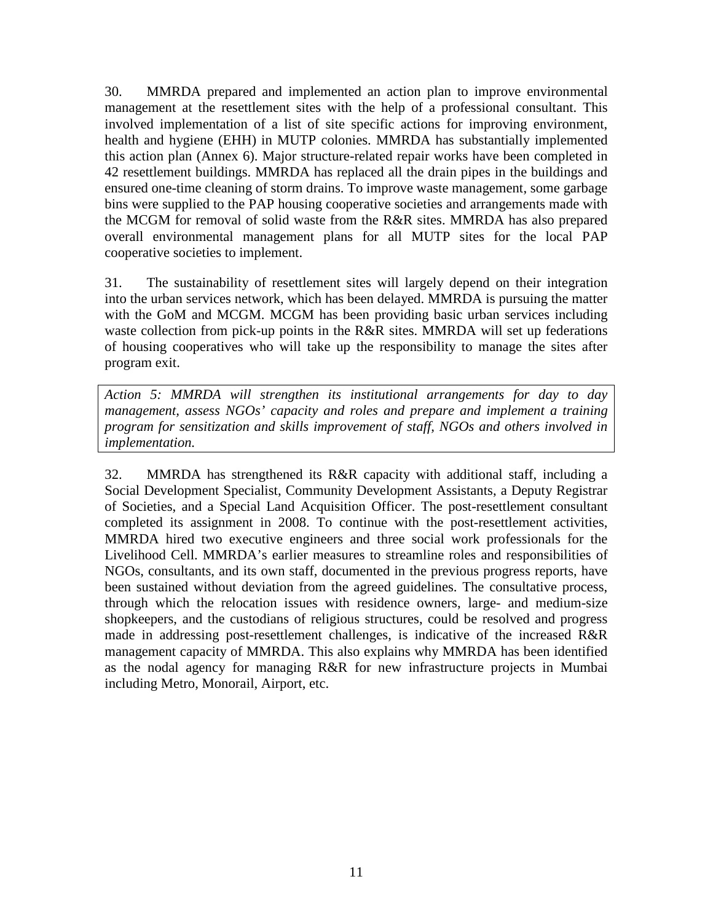30. MMRDA prepared and implemented an action plan to improve environmental management at the resettlement sites with the help of a professional consultant. This involved implementation of a list of site specific actions for improving environment, health and hygiene (EHH) in MUTP colonies. MMRDA has substantially implemented this action plan (Annex 6). Major structure-related repair works have been completed in 42 resettlement buildings. MMRDA has replaced all the drain pipes in the buildings and ensured one-time cleaning of storm drains. To improve waste management, some garbage bins were supplied to the PAP housing cooperative societies and arrangements made with the MCGM for removal of solid waste from the R&R sites. MMRDA has also prepared overall environmental management plans for all MUTP sites for the local PAP cooperative societies to implement.

31. The sustainability of resettlement sites will largely depend on their integration into the urban services network, which has been delayed. MMRDA is pursuing the matter with the GoM and MCGM. MCGM has been providing basic urban services including waste collection from pick-up points in the R&R sites. MMRDA will set up federations of housing cooperatives who will take up the responsibility to manage the sites after program exit.

*Action 5: MMRDA will strengthen its institutional arrangements for day to day management, assess NGOs' capacity and roles and prepare and implement a training program for sensitization and skills improvement of staff, NGOs and others involved in implementation.*

32. MMRDA has strengthened its R&R capacity with additional staff, including a Social Development Specialist, Community Development Assistants, a Deputy Registrar of Societies, and a Special Land Acquisition Officer. The post-resettlement consultant completed its assignment in 2008. To continue with the post-resettlement activities, MMRDA hired two executive engineers and three social work professionals for the Livelihood Cell. MMRDA's earlier measures to streamline roles and responsibilities of NGOs, consultants, and its own staff, documented in the previous progress reports, have been sustained without deviation from the agreed guidelines. The consultative process, through which the relocation issues with residence owners, large- and medium-size shopkeepers, and the custodians of religious structures, could be resolved and progress made in addressing post-resettlement challenges, is indicative of the increased R&R management capacity of MMRDA. This also explains why MMRDA has been identified as the nodal agency for managing R&R for new infrastructure projects in Mumbai including Metro, Monorail, Airport, etc.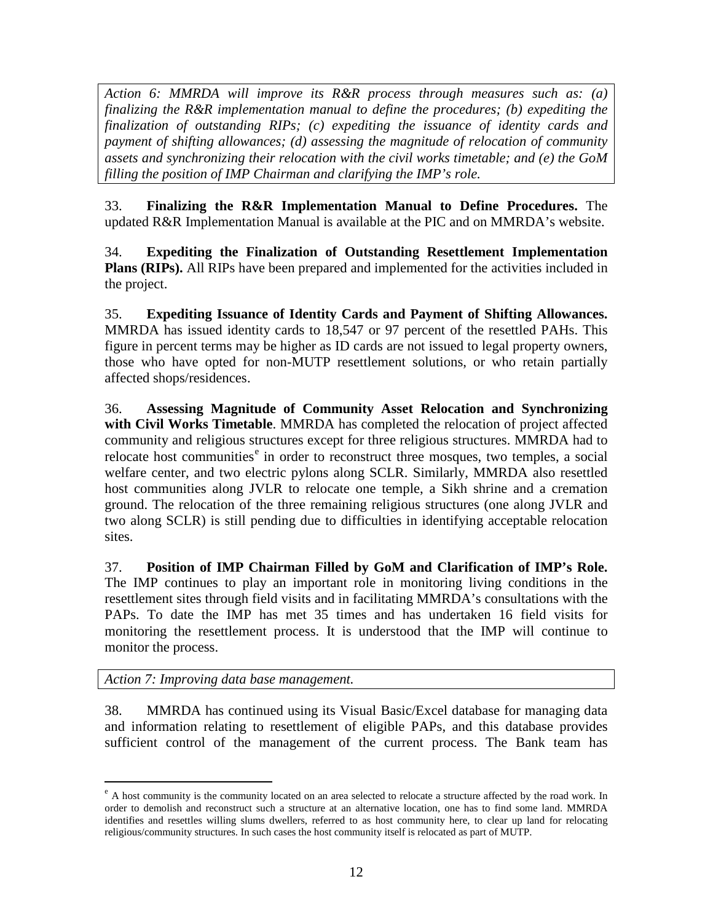*Action 6: MMRDA will improve its R&R process through measures such as: (a) finalizing the R&R implementation manual to define the procedures; (b) expediting the finalization of outstanding RIPs; (c) expediting the issuance of identity cards and payment of shifting allowances; (d) assessing the magnitude of relocation of community assets and synchronizing their relocation with the civil works timetable; and (e) the GoM filling the position of IMP Chairman and clarifying the IMP's role.* 

33. **Finalizing the R&R Implementation Manual to Define Procedures.** The updated R&R Implementation Manual is available at the PIC and on MMRDA's website.

34. **Expediting the Finalization of Outstanding Resettlement Implementation Plans (RIPs).** All RIPs have been prepared and implemented for the activities included in the project.

35. **Expediting Issuance of Identity Cards and Payment of Shifting Allowances.**  MMRDA has issued identity cards to 18,547 or 97 percent of the resettled PAHs. This figure in percent terms may be higher as ID cards are not issued to legal property owners, those who have opted for non-MUTP resettlement solutions, or who retain partially affected shops/residences.

36. **Assessing Magnitude of Community Asset Relocation and Synchronizing with Civil Works Timetable**. MMRDA has completed the relocation of project affected community and religious structures except for three religious structures. MMRDA had to r[e](#page-19-0)locate host communities<sup>e</sup> in order to reconstruct three mosques, two temples, a social welfare center, and two electric pylons along SCLR. Similarly, MMRDA also resettled host communities along JVLR to relocate one temple, a Sikh shrine and a cremation ground. The relocation of the three remaining religious structures (one along JVLR and two along SCLR) is still pending due to difficulties in identifying acceptable relocation sites.

37. **Position of IMP Chairman Filled by GoM and Clarification of IMP's Role.** The IMP continues to play an important role in monitoring living conditions in the resettlement sites through field visits and in facilitating MMRDA's consultations with the PAPs. To date the IMP has met 35 times and has undertaken 16 field visits for monitoring the resettlement process. It is understood that the IMP will continue to monitor the process.

*Action 7: Improving data base management.* 

38. MMRDA has continued using its Visual Basic/Excel database for managing data and information relating to resettlement of eligible PAPs, and this database provides sufficient control of the management of the current process. The Bank team has

<span id="page-19-0"></span> $e<sup>e</sup>$  A host community is the community located on an area selected to relocate a structure affected by the road work. In order to demolish and reconstruct such a structure at an alternative location, one has to find some land. MMRDA identifies and resettles willing slums dwellers, referred to as host community here, to clear up land for relocating religious/community structures. In such cases the host community itself is relocated as part of MUTP.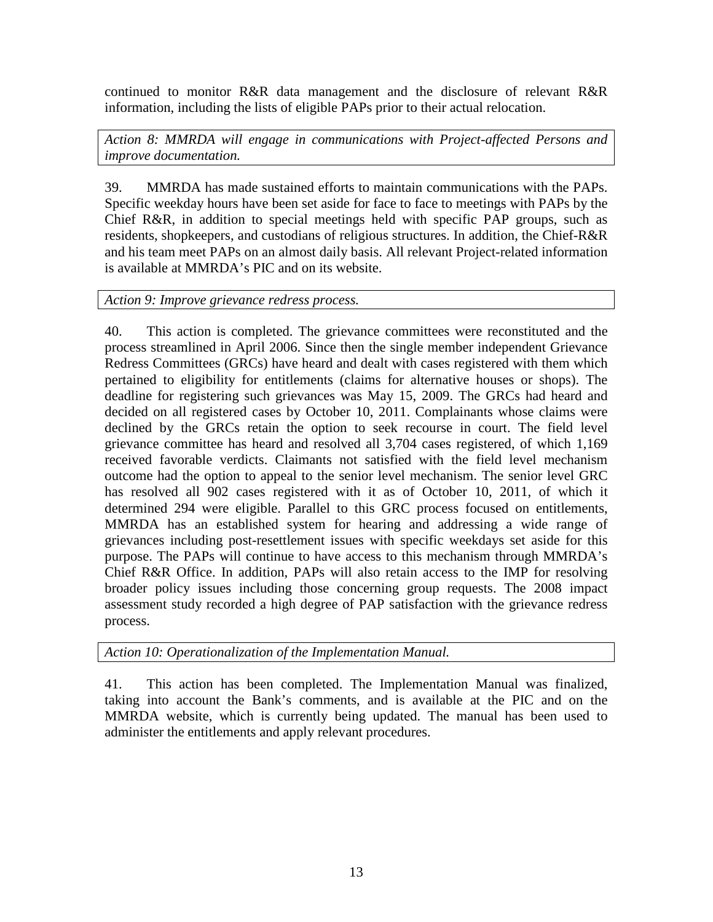continued to monitor R&R data management and the disclosure of relevant R&R information, including the lists of eligible PAPs prior to their actual relocation.

*Action 8: MMRDA will engage in communications with Project-affected Persons and improve documentation.*

39. MMRDA has made sustained efforts to maintain communications with the PAPs. Specific weekday hours have been set aside for face to face to meetings with PAPs by the Chief R&R, in addition to special meetings held with specific PAP groups, such as residents, shopkeepers, and custodians of religious structures. In addition, the Chief-R&R and his team meet PAPs on an almost daily basis. All relevant Project-related information is available at MMRDA's PIC and on its website.

*Action 9: Improve grievance redress process.*

40. This action is completed. The grievance committees were reconstituted and the process streamlined in April 2006. Since then the single member independent Grievance Redress Committees (GRCs) have heard and dealt with cases registered with them which pertained to eligibility for entitlements (claims for alternative houses or shops). The deadline for registering such grievances was May 15, 2009. The GRCs had heard and decided on all registered cases by October 10, 2011. Complainants whose claims were declined by the GRCs retain the option to seek recourse in court. The field level grievance committee has heard and resolved all 3,704 cases registered, of which 1,169 received favorable verdicts. Claimants not satisfied with the field level mechanism outcome had the option to appeal to the senior level mechanism. The senior level GRC has resolved all 902 cases registered with it as of October 10, 2011, of which it determined 294 were eligible. Parallel to this GRC process focused on entitlements, MMRDA has an established system for hearing and addressing a wide range of grievances including post-resettlement issues with specific weekdays set aside for this purpose. The PAPs will continue to have access to this mechanism through MMRDA's Chief R&R Office. In addition, PAPs will also retain access to the IMP for resolving broader policy issues including those concerning group requests. The 2008 impact assessment study recorded a high degree of PAP satisfaction with the grievance redress process.

*Action 10: Operationalization of the Implementation Manual.*

41. This action has been completed. The Implementation Manual was finalized, taking into account the Bank's comments, and is available at the PIC and on the MMRDA website, which is currently being updated. The manual has been used to administer the entitlements and apply relevant procedures.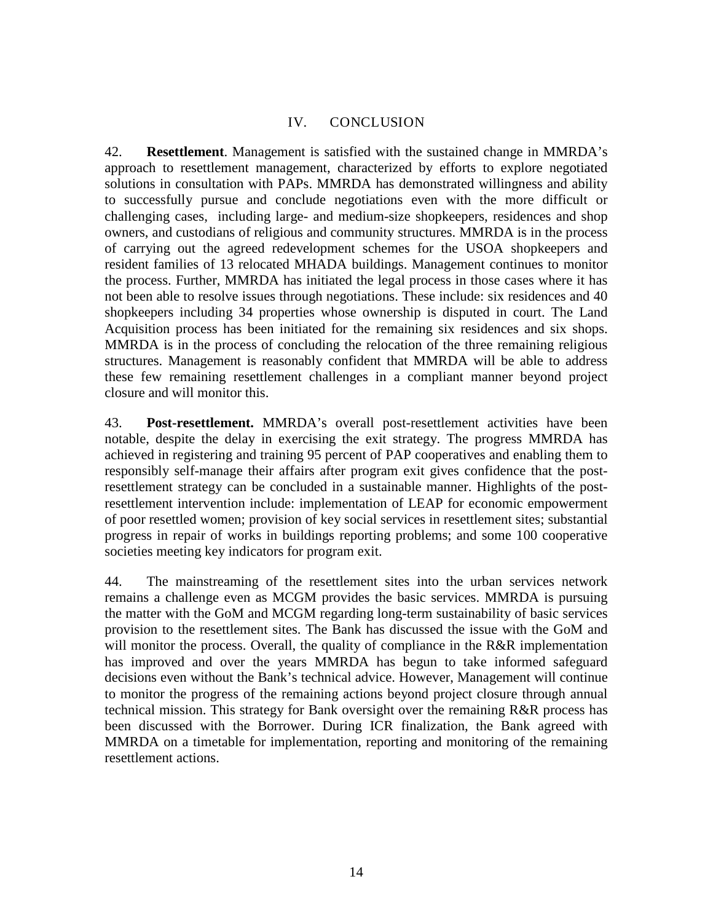## IV. CONCLUSION

<span id="page-21-0"></span>42. **Resettlement**. Management is satisfied with the sustained change in MMRDA's approach to resettlement management, characterized by efforts to explore negotiated solutions in consultation with PAPs. MMRDA has demonstrated willingness and ability to successfully pursue and conclude negotiations even with the more difficult or challenging cases, including large- and medium-size shopkeepers, residences and shop owners, and custodians of religious and community structures. MMRDA is in the process of carrying out the agreed redevelopment schemes for the USOA shopkeepers and resident families of 13 relocated MHADA buildings. Management continues to monitor the process. Further, MMRDA has initiated the legal process in those cases where it has not been able to resolve issues through negotiations. These include: six residences and 40 shopkeepers including 34 properties whose ownership is disputed in court. The Land Acquisition process has been initiated for the remaining six residences and six shops. MMRDA is in the process of concluding the relocation of the three remaining religious structures. Management is reasonably confident that MMRDA will be able to address these few remaining resettlement challenges in a compliant manner beyond project closure and will monitor this.

43. **Post-resettlement.** MMRDA's overall post-resettlement activities have been notable, despite the delay in exercising the exit strategy. The progress MMRDA has achieved in registering and training 95 percent of PAP cooperatives and enabling them to responsibly self-manage their affairs after program exit gives confidence that the postresettlement strategy can be concluded in a sustainable manner. Highlights of the postresettlement intervention include: implementation of LEAP for economic empowerment of poor resettled women; provision of key social services in resettlement sites; substantial progress in repair of works in buildings reporting problems; and some 100 cooperative societies meeting key indicators for program exit.

44. The mainstreaming of the resettlement sites into the urban services network remains a challenge even as MCGM provides the basic services. MMRDA is pursuing the matter with the GoM and MCGM regarding long-term sustainability of basic services provision to the resettlement sites. The Bank has discussed the issue with the GoM and will monitor the process. Overall, the quality of compliance in the R&R implementation has improved and over the years MMRDA has begun to take informed safeguard decisions even without the Bank's technical advice. However, Management will continue to monitor the progress of the remaining actions beyond project closure through annual technical mission. This strategy for Bank oversight over the remaining R&R process has been discussed with the Borrower. During ICR finalization, the Bank agreed with MMRDA on a timetable for implementation, reporting and monitoring of the remaining resettlement actions.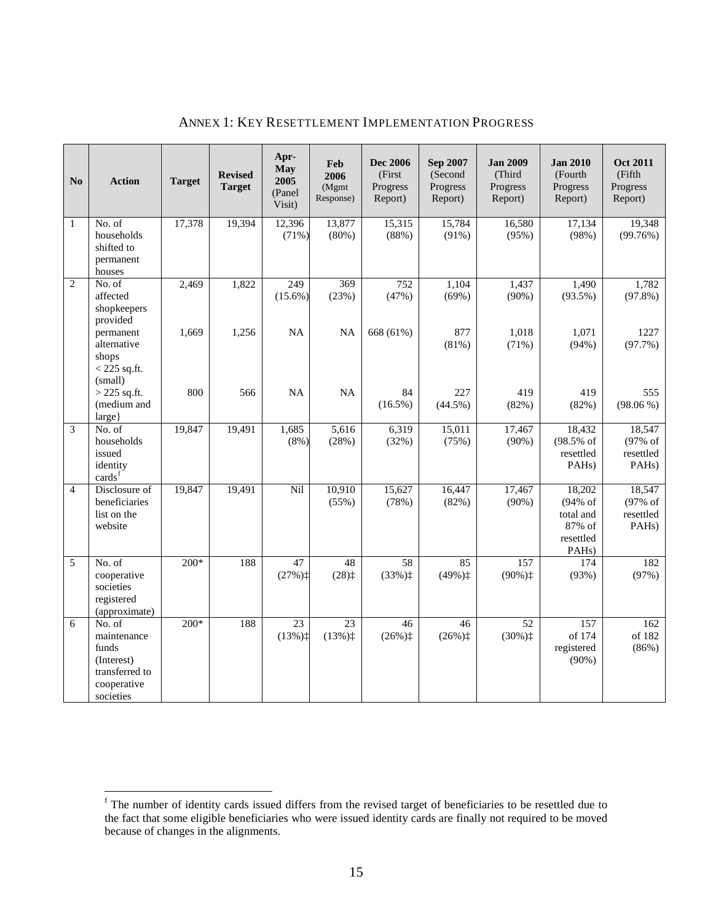| N <sub>0</sub> | <b>Action</b>                                                                              | <b>Target</b> | <b>Revised</b><br><b>Target</b> | Apr-<br>May<br>2005<br>(Panel<br>Visit)                     | Feb<br>2006<br>(Mgmt<br>Response)             | <b>Dec 2006</b><br>(First<br>Progress<br>Report) | <b>Sep 2007</b><br>(Second<br>Progress<br>Report) | <b>Jan 2009</b><br>(Third<br>Progress<br>Report) | <b>Jan 2010</b><br>(Fourth<br>Progress<br>Report)                                       | <b>Oct 2011</b><br>(Fifth<br>Progress<br>Report)       |
|----------------|--------------------------------------------------------------------------------------------|---------------|---------------------------------|-------------------------------------------------------------|-----------------------------------------------|--------------------------------------------------|---------------------------------------------------|--------------------------------------------------|-----------------------------------------------------------------------------------------|--------------------------------------------------------|
| 1              | No. of<br>households<br>shifted to<br>permanent<br>houses                                  | 17,378        | 19,394                          | 12,396<br>(71%)                                             | 13,877<br>(80%)                               | 15,315<br>(88%)                                  | 15,784<br>(91%)                                   | 16,580<br>(95%)                                  | 17,134<br>(98%)                                                                         | 19,348<br>(99.76%)                                     |
| $\overline{2}$ | No. of<br>affected<br>shopkeepers<br>provided                                              | 2,469         | 1,822                           | 249<br>$(15.6\%)$                                           | 369<br>(23%)                                  | $\overline{752}$<br>(47%)                        | 1,104<br>(69%)                                    | 1,437<br>$(90\%)$                                | 1,490<br>$(93.5\%)$                                                                     | 1,782<br>$(97.8\%)$                                    |
|                | permanent<br>alternative<br>shops<br>$<$ 225 sq.ft.<br>(small)                             | 1,669         | 1,256                           | NA                                                          | <b>NA</b>                                     | 668 (61%)                                        | 877<br>(81%)                                      | 1,018<br>(71%)                                   | 1,071<br>(94%)                                                                          | 1227<br>(97.7%)                                        |
|                | $>$ 225 sq.ft.<br>(medium and<br>$large\}$                                                 | 800           | 566                             | <b>NA</b>                                                   | <b>NA</b>                                     | 84<br>$(16.5\%)$                                 | 227<br>$(44.5\%)$                                 | 419<br>(82%)                                     | 419<br>(82%)                                                                            | 555<br>$(98.06\%)$                                     |
| 3              | No. of<br>households<br>issued<br>identity<br>cards <sup>f</sup>                           | 19,847        | 19,491                          | 1,685<br>$(8\%)$                                            | 5,616<br>(28%)                                | 6,319<br>(32%)                                   | 15,011<br>(75%)                                   | 17,467<br>$(90\%)$                               | 18,432<br>$(98.5%$ of<br>resettled<br>PAH <sub>s</sub> )                                | 18,547<br>(97% of<br>resettled<br>PAH <sub>s</sub> )   |
| $\overline{4}$ | Disclosure of<br>beneficiaries<br>list on the<br>website                                   | 19,847        | 19,491                          | Nil                                                         | 10,910<br>(55%)                               | 15,627<br>(78%)                                  | 16,447<br>(82%)                                   | 17,467<br>$(90\%)$                               | 18,202<br>$(94\% \text{ of }$<br>total and<br>87% of<br>resettled<br>PAH <sub>s</sub> ) | 18,547<br>$(97%$ of<br>resettled<br>PAH <sub>s</sub> ) |
| 5              | No. of<br>cooperative<br>societies<br>registered<br>(approximate)                          | $200*$        | 188                             | 47<br>$(27%)$ ‡                                             | 48<br>$(28)$ <sup><math>\ddagger</math></sup> | 58<br>$(33%)_1^*$                                | 85<br>$(49%)_1^+$                                 | 157<br>$(90\%)$ <sup>+</sup>                     | 174<br>(93%)                                                                            | 182<br>(97%)                                           |
| 6              | No. of<br>maintenance<br>funds<br>(Interest)<br>transferred to<br>cooperative<br>societies | $200*$        | 188                             | $\overline{23}$<br>$(13%)$ <sup><math>\ddagger</math></sup> | 23<br>$(13%)_1^*$                             | 46<br>$(26\%)\ddagger$                           | 46<br>$(26\%)\ddagger$                            | 52<br>$(30\%)\ddagger$                           | 157<br>of 174<br>registered<br>$(90\%)$                                                 | 162<br>of 182<br>(86%)                                 |

## ANNEX 1: KEY RESETTLEMENT IMPLEMENTATION PROGRESS

<span id="page-22-0"></span>f The number of identity cards issued differs from the revised target of beneficiaries to be resettled due to the fact that some eligible beneficiaries who were issued identity cards are finally not required to be moved because of changes in the alignments.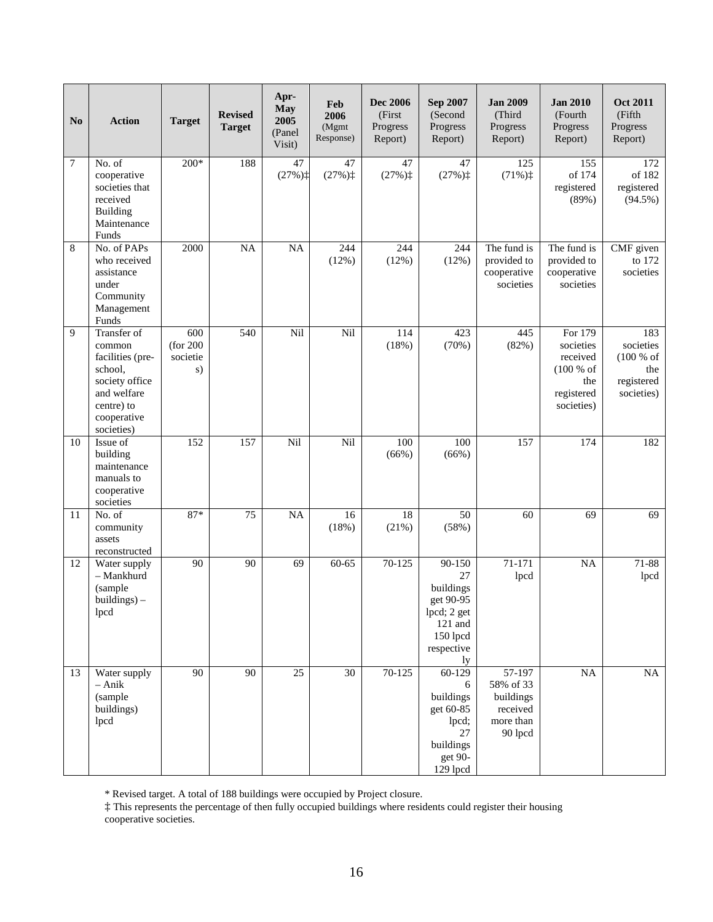| N <sub>0</sub>  | <b>Action</b>                                                                                                                    | <b>Target</b>                      | <b>Revised</b><br><b>Target</b> | Apr-<br><b>May</b><br>2005<br>(Panel<br>Visit) | Feb<br>2006<br>(Mgmt<br>Response) | <b>Dec 2006</b><br>(First<br>Progress<br>Report) | Sep 2007<br>(Second<br>Progress<br>Report)                                                       | <b>Jan 2009</b><br>(Third<br>Progress<br>Report)                     | <b>Jan 2010</b><br>(Fourth<br>Progress<br>Report)                                | <b>Oct 2011</b><br>(Fifth<br>Progress<br>Report)                 |
|-----------------|----------------------------------------------------------------------------------------------------------------------------------|------------------------------------|---------------------------------|------------------------------------------------|-----------------------------------|--------------------------------------------------|--------------------------------------------------------------------------------------------------|----------------------------------------------------------------------|----------------------------------------------------------------------------------|------------------------------------------------------------------|
| 7               | No. of<br>cooperative<br>societies that<br>received<br>Building<br>Maintenance<br>Funds                                          | $200*$                             | 188                             | 47<br>$(27%)$ <sup>+</sup>                     | 47<br>$(27%)$ <sup>+</sup>        | 47<br>$(27%)$ <sup>+</sup>                       | 47<br>$(27%)$ <sup>+</sup>                                                                       | 125<br>$(71\%)^+$                                                    | 155<br>of 174<br>registered<br>(89%)                                             | 172<br>of 182<br>registered<br>$(94.5\%)$                        |
| 8               | No. of PAPs<br>who received<br>assistance<br>under<br>Community<br>Management<br>Funds                                           | 2000                               | <b>NA</b>                       | <b>NA</b>                                      | 244<br>(12%)                      | 244<br>(12%)                                     | 244<br>(12%)                                                                                     | The fund is<br>provided to<br>cooperative<br>societies               | The fund is<br>provided to<br>cooperative<br>societies                           | CMF given<br>to 172<br>societies                                 |
| 9               | Transfer of<br>common<br>facilities (pre-<br>school,<br>society office<br>and welfare<br>centre) to<br>cooperative<br>societies) | 600<br>(for 200)<br>societie<br>s) | 540                             | Nil                                            | Nil                               | 114<br>(18%)                                     | 423<br>(70%)                                                                                     | 445<br>(82%)                                                         | For 179<br>societies<br>received<br>(100 % of<br>the<br>registered<br>societies) | 183<br>societies<br>(100 % of<br>the<br>registered<br>societies) |
| 10              | Issue of<br>building<br>maintenance<br>manuals to<br>cooperative<br>societies                                                    | 152                                | 157                             | Nil                                            | Nil                               | 100<br>(66%)                                     | 100<br>(66%)                                                                                     | 157                                                                  | 174                                                                              | 182                                                              |
| 11              | No. of<br>community<br>assets<br>reconstructed                                                                                   | $87*$                              | 75                              | <b>NA</b>                                      | 16<br>(18%)                       | 18<br>(21%)                                      | 50<br>(58%)                                                                                      | 60                                                                   | 69                                                                               | 69                                                               |
| 12              | Water supply<br>- Mankhurd<br>(sample<br>$building$ ) $-$<br>lpcd                                                                | 90                                 | 90                              | 69                                             | $60 - 65$                         | 70-125                                           | 90-150<br>27<br>buildings<br>get 90-95<br>lpcd; 2 get<br>121 and<br>150 lpcd<br>respective<br>ly | 71-171<br>lpcd                                                       | <b>NA</b>                                                                        | 71-88<br>lpcd                                                    |
| $\overline{13}$ | Water supply<br>– Anik<br>(sample<br>buildings)<br>lpcd                                                                          | 90                                 | 90                              | $\overline{25}$                                | $\overline{30}$                   | $70 - 125$                                       | $60 - 129$<br>6<br>buildings<br>get 60-85<br>lpcd;<br>27<br>buildings<br>get 90-<br>129 lpcd     | 57-197<br>58% of 33<br>buildings<br>received<br>more than<br>90 lpcd | <b>NA</b>                                                                        | NA                                                               |

\* Revised target. A total of 188 buildings were occupied by Project closure.

‡ This represents the percentage of then fully occupied buildings where residents could register their housing cooperative societies.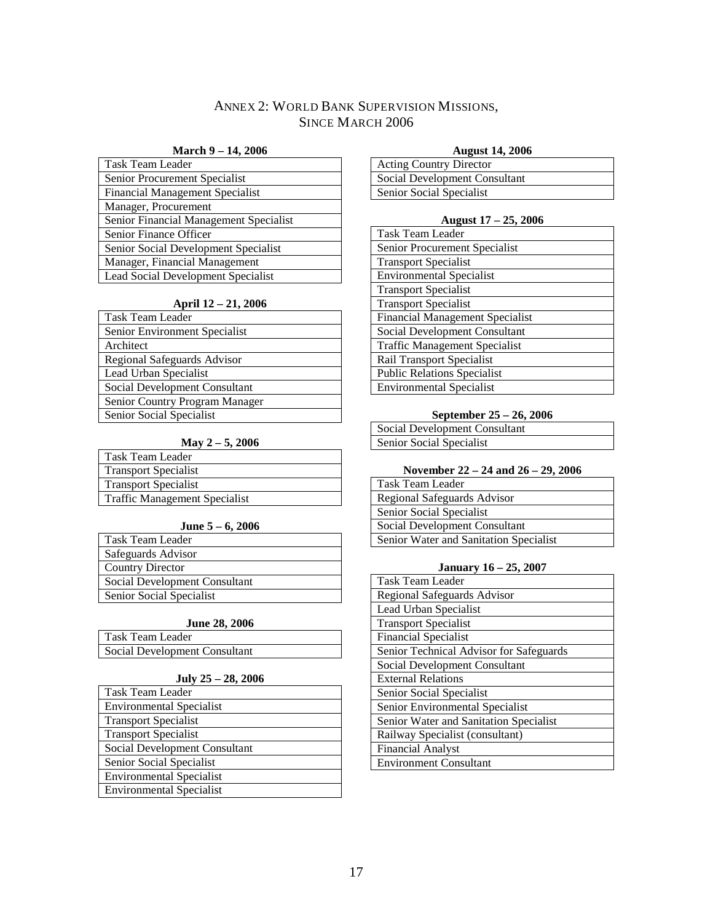## ANNEX 2: WORLD BANK SUPERVISION MISSIONS, SINCE MARCH 2006

#### **March 9 – 14, 2006**

<span id="page-24-0"></span>

| Task Team Leader                       |
|----------------------------------------|
| Senior Procurement Specialist          |
| <b>Financial Management Specialist</b> |
| Manager, Procurement                   |
| Senior Financial Management Specialist |
| Senior Finance Officer                 |
| Senior Social Development Specialist   |
| Manager, Financial Management          |
| Lead Social Development Specialist     |

## **April 12 – 21, 2006**

| Task Team Leader               |
|--------------------------------|
| Senior Environment Specialist  |
| Architect                      |
| Regional Safeguards Advisor    |
| Lead Urban Specialist          |
| Social Development Consultant  |
| Senior Country Program Manager |
| Senior Social Specialist       |

## **May 2 – 5, 2006**

| Task Team Leader                     |
|--------------------------------------|
| <b>Transport Specialist</b>          |
| <b>Transport Specialist</b>          |
| <b>Traffic Management Specialist</b> |

## **June 5 – 6, 2006**

| Task Team Leader              |
|-------------------------------|
| Safeguards Advisor            |
| <b>Country Director</b>       |
| Social Development Consultant |
| Senior Social Specialist      |

## **June 28, 2006**

| Task Team Leader              |  |
|-------------------------------|--|
| Social Development Consultant |  |

### **July 25 – 28, 2006**

| <b>Task Team Leader</b>         |
|---------------------------------|
| <b>Environmental Specialist</b> |
| <b>Transport Specialist</b>     |
| <b>Transport Specialist</b>     |
| Social Development Consultant   |
| Senior Social Specialist        |
| <b>Environmental Specialist</b> |
| <b>Environmental Specialist</b> |

## **August 14, 2006**

| <b>Acting Country Director</b> |
|--------------------------------|
| Social Development Consultant  |
| Senior Social Specialist       |

## **August 17 – 25, 2006**

| <b>Task Team Leader</b>                |
|----------------------------------------|
| Senior Procurement Specialist          |
| <b>Transport Specialist</b>            |
| <b>Environmental Specialist</b>        |
| <b>Transport Specialist</b>            |
| <b>Transport Specialist</b>            |
| <b>Financial Management Specialist</b> |
| Social Development Consultant          |
| <b>Traffic Management Specialist</b>   |
| <b>Rail Transport Specialist</b>       |
| <b>Public Relations Specialist</b>     |
| <b>Environmental Specialist</b>        |

#### **September 25 – 26, 2006**

|                          | <b>Social Development Consultant</b> |
|--------------------------|--------------------------------------|
| Senior Social Specialist |                                      |

#### **November 22 – 24 and 26 – 29, 2006**

| Task Team Leader                       |
|----------------------------------------|
| Regional Safeguards Advisor            |
| Senior Social Specialist               |
| Social Development Consultant          |
| Senior Water and Sanitation Specialist |

#### **January 16 – 25, 2007**

| <b>Task Team Leader</b>                 |
|-----------------------------------------|
| Regional Safeguards Advisor             |
| Lead Urban Specialist                   |
| <b>Transport Specialist</b>             |
| <b>Financial Specialist</b>             |
| Senior Technical Advisor for Safeguards |
| Social Development Consultant           |
| <b>External Relations</b>               |
| Senior Social Specialist                |
| Senior Environmental Specialist         |
| Senior Water and Sanitation Specialist  |
| Railway Specialist (consultant)         |
| <b>Financial Analyst</b>                |
| <b>Environment Consultant</b>           |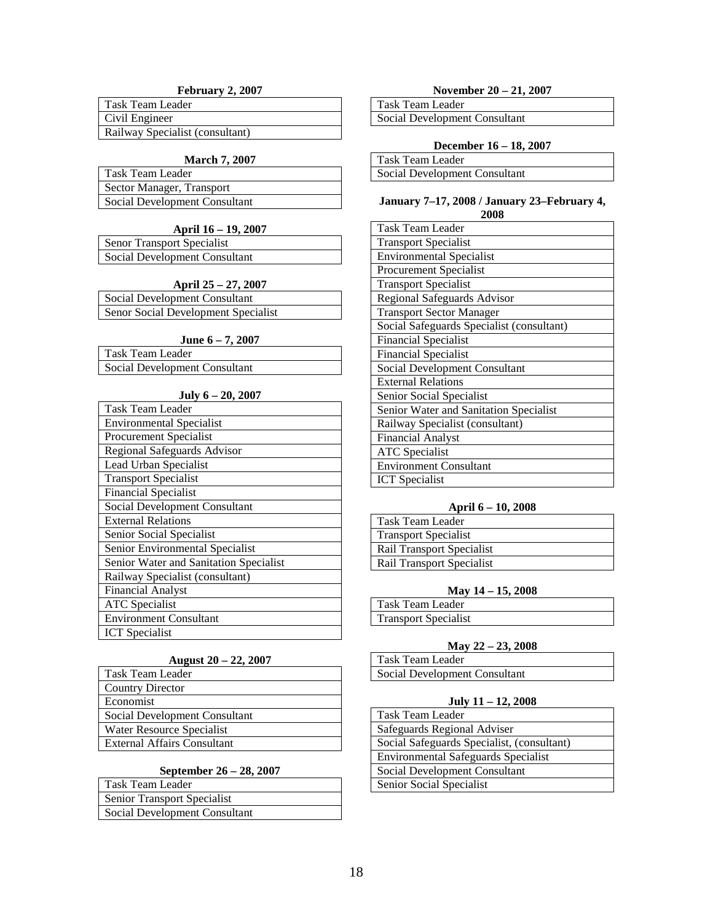## **February 2, 2007**

| l Task Team Leader              |
|---------------------------------|
| Civil Engineer                  |
| Railway Specialist (consultant) |

#### **March 7, 2007**

| Task Team Leader              |
|-------------------------------|
| Sector Manager, Transport     |
| Social Development Consultant |

## **April 16 – 19, 2007**

| <b>Senor Transport Specialist</b> |  |
|-----------------------------------|--|
| Social Development Consultant     |  |

### **April 25 – 27, 2007**

| Social Development Consultant       |  |
|-------------------------------------|--|
| Senor Social Development Specialist |  |

### **June 6 – 7, 2007**

| Task Team Leader              |  |
|-------------------------------|--|
| Social Development Consultant |  |

#### **July 6 – 20, 2007**

| <b>Task Team Leader</b>                |
|----------------------------------------|
| <b>Environmental Specialist</b>        |
| Procurement Specialist                 |
| Regional Safeguards Advisor            |
| Lead Urban Specialist                  |
| <b>Transport Specialist</b>            |
| <b>Financial Specialist</b>            |
| Social Development Consultant          |
| <b>External Relations</b>              |
| Senior Social Specialist               |
| Senior Environmental Specialist        |
| Senior Water and Sanitation Specialist |
| Railway Specialist (consultant)        |
| <b>Financial Analyst</b>               |
| <b>ATC</b> Specialist                  |
| <b>Environment Consultant</b>          |
| <b>ICT</b> Specialist                  |

#### **August 20 – 22, 2007**

| Task Team Leader              |
|-------------------------------|
| <b>Country Director</b>       |
| Economist                     |
| Social Development Consultant |
| Water Resource Specialist     |
| External Affairs Consultant   |

#### **September 26 – 28, 2007**

| l Task Team Leader            |
|-------------------------------|
| Senior Transport Specialist   |
| Social Development Consultant |

## **November 20 – 21, 2007**

Task Team Leader Social Development Consultant

#### **December 16 – 18, 2007**

| Task Team Leader              |  |
|-------------------------------|--|
| Social Development Consultant |  |

#### **January 7–17, 2008 / January 23–February 4, 2008**

| Task Team Leader                          |
|-------------------------------------------|
| <b>Transport Specialist</b>               |
| <b>Environmental Specialist</b>           |
| Procurement Specialist                    |
| <b>Transport Specialist</b>               |
| Regional Safeguards Advisor               |
| <b>Transport Sector Manager</b>           |
| Social Safeguards Specialist (consultant) |
| <b>Financial Specialist</b>               |
| <b>Financial Specialist</b>               |
| Social Development Consultant             |
| <b>External Relations</b>                 |
| Senior Social Specialist                  |
| Senior Water and Sanitation Specialist    |
| Railway Specialist (consultant)           |
| <b>Financial Analyst</b>                  |
| <b>ATC</b> Specialist                     |
| <b>Environment Consultant</b>             |
| <b>ICT</b> Specialist                     |

#### **April 6 – 10, 2008**

| Task Team Leader            |
|-----------------------------|
| <b>Transport Specialist</b> |
| Rail Transport Specialist   |
| Rail Transport Specialist   |

## **May 14 – 15, 2008**

| Task Team Leader            |  |
|-----------------------------|--|
| <b>Transport Specialist</b> |  |
|                             |  |

## **May 22 – 23, 2008**

| Task Team Leader              |  |
|-------------------------------|--|
| Social Development Consultant |  |

#### **July 11 – 12, 2008**

| Task Team Leader                           |
|--------------------------------------------|
| Safeguards Regional Adviser                |
| Social Safeguards Specialist, (consultant) |
| Environmental Safeguards Specialist        |
| Social Development Consultant              |
| Senior Social Specialist                   |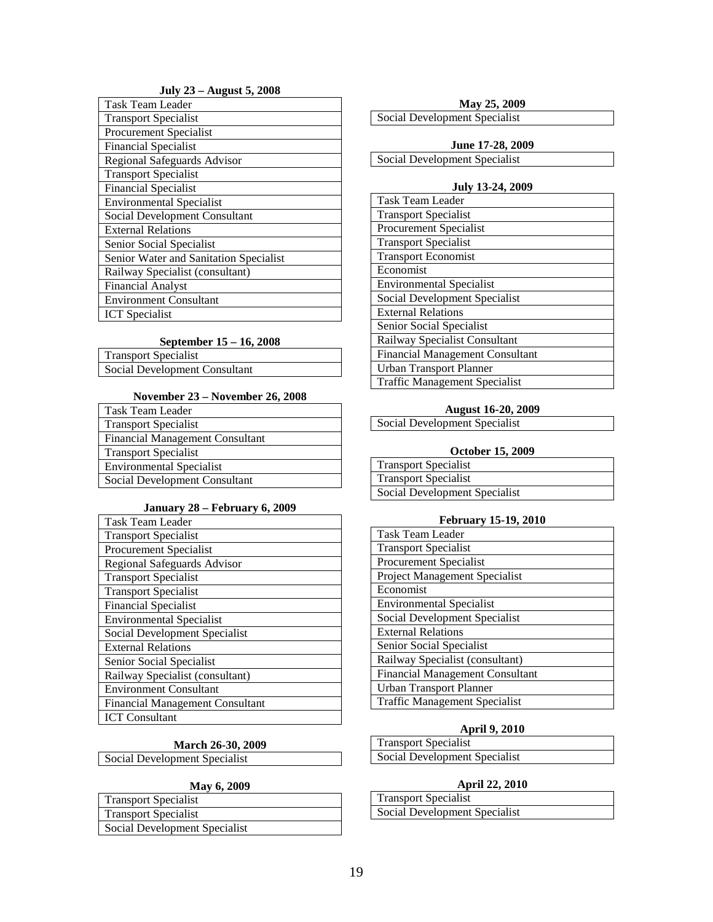## **July 23 – August 5, 2008**

| <b>Task Team Leader</b>                |
|----------------------------------------|
| <b>Transport Specialist</b>            |
| Procurement Specialist                 |
| <b>Financial Specialist</b>            |
| Regional Safeguards Advisor            |
| <b>Transport Specialist</b>            |
| <b>Financial Specialist</b>            |
| <b>Environmental Specialist</b>        |
| Social Development Consultant          |
| <b>External Relations</b>              |
| Senior Social Specialist               |
| Senior Water and Sanitation Specialist |
| Railway Specialist (consultant)        |
| <b>Financial Analyst</b>               |
| <b>Environment Consultant</b>          |
| <b>ICT</b> Specialist                  |

#### **September 15 – 16, 2008**

| <b>Transport Specialist</b>   |  |
|-------------------------------|--|
| Social Development Consultant |  |

## **November 23 – November 26, 2008**

| Task Team Leader                       |
|----------------------------------------|
| <b>Transport Specialist</b>            |
| <b>Financial Management Consultant</b> |
| <b>Transport Specialist</b>            |
| <b>Environmental Specialist</b>        |
| Social Development Consultant          |

## **January 28 – February 6, 2009**

| Task Team Leader                       |
|----------------------------------------|
| <b>Transport Specialist</b>            |
| <b>Procurement Specialist</b>          |
| Regional Safeguards Advisor            |
| <b>Transport Specialist</b>            |
| <b>Transport Specialist</b>            |
| <b>Financial Specialist</b>            |
| <b>Environmental Specialist</b>        |
| Social Development Specialist          |
| <b>External Relations</b>              |
| Senior Social Specialist               |
| Railway Specialist (consultant)        |
| <b>Environment Consultant</b>          |
| <b>Financial Management Consultant</b> |
| <b>ICT</b> Consultant                  |

#### **March 26-30, 2009**

Social Development Specialist

#### **May 6, 2009**

| <b>Transport Specialist</b>   |
|-------------------------------|
| <b>Transport Specialist</b>   |
| Social Development Specialist |

|  |  | May 25, 2009 |
|--|--|--------------|
|--|--|--------------|

Social Development Specialist

**June 17-28, 2009** Social Development Specialist

### **July 13-24, 2009**

| <b>Task Team Leader</b>                |
|----------------------------------------|
| <b>Transport Specialist</b>            |
| <b>Procurement Specialist</b>          |
| <b>Transport Specialist</b>            |
| <b>Transport Economist</b>             |
| Economist                              |
| <b>Environmental Specialist</b>        |
| Social Development Specialist          |
| <b>External Relations</b>              |
| Senior Social Specialist               |
| Railway Specialist Consultant          |
| <b>Financial Management Consultant</b> |
|                                        |
| Urban Transport Planner                |

#### **August 16-20, 2009**

| Social Development Specialist |  |
|-------------------------------|--|
|-------------------------------|--|

#### **October 15, 2009**

| <b>Transport Specialist</b>   |  |
|-------------------------------|--|
| <b>Transport Specialist</b>   |  |
| Social Development Specialist |  |

## **February 15-19, 2010**

| <b>Task Team Leader</b>                |
|----------------------------------------|
| <b>Transport Specialist</b>            |
| Procurement Specialist                 |
| <b>Project Management Specialist</b>   |
| Economist                              |
| <b>Environmental Specialist</b>        |
| Social Development Specialist          |
| <b>External Relations</b>              |
| Senior Social Specialist               |
| Railway Specialist (consultant)        |
| <b>Financial Management Consultant</b> |
| <b>Urban Transport Planner</b>         |
| <b>Traffic Management Specialist</b>   |

## **April 9, 2010**

| Transport Specialist          |  |
|-------------------------------|--|
| Social Development Specialist |  |

#### **April 22, 2010**

| <b>Transport Specialist</b>   |  |
|-------------------------------|--|
| Social Development Specialist |  |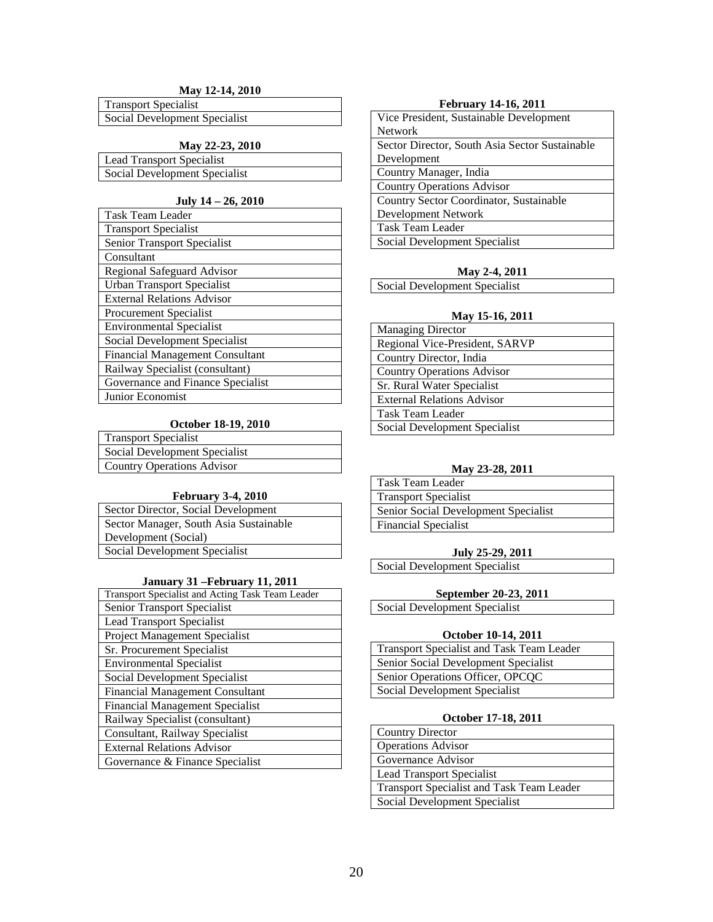## **May 12-14, 2010**

Transport Specialist Social Development Specialist

## **May 22-23, 2010**

Lead Transport Specialist Social Development Specialist

### **July 14 – 26, 2010**

| <b>Task Team Leader</b>                |
|----------------------------------------|
| <b>Transport Specialist</b>            |
| Senior Transport Specialist            |
| Consultant                             |
| Regional Safeguard Advisor             |
| <b>Urban Transport Specialist</b>      |
| <b>External Relations Advisor</b>      |
| <b>Procurement Specialist</b>          |
| <b>Environmental Specialist</b>        |
| Social Development Specialist          |
| <b>Financial Management Consultant</b> |
| Railway Specialist (consultant)        |
| Governance and Finance Specialist      |
| Junior Economist                       |

## **October 18-19, 2010**

| <b>Transport Specialist</b>   |
|-------------------------------|
| Social Development Specialist |
| Country Operations Advisor    |
|                               |

#### **February 3-4, 2010**

#### **January 31 –February 11, 2011**

| Transport Specialist and Acting Task Team Leader |
|--------------------------------------------------|
| Senior Transport Specialist                      |
| <b>Lead Transport Specialist</b>                 |
| <b>Project Management Specialist</b>             |
| Sr. Procurement Specialist                       |
| <b>Environmental Specialist</b>                  |
| Social Development Specialist                    |
| <b>Financial Management Consultant</b>           |
| <b>Financial Management Specialist</b>           |
| Railway Specialist (consultant)                  |
| Consultant, Railway Specialist                   |
| <b>External Relations Advisor</b>                |
| Governance & Finance Specialist                  |

#### **February 14-16, 2011**

| Vice President, Sustainable Development        |
|------------------------------------------------|
| <b>Network</b>                                 |
| Sector Director, South Asia Sector Sustainable |
| Development                                    |
| Country Manager, India                         |
| <b>Country Operations Advisor</b>              |
| Country Sector Coordinator, Sustainable        |
| Development Network                            |
| <b>Task Team Leader</b>                        |
| Social Development Specialist                  |

#### **May 2-4, 2011**

Social Development Specialist

#### **May 15-16, 2011**

| <b>Managing Director</b>          |
|-----------------------------------|
| Regional Vice-President, SARVP    |
| Country Director, India           |
| <b>Country Operations Advisor</b> |
| Sr. Rural Water Specialist        |
| <b>External Relations Advisor</b> |
| Task Team Leader                  |
| Social Development Specialist     |

#### **May 23-28, 2011**

| Task Team Leader                     |
|--------------------------------------|
| <b>Transport Specialist</b>          |
| Senior Social Development Specialist |
| <b>Financial Specialist</b>          |

#### **July 25-29, 2011**

Social Development Specialist

## **September 20-23, 2011**

Social Development Specialist

#### **October 10-14, 2011**

| <b>Transport Specialist and Task Team Leader</b> |
|--------------------------------------------------|
| Senior Social Development Specialist             |
| Senior Operations Officer, OPCQC                 |
| Social Development Specialist                    |

#### **October 17-18, 2011**

| <b>Country Director</b>                   |
|-------------------------------------------|
| <b>Operations Advisor</b>                 |
| Governance Advisor                        |
| <b>Lead Transport Specialist</b>          |
| Transport Specialist and Task Team Leader |
| Social Development Specialist             |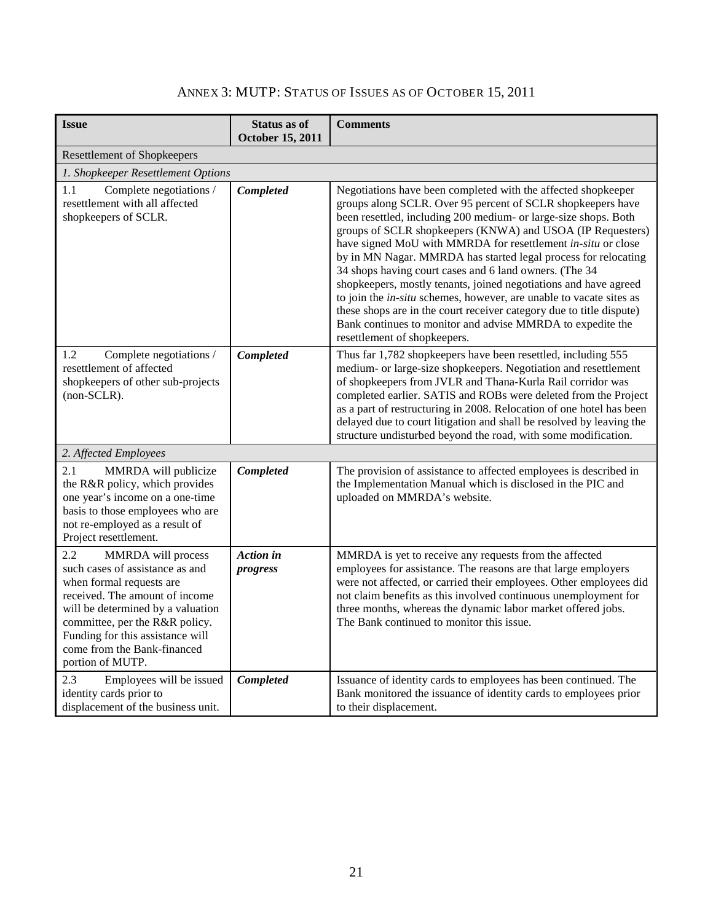| ANNEX 3: MUTP: STATUS OF ISSUES AS OF OCTOBER 15, 2011 |  |  |  |  |
|--------------------------------------------------------|--|--|--|--|
|--------------------------------------------------------|--|--|--|--|

<span id="page-28-0"></span>

| <b>Issue</b>                                                                                                                                                                                                                                                                             | <b>Status as of</b><br><b>October 15, 2011</b> | <b>Comments</b>                                                                                                                                                                                                                                                                                                                                                                                                                                                                                                                                                                                                                                                                                                                                                            |
|------------------------------------------------------------------------------------------------------------------------------------------------------------------------------------------------------------------------------------------------------------------------------------------|------------------------------------------------|----------------------------------------------------------------------------------------------------------------------------------------------------------------------------------------------------------------------------------------------------------------------------------------------------------------------------------------------------------------------------------------------------------------------------------------------------------------------------------------------------------------------------------------------------------------------------------------------------------------------------------------------------------------------------------------------------------------------------------------------------------------------------|
| <b>Resettlement of Shopkeepers</b>                                                                                                                                                                                                                                                       |                                                |                                                                                                                                                                                                                                                                                                                                                                                                                                                                                                                                                                                                                                                                                                                                                                            |
| 1. Shopkeeper Resettlement Options                                                                                                                                                                                                                                                       |                                                |                                                                                                                                                                                                                                                                                                                                                                                                                                                                                                                                                                                                                                                                                                                                                                            |
| Complete negotiations /<br>1.1<br>resettlement with all affected<br>shopkeepers of SCLR.                                                                                                                                                                                                 | <b>Completed</b>                               | Negotiations have been completed with the affected shopkeeper<br>groups along SCLR. Over 95 percent of SCLR shopkeepers have<br>been resettled, including 200 medium- or large-size shops. Both<br>groups of SCLR shopkeepers (KNWA) and USOA (IP Requesters)<br>have signed MoU with MMRDA for resettlement in-situ or close<br>by in MN Nagar. MMRDA has started legal process for relocating<br>34 shops having court cases and 6 land owners. (The 34<br>shopkeepers, mostly tenants, joined negotiations and have agreed<br>to join the in-situ schemes, however, are unable to vacate sites as<br>these shops are in the court receiver category due to title dispute)<br>Bank continues to monitor and advise MMRDA to expedite the<br>resettlement of shopkeepers. |
| 1.2<br>Complete negotiations /<br>resettlement of affected<br>shopkeepers of other sub-projects<br>$non-SCLR$ ).                                                                                                                                                                         | Completed                                      | Thus far 1,782 shopkeepers have been resettled, including 555<br>medium- or large-size shopkeepers. Negotiation and resettlement<br>of shopkeepers from JVLR and Thana-Kurla Rail corridor was<br>completed earlier. SATIS and ROBs were deleted from the Project<br>as a part of restructuring in 2008. Relocation of one hotel has been<br>delayed due to court litigation and shall be resolved by leaving the<br>structure undisturbed beyond the road, with some modification.                                                                                                                                                                                                                                                                                        |
| 2. Affected Employees                                                                                                                                                                                                                                                                    |                                                |                                                                                                                                                                                                                                                                                                                                                                                                                                                                                                                                                                                                                                                                                                                                                                            |
| 2.1<br>MMRDA will publicize<br>the R&R policy, which provides<br>one year's income on a one-time<br>basis to those employees who are<br>not re-employed as a result of<br>Project resettlement.                                                                                          | <b>Completed</b>                               | The provision of assistance to affected employees is described in<br>the Implementation Manual which is disclosed in the PIC and<br>uploaded on MMRDA's website.                                                                                                                                                                                                                                                                                                                                                                                                                                                                                                                                                                                                           |
| 2.2<br>MMRDA will process<br>such cases of assistance as and<br>when formal requests are<br>received. The amount of income<br>will be determined by a valuation<br>committee, per the R&R policy.<br>Funding for this assistance will<br>come from the Bank-financed<br>portion of MUTP. | Action in<br>progress                          | MMRDA is yet to receive any requests from the affected<br>employees for assistance. The reasons are that large employers<br>were not affected, or carried their employees. Other employees did<br>not claim benefits as this involved continuous unemployment for<br>three months, whereas the dynamic labor market offered jobs.<br>The Bank continued to monitor this issue.                                                                                                                                                                                                                                                                                                                                                                                             |
| 2.3<br>Employees will be issued<br>identity cards prior to<br>displacement of the business unit.                                                                                                                                                                                         | Completed                                      | Issuance of identity cards to employees has been continued. The<br>Bank monitored the issuance of identity cards to employees prior<br>to their displacement.                                                                                                                                                                                                                                                                                                                                                                                                                                                                                                                                                                                                              |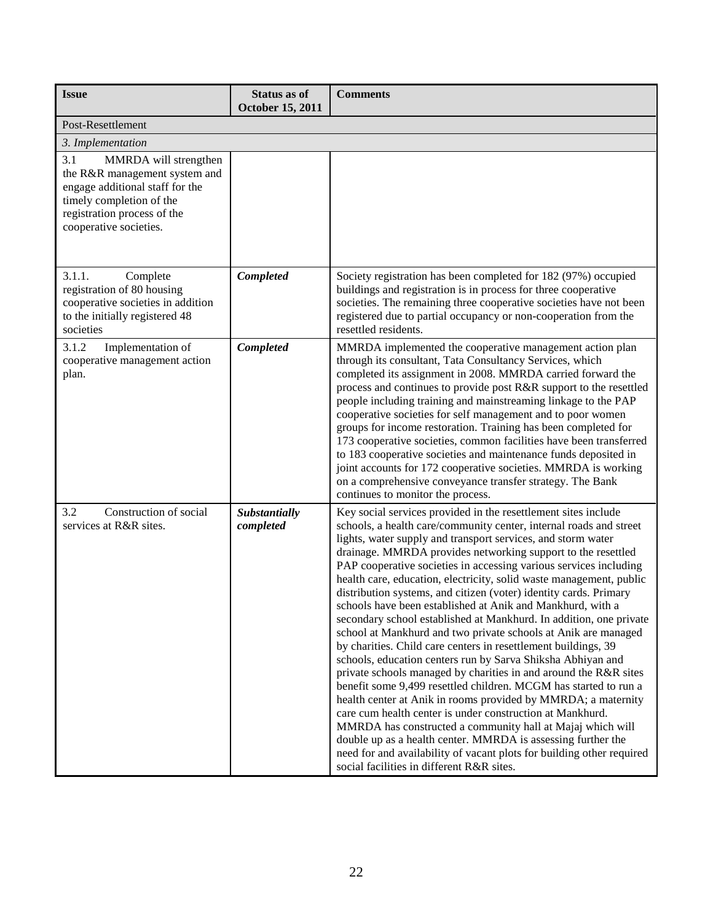| <b>Issue</b>                                                                                                                                                                          | <b>Status as of</b><br>October 15, 2011 | <b>Comments</b>                                                                                                                                                                                                                                                                                                                                                                                                                                                                                                                                                                                                                                                                                                                                                                                                                                                                                                                                                                                                                                                                                                                                                                                                                                                                                                                                        |
|---------------------------------------------------------------------------------------------------------------------------------------------------------------------------------------|-----------------------------------------|--------------------------------------------------------------------------------------------------------------------------------------------------------------------------------------------------------------------------------------------------------------------------------------------------------------------------------------------------------------------------------------------------------------------------------------------------------------------------------------------------------------------------------------------------------------------------------------------------------------------------------------------------------------------------------------------------------------------------------------------------------------------------------------------------------------------------------------------------------------------------------------------------------------------------------------------------------------------------------------------------------------------------------------------------------------------------------------------------------------------------------------------------------------------------------------------------------------------------------------------------------------------------------------------------------------------------------------------------------|
| Post-Resettlement                                                                                                                                                                     |                                         |                                                                                                                                                                                                                                                                                                                                                                                                                                                                                                                                                                                                                                                                                                                                                                                                                                                                                                                                                                                                                                                                                                                                                                                                                                                                                                                                                        |
| 3. Implementation                                                                                                                                                                     |                                         |                                                                                                                                                                                                                                                                                                                                                                                                                                                                                                                                                                                                                                                                                                                                                                                                                                                                                                                                                                                                                                                                                                                                                                                                                                                                                                                                                        |
| 3.1<br>MMRDA will strengthen<br>the R&R management system and<br>engage additional staff for the<br>timely completion of the<br>registration process of the<br>cooperative societies. |                                         |                                                                                                                                                                                                                                                                                                                                                                                                                                                                                                                                                                                                                                                                                                                                                                                                                                                                                                                                                                                                                                                                                                                                                                                                                                                                                                                                                        |
| 3.1.1.<br>Complete<br>registration of 80 housing<br>cooperative societies in addition<br>to the initially registered 48<br>societies                                                  | <b>Completed</b>                        | Society registration has been completed for 182 (97%) occupied<br>buildings and registration is in process for three cooperative<br>societies. The remaining three cooperative societies have not been<br>registered due to partial occupancy or non-cooperation from the<br>resettled residents.                                                                                                                                                                                                                                                                                                                                                                                                                                                                                                                                                                                                                                                                                                                                                                                                                                                                                                                                                                                                                                                      |
| 3.1.2<br>Implementation of<br>cooperative management action<br>plan.                                                                                                                  | Completed                               | MMRDA implemented the cooperative management action plan<br>through its consultant, Tata Consultancy Services, which<br>completed its assignment in 2008. MMRDA carried forward the<br>process and continues to provide post R&R support to the resettled<br>people including training and mainstreaming linkage to the PAP<br>cooperative societies for self management and to poor women<br>groups for income restoration. Training has been completed for<br>173 cooperative societies, common facilities have been transferred<br>to 183 cooperative societies and maintenance funds deposited in<br>joint accounts for 172 cooperative societies. MMRDA is working<br>on a comprehensive conveyance transfer strategy. The Bank<br>continues to monitor the process.                                                                                                                                                                                                                                                                                                                                                                                                                                                                                                                                                                              |
| Construction of social<br>3.2<br>services at R&R sites.                                                                                                                               | Substantially<br>completed              | Key social services provided in the resettlement sites include<br>schools, a health care/community center, internal roads and street<br>lights, water supply and transport services, and storm water<br>drainage. MMRDA provides networking support to the resettled<br>PAP cooperative societies in accessing various services including<br>health care, education, electricity, solid waste management, public<br>distribution systems, and citizen (voter) identity cards. Primary<br>schools have been established at Anik and Mankhurd, with a<br>secondary school established at Mankhurd. In addition, one private<br>school at Mankhurd and two private schools at Anik are managed<br>by charities. Child care centers in resettlement buildings, 39<br>schools, education centers run by Sarva Shiksha Abhiyan and<br>private schools managed by charities in and around the R&R sites<br>benefit some 9,499 resettled children. MCGM has started to run a<br>health center at Anik in rooms provided by MMRDA; a maternity<br>care cum health center is under construction at Mankhurd.<br>MMRDA has constructed a community hall at Majaj which will<br>double up as a health center. MMRDA is assessing further the<br>need for and availability of vacant plots for building other required<br>social facilities in different R&R sites. |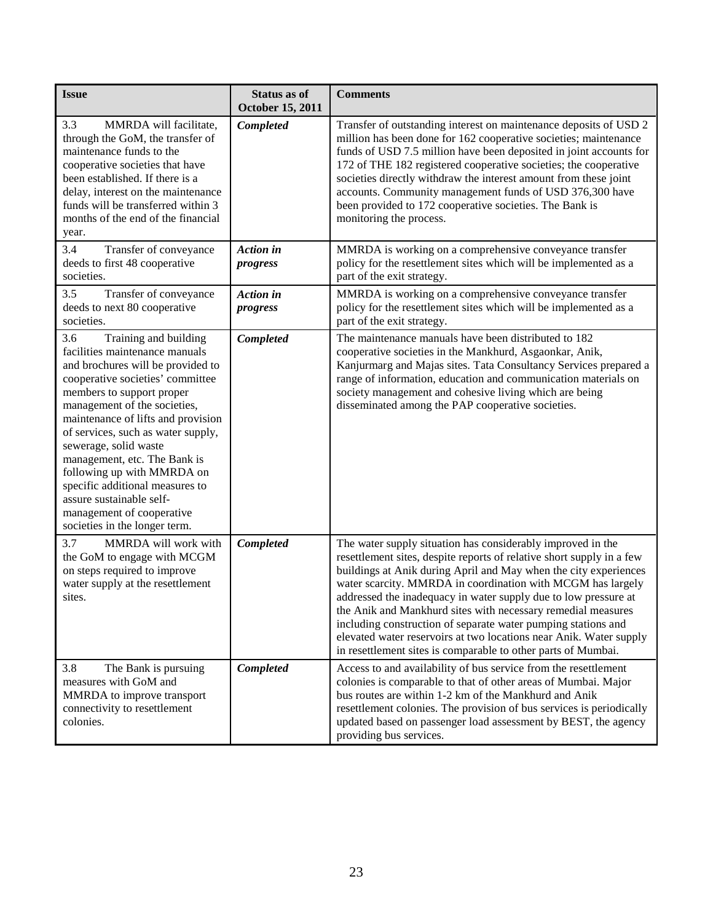| <b>Issue</b>                                                                                                                                                                                                                                                                                                                                                                                                                                                                                         | Status as of<br><b>October 15, 2011</b> | <b>Comments</b>                                                                                                                                                                                                                                                                                                                                                                                                                                                                                                                                                                                                    |
|------------------------------------------------------------------------------------------------------------------------------------------------------------------------------------------------------------------------------------------------------------------------------------------------------------------------------------------------------------------------------------------------------------------------------------------------------------------------------------------------------|-----------------------------------------|--------------------------------------------------------------------------------------------------------------------------------------------------------------------------------------------------------------------------------------------------------------------------------------------------------------------------------------------------------------------------------------------------------------------------------------------------------------------------------------------------------------------------------------------------------------------------------------------------------------------|
| MMRDA will facilitate,<br>3.3<br>through the GoM, the transfer of<br>maintenance funds to the<br>cooperative societies that have<br>been established. If there is a<br>delay, interest on the maintenance<br>funds will be transferred within 3<br>months of the end of the financial<br>year.                                                                                                                                                                                                       | Completed                               | Transfer of outstanding interest on maintenance deposits of USD 2<br>million has been done for 162 cooperative societies; maintenance<br>funds of USD 7.5 million have been deposited in joint accounts for<br>172 of THE 182 registered cooperative societies; the cooperative<br>societies directly withdraw the interest amount from these joint<br>accounts. Community management funds of USD 376,300 have<br>been provided to 172 cooperative societies. The Bank is<br>monitoring the process.                                                                                                              |
| 3.4<br>Transfer of conveyance<br>deeds to first 48 cooperative<br>societies.                                                                                                                                                                                                                                                                                                                                                                                                                         | <b>Action</b> in<br>progress            | MMRDA is working on a comprehensive conveyance transfer<br>policy for the resettlement sites which will be implemented as a<br>part of the exit strategy.                                                                                                                                                                                                                                                                                                                                                                                                                                                          |
| 3.5<br>Transfer of conveyance<br>deeds to next 80 cooperative<br>societies.                                                                                                                                                                                                                                                                                                                                                                                                                          | <b>Action</b> in<br>progress            | MMRDA is working on a comprehensive conveyance transfer<br>policy for the resettlement sites which will be implemented as a<br>part of the exit strategy.                                                                                                                                                                                                                                                                                                                                                                                                                                                          |
| 3.6<br>Training and building<br>facilities maintenance manuals<br>and brochures will be provided to<br>cooperative societies' committee<br>members to support proper<br>management of the societies,<br>maintenance of lifts and provision<br>of services, such as water supply,<br>sewerage, solid waste<br>management, etc. The Bank is<br>following up with MMRDA on<br>specific additional measures to<br>assure sustainable self-<br>management of cooperative<br>societies in the longer term. | Completed                               | The maintenance manuals have been distributed to 182<br>cooperative societies in the Mankhurd, Asgaonkar, Anik,<br>Kanjurmarg and Majas sites. Tata Consultancy Services prepared a<br>range of information, education and communication materials on<br>society management and cohesive living which are being<br>disseminated among the PAP cooperative societies.                                                                                                                                                                                                                                               |
| MMRDA will work with<br>3.7<br>the GoM to engage with MCGM<br>on steps required to improve<br>water supply at the resettlement<br>sites.                                                                                                                                                                                                                                                                                                                                                             | Completed                               | The water supply situation has considerably improved in the<br>resettlement sites, despite reports of relative short supply in a few<br>buildings at Anik during April and May when the city experiences<br>water scarcity. MMRDA in coordination with MCGM has largely<br>addressed the inadequacy in water supply due to low pressure at<br>the Anik and Mankhurd sites with necessary remedial measures<br>including construction of separate water pumping stations and<br>elevated water reservoirs at two locations near Anik. Water supply<br>in resettlement sites is comparable to other parts of Mumbai. |
| 3.8<br>The Bank is pursuing<br>measures with GoM and<br>MMRDA to improve transport<br>connectivity to resettlement<br>colonies.                                                                                                                                                                                                                                                                                                                                                                      | Completed                               | Access to and availability of bus service from the resettlement<br>colonies is comparable to that of other areas of Mumbai. Major<br>bus routes are within 1-2 km of the Mankhurd and Anik<br>resettlement colonies. The provision of bus services is periodically<br>updated based on passenger load assessment by BEST, the agency<br>providing bus services.                                                                                                                                                                                                                                                    |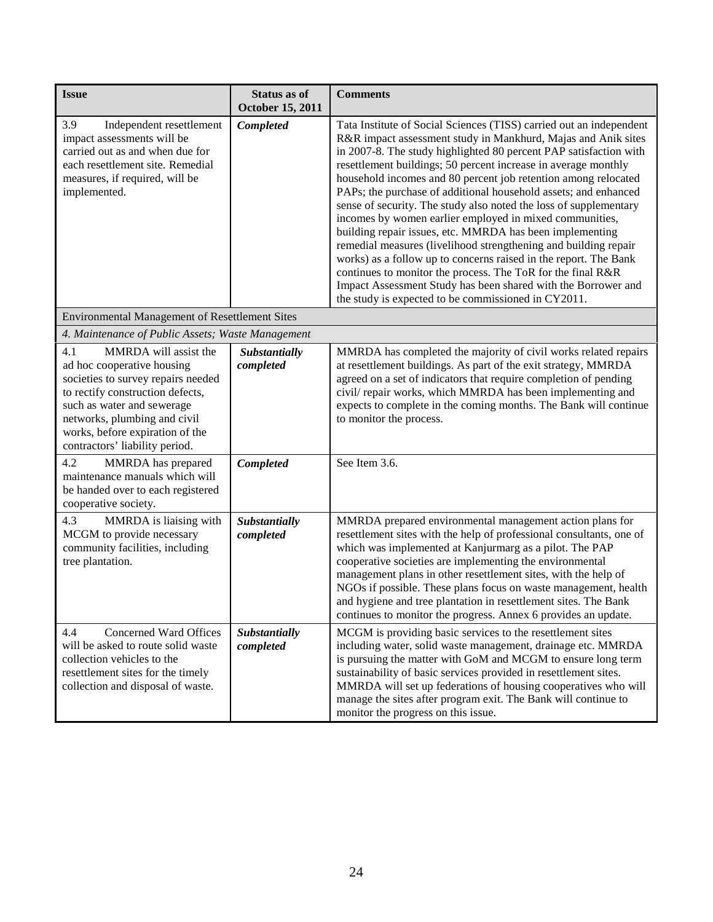| <b>Issue</b>                                                                                                                                                                                                                                                            | Status as of<br>October 15, 2011 | <b>Comments</b>                                                                                                                                                                                                                                                                                                                                                                                                                                                                                                                                                                                                                                                                                                                                                                                                                                                                                                                            |
|-------------------------------------------------------------------------------------------------------------------------------------------------------------------------------------------------------------------------------------------------------------------------|----------------------------------|--------------------------------------------------------------------------------------------------------------------------------------------------------------------------------------------------------------------------------------------------------------------------------------------------------------------------------------------------------------------------------------------------------------------------------------------------------------------------------------------------------------------------------------------------------------------------------------------------------------------------------------------------------------------------------------------------------------------------------------------------------------------------------------------------------------------------------------------------------------------------------------------------------------------------------------------|
| 3.9<br>Independent resettlement<br>impact assessments will be<br>carried out as and when due for<br>each resettlement site. Remedial<br>measures, if required, will be<br>implemented.                                                                                  | Completed                        | Tata Institute of Social Sciences (TISS) carried out an independent<br>R&R impact assessment study in Mankhurd, Majas and Anik sites<br>in 2007-8. The study highlighted 80 percent PAP satisfaction with<br>resettlement buildings; 50 percent increase in average monthly<br>household incomes and 80 percent job retention among relocated<br>PAPs; the purchase of additional household assets; and enhanced<br>sense of security. The study also noted the loss of supplementary<br>incomes by women earlier employed in mixed communities,<br>building repair issues, etc. MMRDA has been implementing<br>remedial measures (livelihood strengthening and building repair<br>works) as a follow up to concerns raised in the report. The Bank<br>continues to monitor the process. The ToR for the final R&R<br>Impact Assessment Study has been shared with the Borrower and<br>the study is expected to be commissioned in CY2011. |
| <b>Environmental Management of Resettlement Sites</b>                                                                                                                                                                                                                   |                                  |                                                                                                                                                                                                                                                                                                                                                                                                                                                                                                                                                                                                                                                                                                                                                                                                                                                                                                                                            |
| 4. Maintenance of Public Assets; Waste Management                                                                                                                                                                                                                       |                                  |                                                                                                                                                                                                                                                                                                                                                                                                                                                                                                                                                                                                                                                                                                                                                                                                                                                                                                                                            |
| 4.1<br>MMRDA will assist the<br>ad hoc cooperative housing<br>societies to survey repairs needed<br>to rectify construction defects,<br>such as water and sewerage<br>networks, plumbing and civil<br>works, before expiration of the<br>contractors' liability period. | Substantially<br>completed       | MMRDA has completed the majority of civil works related repairs<br>at resettlement buildings. As part of the exit strategy, MMRDA<br>agreed on a set of indicators that require completion of pending<br>civil/repair works, which MMRDA has been implementing and<br>expects to complete in the coming months. The Bank will continue<br>to monitor the process.                                                                                                                                                                                                                                                                                                                                                                                                                                                                                                                                                                          |
| 4.2<br>MMRDA has prepared<br>maintenance manuals which will<br>be handed over to each registered<br>cooperative society.                                                                                                                                                | Completed                        | See Item 3.6.                                                                                                                                                                                                                                                                                                                                                                                                                                                                                                                                                                                                                                                                                                                                                                                                                                                                                                                              |
| MMRDA is liaising with<br>4.3<br>MCGM to provide necessary<br>community facilities, including<br>tree plantation.                                                                                                                                                       | Substantially<br>completed       | MMRDA prepared environmental management action plans for<br>resettlement sites with the help of professional consultants, one of<br>which was implemented at Kanjurmarg as a pilot. The PAP<br>cooperative societies are implementing the environmental<br>management plans in other resettlement sites, with the help of<br>NGOs if possible. These plans focus on waste management, health<br>and hygiene and tree plantation in resettlement sites. The Bank<br>continues to monitor the progress. Annex 6 provides an update.                                                                                                                                                                                                                                                                                                                                                                                                          |
| 4.4<br>Concerned Ward Offices<br>will be asked to route solid waste<br>collection vehicles to the<br>resettlement sites for the timely<br>collection and disposal of waste.                                                                                             | Substantially<br>completed       | MCGM is providing basic services to the resettlement sites<br>including water, solid waste management, drainage etc. MMRDA<br>is pursuing the matter with GoM and MCGM to ensure long term<br>sustainability of basic services provided in resettlement sites.<br>MMRDA will set up federations of housing cooperatives who will<br>manage the sites after program exit. The Bank will continue to<br>monitor the progress on this issue.                                                                                                                                                                                                                                                                                                                                                                                                                                                                                                  |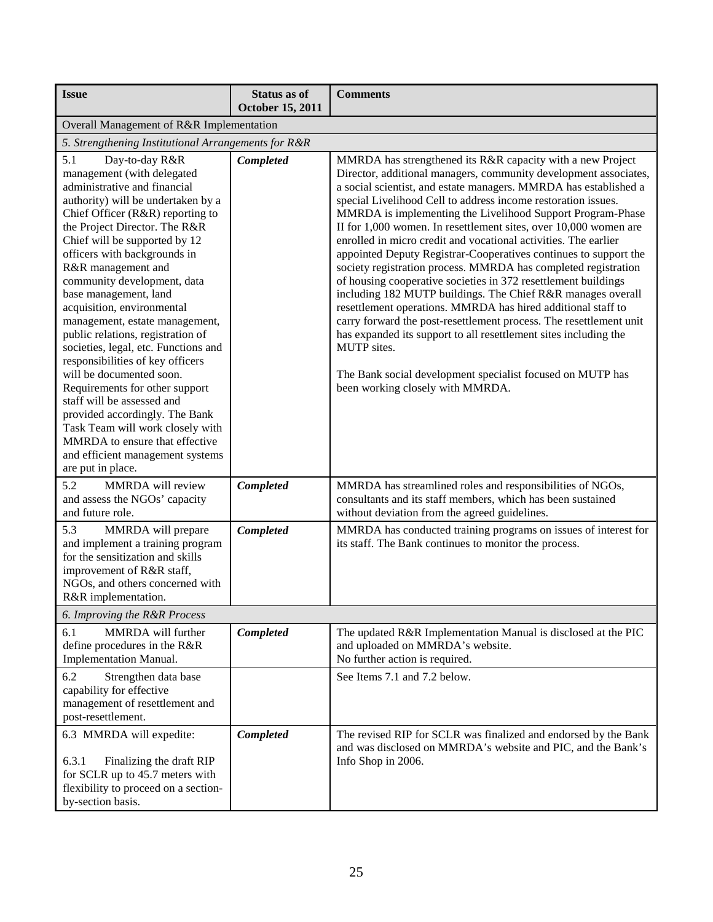| <b>Issue</b>                                                                                                                                                                                                                                                                                                                                                                                                                                                                                                                                                                                                                                                                                                                                                                                | <b>Status as of</b>     | <b>Comments</b>                                                                                                                                                                                                                                                                                                                                                                                                                                                                                                                                                                                                                                                                                                                                                                                                                                                                                                                                                                                                                                                            |  |
|---------------------------------------------------------------------------------------------------------------------------------------------------------------------------------------------------------------------------------------------------------------------------------------------------------------------------------------------------------------------------------------------------------------------------------------------------------------------------------------------------------------------------------------------------------------------------------------------------------------------------------------------------------------------------------------------------------------------------------------------------------------------------------------------|-------------------------|----------------------------------------------------------------------------------------------------------------------------------------------------------------------------------------------------------------------------------------------------------------------------------------------------------------------------------------------------------------------------------------------------------------------------------------------------------------------------------------------------------------------------------------------------------------------------------------------------------------------------------------------------------------------------------------------------------------------------------------------------------------------------------------------------------------------------------------------------------------------------------------------------------------------------------------------------------------------------------------------------------------------------------------------------------------------------|--|
|                                                                                                                                                                                                                                                                                                                                                                                                                                                                                                                                                                                                                                                                                                                                                                                             | <b>October 15, 2011</b> |                                                                                                                                                                                                                                                                                                                                                                                                                                                                                                                                                                                                                                                                                                                                                                                                                                                                                                                                                                                                                                                                            |  |
| Overall Management of R&R Implementation                                                                                                                                                                                                                                                                                                                                                                                                                                                                                                                                                                                                                                                                                                                                                    |                         |                                                                                                                                                                                                                                                                                                                                                                                                                                                                                                                                                                                                                                                                                                                                                                                                                                                                                                                                                                                                                                                                            |  |
| 5. Strengthening Institutional Arrangements for R&R                                                                                                                                                                                                                                                                                                                                                                                                                                                                                                                                                                                                                                                                                                                                         |                         |                                                                                                                                                                                                                                                                                                                                                                                                                                                                                                                                                                                                                                                                                                                                                                                                                                                                                                                                                                                                                                                                            |  |
| 5.1<br>Day-to-day R&R<br>management (with delegated<br>administrative and financial<br>authority) will be undertaken by a<br>Chief Officer (R&R) reporting to<br>the Project Director. The R&R<br>Chief will be supported by 12<br>officers with backgrounds in<br>R&R management and<br>community development, data<br>base management, land<br>acquisition, environmental<br>management, estate management,<br>public relations, registration of<br>societies, legal, etc. Functions and<br>responsibilities of key officers<br>will be documented soon.<br>Requirements for other support<br>staff will be assessed and<br>provided accordingly. The Bank<br>Task Team will work closely with<br>MMRDA to ensure that effective<br>and efficient management systems<br>are put in place. | <b>Completed</b>        | MMRDA has strengthened its R&R capacity with a new Project<br>Director, additional managers, community development associates,<br>a social scientist, and estate managers. MMRDA has established a<br>special Livelihood Cell to address income restoration issues.<br>MMRDA is implementing the Livelihood Support Program-Phase<br>II for 1,000 women. In resettlement sites, over 10,000 women are<br>enrolled in micro credit and vocational activities. The earlier<br>appointed Deputy Registrar-Cooperatives continues to support the<br>society registration process. MMRDA has completed registration<br>of housing cooperative societies in 372 resettlement buildings<br>including 182 MUTP buildings. The Chief R&R manages overall<br>resettlement operations. MMRDA has hired additional staff to<br>carry forward the post-resettlement process. The resettlement unit<br>has expanded its support to all resettlement sites including the<br>MUTP sites.<br>The Bank social development specialist focused on MUTP has<br>been working closely with MMRDA. |  |
| 5.2<br>MMRDA will review<br>and assess the NGOs' capacity<br>and future role.                                                                                                                                                                                                                                                                                                                                                                                                                                                                                                                                                                                                                                                                                                               | Completed               | MMRDA has streamlined roles and responsibilities of NGOs,<br>consultants and its staff members, which has been sustained<br>without deviation from the agreed guidelines.                                                                                                                                                                                                                                                                                                                                                                                                                                                                                                                                                                                                                                                                                                                                                                                                                                                                                                  |  |
| 5.3<br>MMRDA will prepare<br>and implement a training program<br>for the sensitization and skills<br>improvement of R&R staff,<br>NGOs, and others concerned with<br>R&R implementation.                                                                                                                                                                                                                                                                                                                                                                                                                                                                                                                                                                                                    | Completed               | MMRDA has conducted training programs on issues of interest for<br>its staff. The Bank continues to monitor the process.                                                                                                                                                                                                                                                                                                                                                                                                                                                                                                                                                                                                                                                                                                                                                                                                                                                                                                                                                   |  |
| 6. Improving the R&R Process                                                                                                                                                                                                                                                                                                                                                                                                                                                                                                                                                                                                                                                                                                                                                                |                         |                                                                                                                                                                                                                                                                                                                                                                                                                                                                                                                                                                                                                                                                                                                                                                                                                                                                                                                                                                                                                                                                            |  |
| MMRDA will further<br>6.1<br>define procedures in the R&R<br><b>Implementation Manual.</b>                                                                                                                                                                                                                                                                                                                                                                                                                                                                                                                                                                                                                                                                                                  | Completed               | The updated R&R Implementation Manual is disclosed at the PIC<br>and uploaded on MMRDA's website.<br>No further action is required.                                                                                                                                                                                                                                                                                                                                                                                                                                                                                                                                                                                                                                                                                                                                                                                                                                                                                                                                        |  |
| 6.2<br>Strengthen data base<br>capability for effective<br>management of resettlement and<br>post-resettlement.                                                                                                                                                                                                                                                                                                                                                                                                                                                                                                                                                                                                                                                                             |                         | See Items 7.1 and 7.2 below.                                                                                                                                                                                                                                                                                                                                                                                                                                                                                                                                                                                                                                                                                                                                                                                                                                                                                                                                                                                                                                               |  |
| 6.3 MMRDA will expedite:<br>6.3.1<br>Finalizing the draft RIP<br>for SCLR up to 45.7 meters with<br>flexibility to proceed on a section-<br>by-section basis.                                                                                                                                                                                                                                                                                                                                                                                                                                                                                                                                                                                                                               | Completed               | The revised RIP for SCLR was finalized and endorsed by the Bank<br>and was disclosed on MMRDA's website and PIC, and the Bank's<br>Info Shop in 2006.                                                                                                                                                                                                                                                                                                                                                                                                                                                                                                                                                                                                                                                                                                                                                                                                                                                                                                                      |  |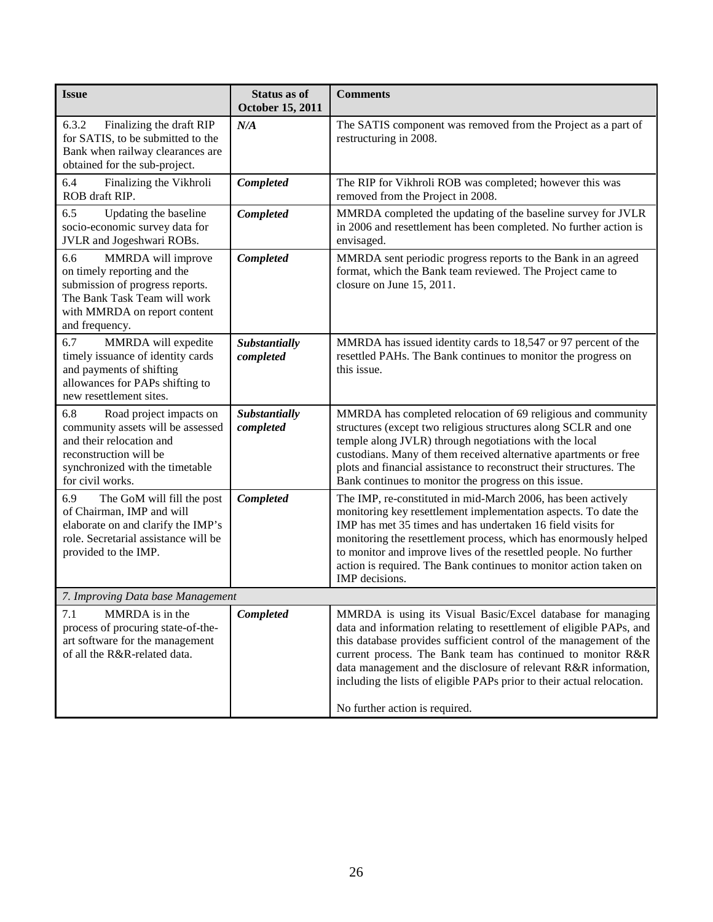| <b>Issue</b>                                                                                                                                                                     | Status as of<br>October 15, 2011 | <b>Comments</b>                                                                                                                                                                                                                                                                                                                                                                                                                                        |  |
|----------------------------------------------------------------------------------------------------------------------------------------------------------------------------------|----------------------------------|--------------------------------------------------------------------------------------------------------------------------------------------------------------------------------------------------------------------------------------------------------------------------------------------------------------------------------------------------------------------------------------------------------------------------------------------------------|--|
| Finalizing the draft RIP<br>6.3.2<br>for SATIS, to be submitted to the<br>Bank when railway clearances are<br>obtained for the sub-project.                                      | N/A                              | The SATIS component was removed from the Project as a part of<br>restructuring in 2008.                                                                                                                                                                                                                                                                                                                                                                |  |
| Finalizing the Vikhroli<br>6.4<br>ROB draft RIP.                                                                                                                                 | Completed                        | The RIP for Vikhroli ROB was completed; however this was<br>removed from the Project in 2008.                                                                                                                                                                                                                                                                                                                                                          |  |
| 6.5<br>Updating the baseline<br>socio-economic survey data for<br>JVLR and Jogeshwari ROBs.                                                                                      | Completed                        | MMRDA completed the updating of the baseline survey for JVLR<br>in 2006 and resettlement has been completed. No further action is<br>envisaged.                                                                                                                                                                                                                                                                                                        |  |
| MMRDA will improve<br>6.6<br>on timely reporting and the<br>submission of progress reports.<br>The Bank Task Team will work<br>with MMRDA on report content<br>and frequency.    | Completed                        | MMRDA sent periodic progress reports to the Bank in an agreed<br>format, which the Bank team reviewed. The Project came to<br>closure on June 15, 2011.                                                                                                                                                                                                                                                                                                |  |
| 6.7<br>MMRDA will expedite<br>timely issuance of identity cards<br>and payments of shifting<br>allowances for PAPs shifting to<br>new resettlement sites.                        | Substantially<br>completed       | MMRDA has issued identity cards to 18,547 or 97 percent of the<br>resettled PAHs. The Bank continues to monitor the progress on<br>this issue.                                                                                                                                                                                                                                                                                                         |  |
| Road project impacts on<br>6.8<br>community assets will be assessed<br>and their relocation and<br>reconstruction will be<br>synchronized with the timetable<br>for civil works. | Substantially<br>completed       | MMRDA has completed relocation of 69 religious and community<br>structures (except two religious structures along SCLR and one<br>temple along JVLR) through negotiations with the local<br>custodians. Many of them received alternative apartments or free<br>plots and financial assistance to reconstruct their structures. The<br>Bank continues to monitor the progress on this issue.                                                           |  |
| The GoM will fill the post<br>6.9<br>of Chairman, IMP and will<br>elaborate on and clarify the IMP's<br>role. Secretarial assistance will be<br>provided to the IMP.             | Completed                        | The IMP, re-constituted in mid-March 2006, has been actively<br>monitoring key resettlement implementation aspects. To date the<br>IMP has met 35 times and has undertaken 16 field visits for<br>monitoring the resettlement process, which has enormously helped<br>to monitor and improve lives of the resettled people. No further<br>action is required. The Bank continues to monitor action taken on<br>IMP decisions.                          |  |
| 7. Improving Data base Management                                                                                                                                                |                                  |                                                                                                                                                                                                                                                                                                                                                                                                                                                        |  |
| 7.1<br>MMRDA is in the<br>process of procuring state-of-the-<br>art software for the management<br>of all the R&R-related data.                                                  | Completed                        | MMRDA is using its Visual Basic/Excel database for managing<br>data and information relating to resettlement of eligible PAPs, and<br>this database provides sufficient control of the management of the<br>current process. The Bank team has continued to monitor R&R<br>data management and the disclosure of relevant R&R information,<br>including the lists of eligible PAPs prior to their actual relocation.<br>No further action is required. |  |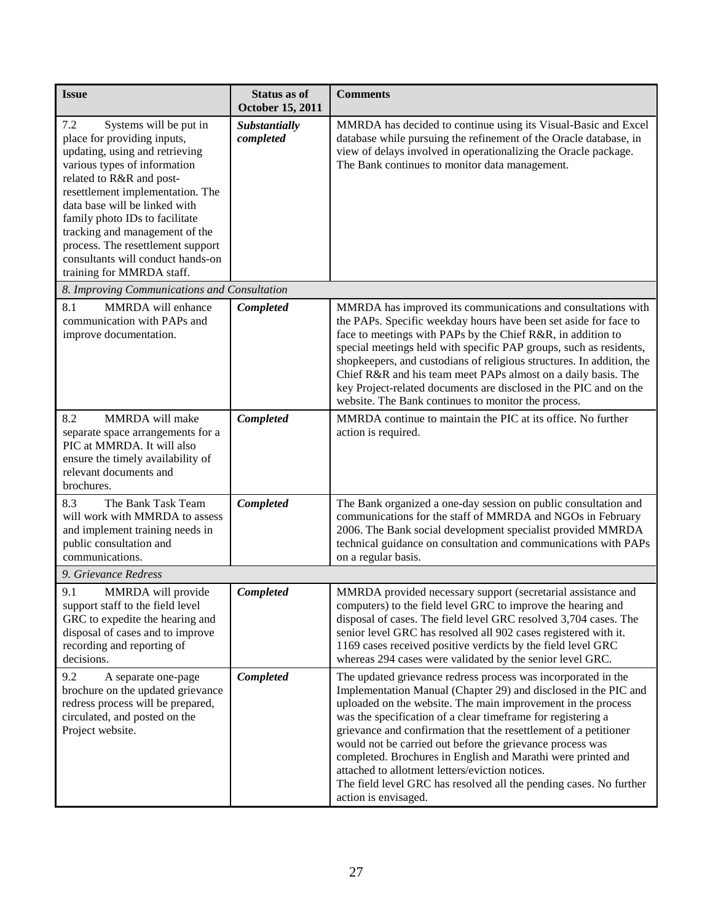| <b>Issue</b>                                                                                                                                                                                                                                                                                                                                                                                               | <b>Status as of</b><br><b>October 15, 2011</b> | <b>Comments</b>                                                                                                                                                                                                                                                                                                                                                                                                                                                                                                                                                                                                    |
|------------------------------------------------------------------------------------------------------------------------------------------------------------------------------------------------------------------------------------------------------------------------------------------------------------------------------------------------------------------------------------------------------------|------------------------------------------------|--------------------------------------------------------------------------------------------------------------------------------------------------------------------------------------------------------------------------------------------------------------------------------------------------------------------------------------------------------------------------------------------------------------------------------------------------------------------------------------------------------------------------------------------------------------------------------------------------------------------|
| Systems will be put in<br>7.2<br>place for providing inputs,<br>updating, using and retrieving<br>various types of information<br>related to R&R and post-<br>resettlement implementation. The<br>data base will be linked with<br>family photo IDs to facilitate<br>tracking and management of the<br>process. The resettlement support<br>consultants will conduct hands-on<br>training for MMRDA staff. | Substantially<br>completed                     | MMRDA has decided to continue using its Visual-Basic and Excel<br>database while pursuing the refinement of the Oracle database, in<br>view of delays involved in operationalizing the Oracle package.<br>The Bank continues to monitor data management.                                                                                                                                                                                                                                                                                                                                                           |
| 8. Improving Communications and Consultation                                                                                                                                                                                                                                                                                                                                                               |                                                |                                                                                                                                                                                                                                                                                                                                                                                                                                                                                                                                                                                                                    |
| 8.1<br>MMRDA will enhance<br>communication with PAPs and<br>improve documentation.                                                                                                                                                                                                                                                                                                                         | Completed                                      | MMRDA has improved its communications and consultations with<br>the PAPs. Specific weekday hours have been set aside for face to<br>face to meetings with PAPs by the Chief R&R, in addition to<br>special meetings held with specific PAP groups, such as residents,<br>shopkeepers, and custodians of religious structures. In addition, the<br>Chief R&R and his team meet PAPs almost on a daily basis. The<br>key Project-related documents are disclosed in the PIC and on the<br>website. The Bank continues to monitor the process.                                                                        |
| 8.2<br>MMRDA will make<br>separate space arrangements for a<br>PIC at MMRDA. It will also<br>ensure the timely availability of<br>relevant documents and<br>brochures.                                                                                                                                                                                                                                     | Completed                                      | MMRDA continue to maintain the PIC at its office. No further<br>action is required.                                                                                                                                                                                                                                                                                                                                                                                                                                                                                                                                |
| The Bank Task Team<br>8.3<br>will work with MMRDA to assess<br>and implement training needs in<br>public consultation and<br>communications.                                                                                                                                                                                                                                                               | Completed                                      | The Bank organized a one-day session on public consultation and<br>communications for the staff of MMRDA and NGOs in February<br>2006. The Bank social development specialist provided MMRDA<br>technical guidance on consultation and communications with PAPs<br>on a regular basis.                                                                                                                                                                                                                                                                                                                             |
| 9. Grievance Redress                                                                                                                                                                                                                                                                                                                                                                                       |                                                |                                                                                                                                                                                                                                                                                                                                                                                                                                                                                                                                                                                                                    |
| 9.1<br>MMRDA will provide<br>support staff to the field level<br>GRC to expedite the hearing and<br>disposal of cases and to improve<br>recording and reporting of<br>decisions.                                                                                                                                                                                                                           | Completed                                      | MMRDA provided necessary support (secretarial assistance and<br>computers) to the field level GRC to improve the hearing and<br>disposal of cases. The field level GRC resolved 3,704 cases. The<br>senior level GRC has resolved all 902 cases registered with it.<br>1169 cases received positive verdicts by the field level GRC<br>whereas 294 cases were validated by the senior level GRC.                                                                                                                                                                                                                   |
| 9.2<br>A separate one-page<br>brochure on the updated grievance<br>redress process will be prepared,<br>circulated, and posted on the<br>Project website.                                                                                                                                                                                                                                                  | Completed                                      | The updated grievance redress process was incorporated in the<br>Implementation Manual (Chapter 29) and disclosed in the PIC and<br>uploaded on the website. The main improvement in the process<br>was the specification of a clear timeframe for registering a<br>grievance and confirmation that the resettlement of a petitioner<br>would not be carried out before the grievance process was<br>completed. Brochures in English and Marathi were printed and<br>attached to allotment letters/eviction notices.<br>The field level GRC has resolved all the pending cases. No further<br>action is envisaged. |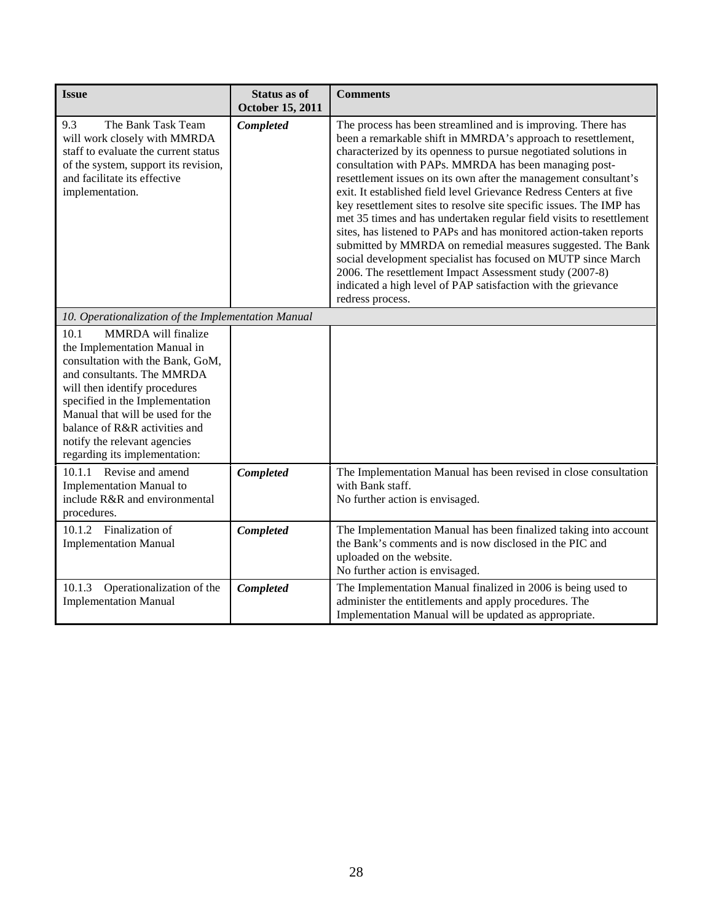| <b>Issue</b>                                                                                                                                                                                                                                                                                                                            | <b>Status as of</b><br><b>October 15, 2011</b> | <b>Comments</b>                                                                                                                                                                                                                                                                                                                                                                                                                                                                                                                                                                                                                                                                                                                                                                                                                                                                                         |
|-----------------------------------------------------------------------------------------------------------------------------------------------------------------------------------------------------------------------------------------------------------------------------------------------------------------------------------------|------------------------------------------------|---------------------------------------------------------------------------------------------------------------------------------------------------------------------------------------------------------------------------------------------------------------------------------------------------------------------------------------------------------------------------------------------------------------------------------------------------------------------------------------------------------------------------------------------------------------------------------------------------------------------------------------------------------------------------------------------------------------------------------------------------------------------------------------------------------------------------------------------------------------------------------------------------------|
| 9.3<br>The Bank Task Team<br>will work closely with MMRDA<br>staff to evaluate the current status<br>of the system, support its revision,<br>and facilitate its effective<br>implementation.                                                                                                                                            | Completed                                      | The process has been streamlined and is improving. There has<br>been a remarkable shift in MMRDA's approach to resettlement,<br>characterized by its openness to pursue negotiated solutions in<br>consultation with PAPs. MMRDA has been managing post-<br>resettlement issues on its own after the management consultant's<br>exit. It established field level Grievance Redress Centers at five<br>key resettlement sites to resolve site specific issues. The IMP has<br>met 35 times and has undertaken regular field visits to resettlement<br>sites, has listened to PAPs and has monitored action-taken reports<br>submitted by MMRDA on remedial measures suggested. The Bank<br>social development specialist has focused on MUTP since March<br>2006. The resettlement Impact Assessment study (2007-8)<br>indicated a high level of PAP satisfaction with the grievance<br>redress process. |
| 10. Operationalization of the Implementation Manual                                                                                                                                                                                                                                                                                     |                                                |                                                                                                                                                                                                                                                                                                                                                                                                                                                                                                                                                                                                                                                                                                                                                                                                                                                                                                         |
| 10.1<br>MMRDA will finalize<br>the Implementation Manual in<br>consultation with the Bank, GoM,<br>and consultants. The MMRDA<br>will then identify procedures<br>specified in the Implementation<br>Manual that will be used for the<br>balance of R&R activities and<br>notify the relevant agencies<br>regarding its implementation: |                                                |                                                                                                                                                                                                                                                                                                                                                                                                                                                                                                                                                                                                                                                                                                                                                                                                                                                                                                         |
| 10.1.1 Revise and amend<br><b>Implementation Manual to</b><br>include R&R and environmental<br>procedures.                                                                                                                                                                                                                              | Completed                                      | The Implementation Manual has been revised in close consultation<br>with Bank staff.<br>No further action is envisaged.                                                                                                                                                                                                                                                                                                                                                                                                                                                                                                                                                                                                                                                                                                                                                                                 |
| 10.1.2 Finalization of<br><b>Implementation Manual</b>                                                                                                                                                                                                                                                                                  | Completed                                      | The Implementation Manual has been finalized taking into account<br>the Bank's comments and is now disclosed in the PIC and<br>uploaded on the website.<br>No further action is envisaged.                                                                                                                                                                                                                                                                                                                                                                                                                                                                                                                                                                                                                                                                                                              |
| 10.1.3<br>Operationalization of the<br><b>Implementation Manual</b>                                                                                                                                                                                                                                                                     | Completed                                      | The Implementation Manual finalized in 2006 is being used to<br>administer the entitlements and apply procedures. The<br>Implementation Manual will be updated as appropriate.                                                                                                                                                                                                                                                                                                                                                                                                                                                                                                                                                                                                                                                                                                                          |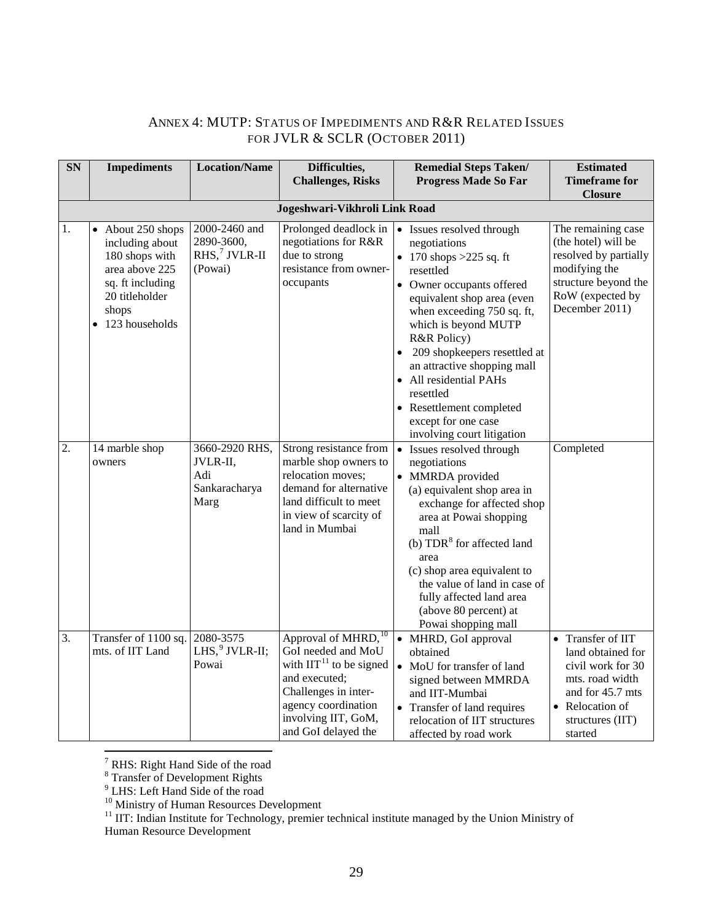## <span id="page-36-0"></span>ANNEX 4: MUTP: STATUS OF IMPEDIMENTS AND R&R RELATED ISSUES FOR JVLR & SCLR (OCTOBER 2011)

| <b>SN</b>        | <b>Impediments</b>                              | <b>Location/Name</b>        | Difficulties,                                    |  | <b>Remedial Steps Taken/</b>                          | <b>Estimated</b>                          |  |
|------------------|-------------------------------------------------|-----------------------------|--------------------------------------------------|--|-------------------------------------------------------|-------------------------------------------|--|
|                  |                                                 |                             | <b>Challenges, Risks</b>                         |  | <b>Progress Made So Far</b>                           | <b>Timeframe for</b><br><b>Closure</b>    |  |
|                  | Jogeshwari-Vikhroli Link Road                   |                             |                                                  |  |                                                       |                                           |  |
|                  |                                                 |                             |                                                  |  |                                                       |                                           |  |
| 1.               | About 250 shops<br>$\bullet$<br>including about | 2000-2460 and<br>2890-3600, | Prolonged deadlock in<br>negotiations for R&R    |  | • Issues resolved through<br>negotiations             | The remaining case<br>(the hotel) will be |  |
|                  | 180 shops with                                  | $RHS$ , $\sqrt{VLR-II}$     | due to strong                                    |  | • 170 shops > 225 sq. ft                              | resolved by partially                     |  |
|                  | area above 225                                  | (Powai)                     | resistance from owner-                           |  | resettled                                             | modifying the                             |  |
|                  | sq. ft including                                |                             | occupants                                        |  | • Owner occupants offered                             | structure beyond the                      |  |
|                  | 20 titleholder                                  |                             |                                                  |  | equivalent shop area (even                            | RoW (expected by                          |  |
|                  | shops                                           |                             |                                                  |  | when exceeding 750 sq. ft,                            | December 2011)                            |  |
|                  | 123 households<br>$\bullet$                     |                             |                                                  |  | which is beyond MUTP                                  |                                           |  |
|                  |                                                 |                             |                                                  |  | R&R Policy)                                           |                                           |  |
|                  |                                                 |                             |                                                  |  | 209 shopkeepers resettled at                          |                                           |  |
|                  |                                                 |                             |                                                  |  | an attractive shopping mall<br>• All residential PAHs |                                           |  |
|                  |                                                 |                             |                                                  |  | resettled                                             |                                           |  |
|                  |                                                 |                             |                                                  |  | • Resettlement completed                              |                                           |  |
|                  |                                                 |                             |                                                  |  | except for one case                                   |                                           |  |
|                  |                                                 |                             |                                                  |  | involving court litigation                            |                                           |  |
| 2.               | 14 marble shop                                  | 3660-2920 RHS,              | Strong resistance from                           |  | • Issues resolved through                             | Completed                                 |  |
|                  | owners                                          | JVLR-II,                    | marble shop owners to                            |  | negotiations                                          |                                           |  |
|                  |                                                 | Adi                         | relocation moves;                                |  | • MMRDA provided                                      |                                           |  |
|                  |                                                 | Sankaracharya<br>Marg       | demand for alternative<br>land difficult to meet |  | (a) equivalent shop area in                           |                                           |  |
|                  |                                                 |                             | in view of scarcity of                           |  | exchange for affected shop<br>area at Powai shopping  |                                           |  |
|                  |                                                 |                             | land in Mumbai                                   |  | mall                                                  |                                           |  |
|                  |                                                 |                             |                                                  |  | (b) $TDR8$ for affected land                          |                                           |  |
|                  |                                                 |                             |                                                  |  | area                                                  |                                           |  |
|                  |                                                 |                             |                                                  |  | (c) shop area equivalent to                           |                                           |  |
|                  |                                                 |                             |                                                  |  | the value of land in case of                          |                                           |  |
|                  |                                                 |                             |                                                  |  | fully affected land area<br>(above 80 percent) at     |                                           |  |
|                  |                                                 |                             |                                                  |  | Powai shopping mall                                   |                                           |  |
| $\overline{3}$ . | Transfer of 1100 sq.                            | 2080-3575                   | Approval of MHRD, <sup>10</sup>                  |  | • MHRD, GoI approval                                  | Transfer of IIT<br>$\bullet$              |  |
|                  | mts. of IIT Land                                | LHS, $9$ JVLR-II;           | GoI needed and MoU                               |  | obtained                                              | land obtained for                         |  |
|                  |                                                 | Powai                       | with $\text{IIT}^{11}$ to be signed              |  | • MoU for transfer of land                            | civil work for 30                         |  |
|                  |                                                 |                             | and executed;                                    |  | signed between MMRDA                                  | mts. road width                           |  |
|                  |                                                 |                             | Challenges in inter-                             |  | and IIT-Mumbai                                        | and for 45.7 mts                          |  |
|                  |                                                 |                             | agency coordination                              |  | • Transfer of land requires                           | • Relocation of                           |  |
|                  |                                                 |                             | involving IIT, GoM,<br>and GoI delayed the       |  | relocation of IIT structures                          | structures (IIT)                          |  |
|                  |                                                 |                             |                                                  |  | affected by road work                                 | started                                   |  |

 $\sqrt{7}$  RHS: Right Hand Side of the road

<span id="page-36-2"></span><span id="page-36-1"></span> $8^8$  Transfer of Development Rights<br> $9^9$  LHS: Left Hand Side of the road

<span id="page-36-5"></span><span id="page-36-4"></span><span id="page-36-3"></span><sup>10</sup> Ministry of Human Resources Development<br><sup>11</sup> IIT: Indian Institute for Technology, premier technical institute managed by the Union Ministry of Human Resource Development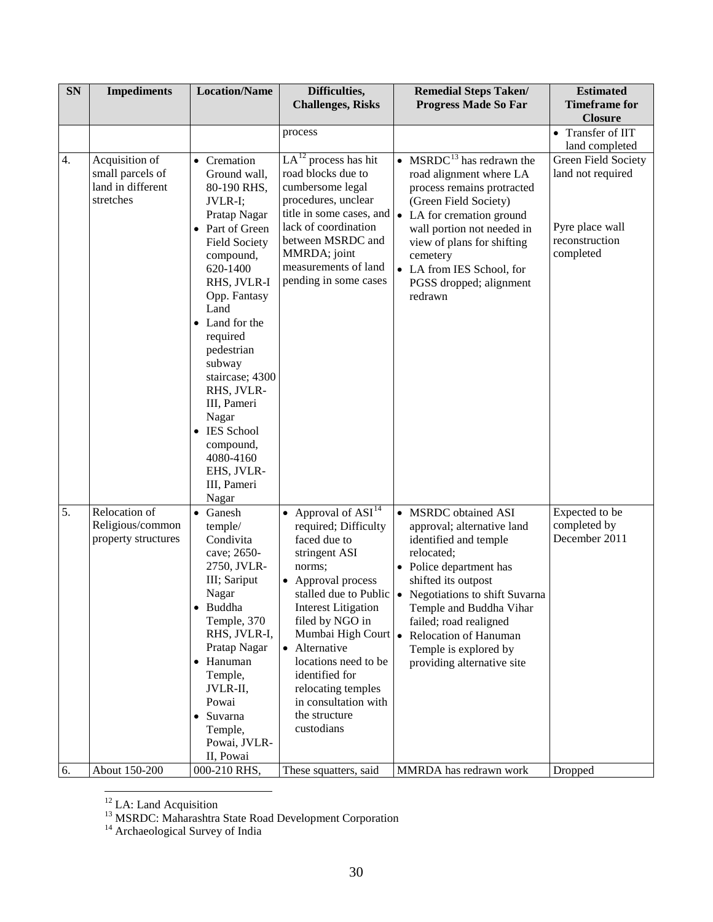| SN | <b>Impediments</b>                                                   | <b>Location/Name</b>                                                                                                                                                                                                                                                                                                                                                                                  | Difficulties,<br><b>Challenges, Risks</b>                                                                                                                                                                                                                                                                                                      | <b>Remedial Steps Taken/</b><br><b>Progress Made So Far</b>                                                                                                                                                                                                                                                                             | <b>Estimated</b><br><b>Timeframe for</b>                                                                     |
|----|----------------------------------------------------------------------|-------------------------------------------------------------------------------------------------------------------------------------------------------------------------------------------------------------------------------------------------------------------------------------------------------------------------------------------------------------------------------------------------------|------------------------------------------------------------------------------------------------------------------------------------------------------------------------------------------------------------------------------------------------------------------------------------------------------------------------------------------------|-----------------------------------------------------------------------------------------------------------------------------------------------------------------------------------------------------------------------------------------------------------------------------------------------------------------------------------------|--------------------------------------------------------------------------------------------------------------|
|    |                                                                      |                                                                                                                                                                                                                                                                                                                                                                                                       |                                                                                                                                                                                                                                                                                                                                                |                                                                                                                                                                                                                                                                                                                                         | <b>Closure</b>                                                                                               |
|    |                                                                      |                                                                                                                                                                                                                                                                                                                                                                                                       | process                                                                                                                                                                                                                                                                                                                                        |                                                                                                                                                                                                                                                                                                                                         | • Transfer of IIT                                                                                            |
| 4. | Acquisition of<br>small parcels of<br>land in different<br>stretches | • Cremation<br>Ground wall,<br>80-190 RHS,<br>JVLR-I;<br>Pratap Nagar<br>Part of Green<br>$\bullet$<br><b>Field Society</b><br>compound,<br>620-1400<br>RHS, JVLR-I<br>Opp. Fantasy<br>Land<br>Land for the<br>$\bullet$<br>required<br>pedestrian<br>subway<br>staircase; 4300<br>RHS, JVLR-<br>III, Pameri<br>Nagar<br>• IES School<br>compound,<br>4080-4160<br>EHS, JVLR-<br>III, Pameri<br>Nagar | $LA^{12}$ process has hit<br>road blocks due to<br>cumbersome legal<br>procedures, unclear<br>lack of coordination<br>between MSRDC and<br>MMRDA; joint<br>measurements of land<br>pending in some cases                                                                                                                                       | • MSRDC $^{13}$ has redrawn the<br>road alignment where LA<br>process remains protracted<br>(Green Field Society)<br>title in some cases, and $\bullet$ LA for cremation ground<br>wall portion not needed in<br>view of plans for shifting<br>cemetery<br>• LA from IES School, for<br>PGSS dropped; alignment<br>redrawn              | land completed<br>Green Field Society<br>land not required<br>Pyre place wall<br>reconstruction<br>completed |
| 5. | Relocation of<br>Religious/common<br>property structures             | $\bullet$<br>Ganesh<br>temple/<br>Condivita<br>cave; 2650-<br>2750, JVLR-<br>III; Sariput<br>Nagar<br>• Buddha<br>Temple, 370<br>RHS, JVLR-I,<br>Pratap Nagar<br>• Hanuman<br>Temple,<br>JVLR-II,<br>Powai<br>• Suvarna<br>Temple,<br>Powai, JVLR-<br>II, Powai                                                                                                                                       | • Approval of $\overline{ASI}^{14}$<br>required; Difficulty<br>faced due to<br>stringent ASI<br>norms;<br>• Approval process<br>stalled due to Public<br><b>Interest Litigation</b><br>filed by NGO in<br>• Alternative<br>locations need to be<br>identified for<br>relocating temples<br>in consultation with<br>the structure<br>custodians | • MSRDC obtained ASI<br>approval; alternative land<br>identified and temple<br>relocated;<br>• Police department has<br>shifted its outpost<br>• Negotiations to shift Suvarna<br>Temple and Buddha Vihar<br>failed; road realigned<br>Mumbai High Court • Relocation of Hanuman<br>Temple is explored by<br>providing alternative site | Expected to be<br>completed by<br>December 2011                                                              |
| 6. | About 150-200                                                        | 000-210 RHS,                                                                                                                                                                                                                                                                                                                                                                                          | These squatters, said                                                                                                                                                                                                                                                                                                                          | MMRDA has redrawn work                                                                                                                                                                                                                                                                                                                  | Dropped                                                                                                      |

<span id="page-37-0"></span><sup>&</sup>lt;sup>12</sup> LA: Land Acquisition  $^{13}$  MSRDC: Maharashtra State Road Development Corporation <sup>14</sup> Archaeological Survey of India

<span id="page-37-2"></span><span id="page-37-1"></span>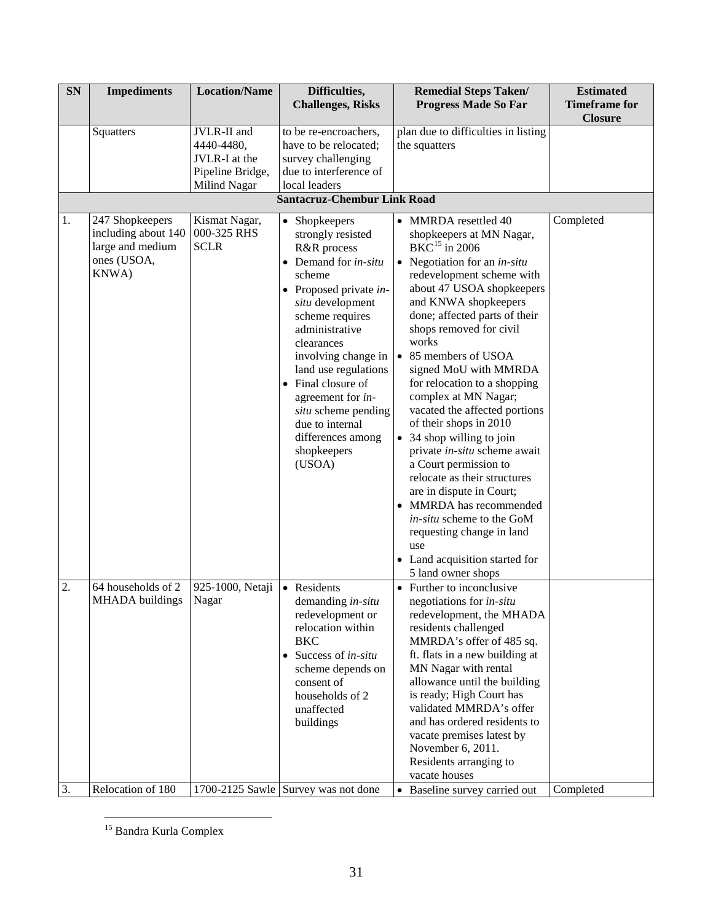| SN       | <b>Impediments</b>                                                                 | <b>Location/Name</b>                                                           | Difficulties,<br><b>Challenges, Risks</b>                                                                                                                                                                                                                                                                                                                                                     | <b>Remedial Steps Taken/</b><br><b>Progress Made So Far</b>                                                                                                                                                                                                                                                                                                                                                                                                                                                                                                                                                                                                                                                                 | <b>Estimated</b><br><b>Timeframe for</b> |
|----------|------------------------------------------------------------------------------------|--------------------------------------------------------------------------------|-----------------------------------------------------------------------------------------------------------------------------------------------------------------------------------------------------------------------------------------------------------------------------------------------------------------------------------------------------------------------------------------------|-----------------------------------------------------------------------------------------------------------------------------------------------------------------------------------------------------------------------------------------------------------------------------------------------------------------------------------------------------------------------------------------------------------------------------------------------------------------------------------------------------------------------------------------------------------------------------------------------------------------------------------------------------------------------------------------------------------------------------|------------------------------------------|
|          | Squatters                                                                          | JVLR-II and<br>4440-4480,<br>JVLR-I at the<br>Pipeline Bridge,<br>Milind Nagar | to be re-encroachers,<br>have to be relocated;<br>survey challenging<br>due to interference of<br>local leaders                                                                                                                                                                                                                                                                               | plan due to difficulties in listing<br>the squatters                                                                                                                                                                                                                                                                                                                                                                                                                                                                                                                                                                                                                                                                        | <b>Closure</b>                           |
|          |                                                                                    |                                                                                | <b>Santacruz-Chembur Link Road</b>                                                                                                                                                                                                                                                                                                                                                            |                                                                                                                                                                                                                                                                                                                                                                                                                                                                                                                                                                                                                                                                                                                             |                                          |
| 1.       | 247 Shopkeepers<br>including about 140<br>large and medium<br>ones (USOA,<br>KNWA) | Kismat Nagar,<br>000-325 RHS<br><b>SCLR</b>                                    | • Shopkeepers<br>strongly resisted<br>R&R process<br>$\bullet$ Demand for <i>in-situ</i><br>scheme<br>$\bullet$ Proposed private in-<br>situ development<br>scheme requires<br>administrative<br>clearances<br>involving change in<br>land use regulations<br>• Final closure of<br>agreement for in-<br>situ scheme pending<br>due to internal<br>differences among<br>shopkeepers<br>(USOA) | • MMRDA resettled 40<br>shopkeepers at MN Nagar,<br>$BKC$ <sup>15</sup> in 2006<br>• Negotiation for an $in$ -situ<br>redevelopment scheme with<br>about 47 USOA shopkeepers<br>and KNWA shopkeepers<br>done; affected parts of their<br>shops removed for civil<br>works<br>• 85 members of USOA<br>signed MoU with MMRDA<br>for relocation to a shopping<br>complex at MN Nagar;<br>vacated the affected portions<br>of their shops in 2010<br>• 34 shop willing to join<br>private in-situ scheme await<br>a Court permission to<br>relocate as their structures<br>are in dispute in Court;<br>MMRDA has recommended<br>in-situ scheme to the GoM<br>requesting change in land<br>use<br>• Land acquisition started for | Completed                                |
| 2.<br>3. | 64 households of 2<br>MHADA buildings<br>Relocation of 180                         | 925-1000, Netaji<br>Nagar                                                      | • Residents<br>demanding in-situ<br>redevelopment or<br>relocation within<br><b>BKC</b><br>Success of in-situ<br>$\bullet$<br>scheme depends on<br>consent of<br>households of 2<br>unaffected<br>buildings                                                                                                                                                                                   | 5 land owner shops<br>• Further to inconclusive<br>negotiations for <i>in-situ</i><br>redevelopment, the MHADA<br>residents challenged<br>MMRDA's offer of 485 sq.<br>ft. flats in a new building at<br>MN Nagar with rental<br>allowance until the building<br>is ready; High Court has<br>validated MMRDA's offer<br>and has ordered residents to<br>vacate premises latest by<br>November 6, 2011.<br>Residents arranging to<br>vacate houses                                                                                                                                                                                                                                                                            |                                          |
|          |                                                                                    |                                                                                | 1700-2125 Sawle Survey was not done                                                                                                                                                                                                                                                                                                                                                           | • Baseline survey carried out                                                                                                                                                                                                                                                                                                                                                                                                                                                                                                                                                                                                                                                                                               | Completed                                |

<span id="page-38-0"></span> <sup>15</sup> Bandra Kurla Complex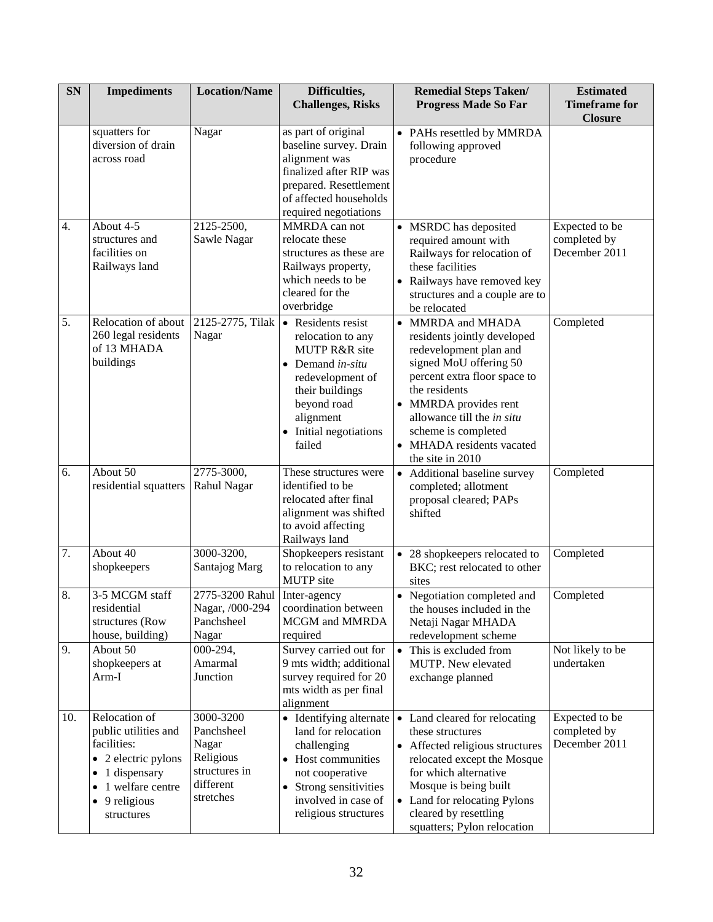| <b>SN</b>        | <b>Impediments</b>                                                                                                                                                                  | <b>Location/Name</b>                                                                     | Difficulties,<br><b>Challenges, Risks</b>                                                                                                                                                            | <b>Remedial Steps Taken/</b><br><b>Estimated</b><br><b>Progress Made So Far</b><br><b>Timeframe for</b><br><b>Closure</b>                                                                                                                                                                                        |
|------------------|-------------------------------------------------------------------------------------------------------------------------------------------------------------------------------------|------------------------------------------------------------------------------------------|------------------------------------------------------------------------------------------------------------------------------------------------------------------------------------------------------|------------------------------------------------------------------------------------------------------------------------------------------------------------------------------------------------------------------------------------------------------------------------------------------------------------------|
|                  | squatters for<br>diversion of drain<br>across road                                                                                                                                  | Nagar                                                                                    | as part of original<br>baseline survey. Drain<br>alignment was<br>finalized after RIP was<br>prepared. Resettlement<br>of affected households<br>required negotiations                               | • PAHs resettled by MMRDA<br>following approved<br>procedure                                                                                                                                                                                                                                                     |
| 4.               | About 4-5<br>structures and<br>facilities on<br>Railways land                                                                                                                       | 2125-2500,<br>Sawle Nagar                                                                | MMRDA can not<br>relocate these<br>structures as these are<br>Railways property,<br>which needs to be<br>cleared for the<br>overbridge                                                               | Expected to be<br>• MSRDC has deposited<br>completed by<br>required amount with<br>December 2011<br>Railways for relocation of<br>these facilities<br>• Railways have removed key<br>structures and a couple are to<br>be relocated                                                                              |
| 5.               | Relocation of about<br>260 legal residents<br>of 13 MHADA<br>buildings                                                                                                              | 2125-2775, Tilak<br>Nagar                                                                | • Residents resist<br>relocation to any<br><b>MUTP R&amp;R</b> site<br>$\bullet$ Demand in-situ<br>redevelopment of<br>their buildings<br>beyond road<br>alignment<br>Initial negotiations<br>failed | Completed<br>• MMRDA and MHADA<br>residents jointly developed<br>redevelopment plan and<br>signed MoU offering 50<br>percent extra floor space to<br>the residents<br>• MMRDA provides rent<br>allowance till the <i>in situ</i><br>scheme is completed<br>• MHADA residents vacated<br>the site in 2010         |
| 6.               | About 50<br>residential squatters                                                                                                                                                   | 2775-3000,<br>Rahul Nagar                                                                | These structures were<br>identified to be<br>relocated after final<br>alignment was shifted<br>to avoid affecting<br>Railways land                                                                   | Completed<br>• Additional baseline survey<br>completed; allotment<br>proposal cleared; PAPs<br>shifted                                                                                                                                                                                                           |
| $\overline{7}$ . | About 40<br>shopkeepers                                                                                                                                                             | 3000-3200,<br>Santajog Marg                                                              | Shopkeepers resistant<br>to relocation to any<br><b>MUTP</b> site                                                                                                                                    | Completed<br>• 28 shopkeepers relocated to<br>BKC; rest relocated to other<br>sites                                                                                                                                                                                                                              |
| 8.               | 3-5 MCGM staff<br>residential<br>structures (Row<br>house, building)                                                                                                                | 2775-3200 Rahul<br>Nagar, /000-294<br>Panchsheel<br>Nagar                                | Inter-agency<br>coordination between<br><b>MCGM</b> and <b>MMRDA</b><br>required                                                                                                                     | Completed<br>• Negotiation completed and<br>the houses included in the<br>Netaji Nagar MHADA<br>redevelopment scheme                                                                                                                                                                                             |
| 9.               | About 50<br>shopkeepers at<br>Arm-I                                                                                                                                                 | 000-294,<br>Amarmal<br>Junction                                                          | Survey carried out for<br>9 mts width; additional<br>survey required for 20<br>mts width as per final<br>alignment                                                                                   | Not likely to be<br>• This is excluded from<br>undertaken<br><b>MUTP.</b> New elevated<br>exchange planned                                                                                                                                                                                                       |
| 10.              | Relocation of<br>public utilities and<br>facilities:<br>• 2 electric pylons<br>dispensary<br>$\overline{1}$<br>٠<br>1 welfare centre<br>٠<br>9 religious<br>$\bullet$<br>structures | 3000-3200<br>Panchsheel<br>Nagar<br>Religious<br>structures in<br>different<br>stretches | • Identifying alternate<br>land for relocation<br>challenging<br>Host communities<br>not cooperative<br>Strong sensitivities<br>$\bullet$<br>involved in case of<br>religious structures             | Expected to be<br>• Land cleared for relocating<br>completed by<br>these structures<br>December 2011<br>• Affected religious structures<br>relocated except the Mosque<br>for which alternative<br>Mosque is being built<br>• Land for relocating Pylons<br>cleared by resettling<br>squatters; Pylon relocation |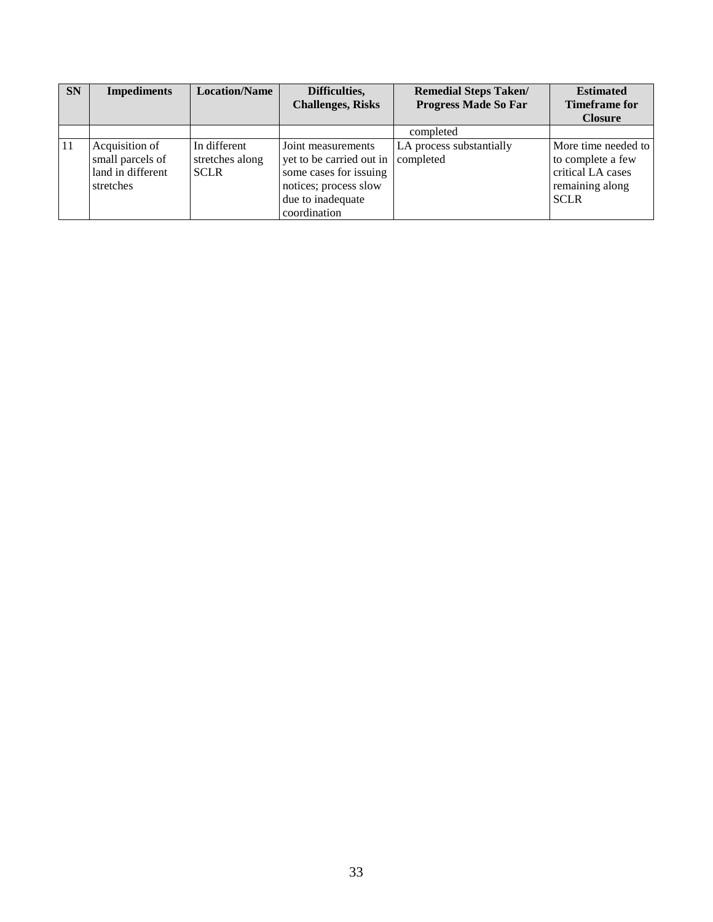| <b>SN</b> | <b>Impediments</b>                                                   | <b>Location/Name</b>                           | Difficulties,<br><b>Challenges, Risks</b>                                                                                              | <b>Remedial Steps Taken/</b><br><b>Progress Made So Far</b> | <b>Estimated</b><br><b>Timeframe for</b>                                                        |
|-----------|----------------------------------------------------------------------|------------------------------------------------|----------------------------------------------------------------------------------------------------------------------------------------|-------------------------------------------------------------|-------------------------------------------------------------------------------------------------|
|           |                                                                      |                                                |                                                                                                                                        |                                                             | <b>Closure</b>                                                                                  |
|           |                                                                      |                                                |                                                                                                                                        | completed                                                   |                                                                                                 |
| 11        | Acquisition of<br>small parcels of<br>land in different<br>stretches | In different<br>stretches along<br><b>SCLR</b> | Joint measurements<br>yet to be carried out in<br>some cases for issuing<br>notices; process slow<br>due to inadequate<br>coordination | LA process substantially<br>completed                       | More time needed to<br>to complete a few<br>critical LA cases<br>remaining along<br><b>SCLR</b> |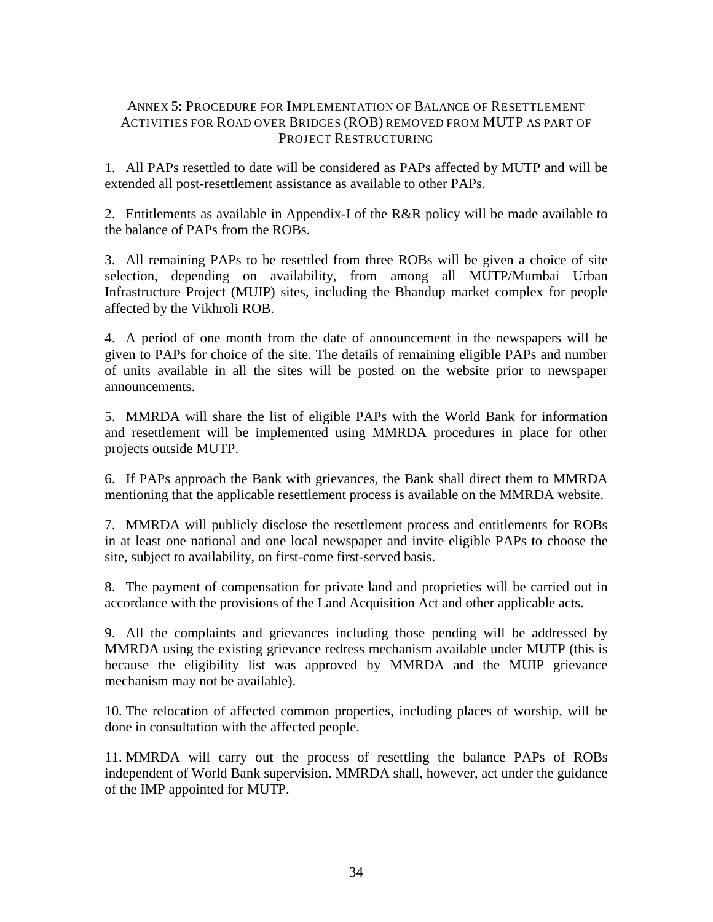## <span id="page-41-0"></span>ANNEX 5: PROCEDURE FOR IMPLEMENTATION OF BALANCE OF RESETTLEMENT ACTIVITIES FOR ROAD OVER BRIDGES (ROB) REMOVED FROM MUTP AS PART OF PROJECT RESTRUCTURING

1. All PAPs resettled to date will be considered as PAPs affected by MUTP and will be extended all post-resettlement assistance as available to other PAPs.

2. Entitlements as available in Appendix-I of the R&R policy will be made available to the balance of PAPs from the ROBs.

3. All remaining PAPs to be resettled from three ROBs will be given a choice of site selection, depending on availability, from among all MUTP/Mumbai Urban Infrastructure Project (MUIP) sites, including the Bhandup market complex for people affected by the Vikhroli ROB.

4. A period of one month from the date of announcement in the newspapers will be given to PAPs for choice of the site. The details of remaining eligible PAPs and number of units available in all the sites will be posted on the website prior to newspaper announcements.

5. MMRDA will share the list of eligible PAPs with the World Bank for information and resettlement will be implemented using MMRDA procedures in place for other projects outside MUTP.

6. If PAPs approach the Bank with grievances, the Bank shall direct them to MMRDA mentioning that the applicable resettlement process is available on the MMRDA website.

7. MMRDA will publicly disclose the resettlement process and entitlements for ROBs in at least one national and one local newspaper and invite eligible PAPs to choose the site, subject to availability, on first-come first-served basis.

8. The payment of compensation for private land and proprieties will be carried out in accordance with the provisions of the Land Acquisition Act and other applicable acts.

9. All the complaints and grievances including those pending will be addressed by MMRDA using the existing grievance redress mechanism available under MUTP (this is because the eligibility list was approved by MMRDA and the MUIP grievance mechanism may not be available).

10. The relocation of affected common properties, including places of worship, will be done in consultation with the affected people.

11. MMRDA will carry out the process of resettling the balance PAPs of ROBs independent of World Bank supervision. MMRDA shall, however, act under the guidance of the IMP appointed for MUTP.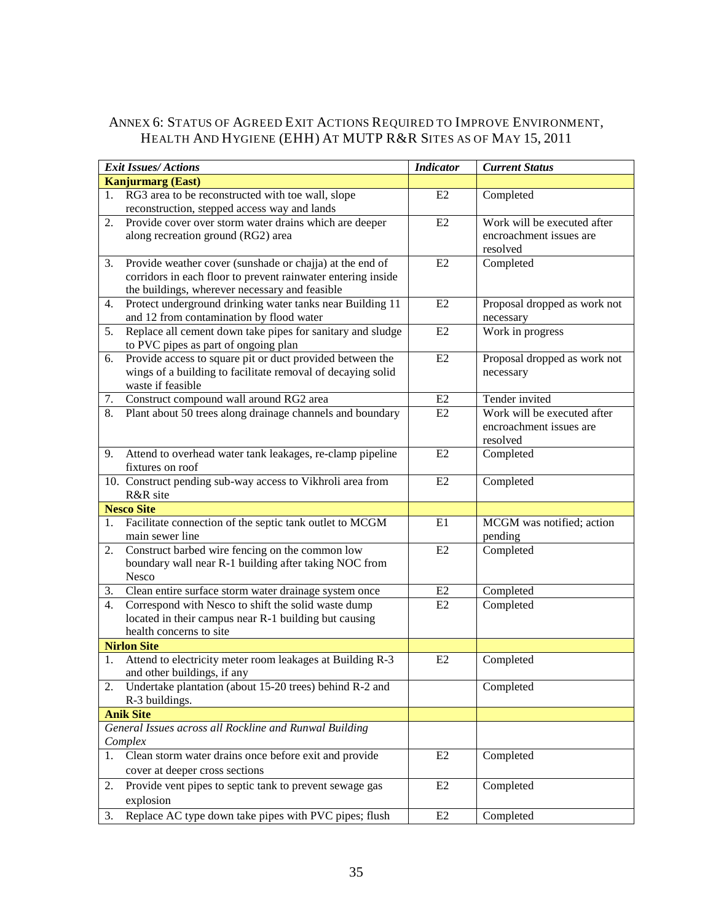## <span id="page-42-0"></span>ANNEX 6: STATUS OF AGREED EXIT ACTIONS REQUIRED TO IMPROVE ENVIRONMENT, HEALTH AND HYGIENE (EHH) AT MUTP R&R SITES AS OF MAY 15, 2011

|    | <b>Exit Issues/Actions</b>                                   | <b>Indicator</b> | <b>Current Status</b>        |
|----|--------------------------------------------------------------|------------------|------------------------------|
|    | <b>Kanjurmarg (East)</b>                                     |                  |                              |
| 1. | RG3 area to be reconstructed with toe wall, slope            | E2               | Completed                    |
|    | reconstruction, stepped access way and lands                 |                  |                              |
| 2. | Provide cover over storm water drains which are deeper       | E2               | Work will be executed after  |
|    | along recreation ground (RG2) area                           |                  | encroachment issues are      |
|    |                                                              |                  | resolved                     |
| 3. | Provide weather cover (sunshade or chajja) at the end of     | E2               | Completed                    |
|    | corridors in each floor to prevent rainwater entering inside |                  |                              |
|    | the buildings, wherever necessary and feasible               |                  |                              |
| 4. | Protect underground drinking water tanks near Building 11    | E2               | Proposal dropped as work not |
|    | and 12 from contamination by flood water                     |                  | necessary                    |
| 5. | Replace all cement down take pipes for sanitary and sludge   | E2               | Work in progress             |
|    | to PVC pipes as part of ongoing plan                         |                  |                              |
| 6. | Provide access to square pit or duct provided between the    | E2               | Proposal dropped as work not |
|    | wings of a building to facilitate removal of decaying solid  |                  | necessary                    |
|    | waste if feasible                                            |                  |                              |
| 7. | Construct compound wall around RG2 area                      | E2               | Tender invited               |
| 8. | Plant about 50 trees along drainage channels and boundary    | E2               | Work will be executed after  |
|    |                                                              |                  | encroachment issues are      |
|    |                                                              |                  | resolved                     |
| 9. | Attend to overhead water tank leakages, re-clamp pipeline    | E2               | Completed                    |
|    | fixtures on roof                                             |                  |                              |
|    | 10. Construct pending sub-way access to Vikhroli area from   | E2               | Completed                    |
|    | R&R site                                                     |                  |                              |
|    | <b>Nesco Site</b>                                            |                  |                              |
| 1. | Facilitate connection of the septic tank outlet to MCGM      | E1               | MCGM was notified; action    |
|    | main sewer line                                              |                  | pending                      |
| 2. | Construct barbed wire fencing on the common low              | E2               | Completed                    |
|    | boundary wall near R-1 building after taking NOC from        |                  |                              |
|    | Nesco                                                        |                  |                              |
| 3. | Clean entire surface storm water drainage system once        | E2               | Completed                    |
| 4. | Correspond with Nesco to shift the solid waste dump          | E2               | Completed                    |
|    | located in their campus near R-1 building but causing        |                  |                              |
|    | health concerns to site                                      |                  |                              |
|    | <b>Nirlon Site</b>                                           |                  |                              |
| 1. | Attend to electricity meter room leakages at Building R-3    | E2               | Completed                    |
|    | and other buildings, if any                                  |                  |                              |
|    | Undertake plantation (about 15-20 trees) behind R-2 and      |                  | Completed                    |
|    | R-3 buildings.                                               |                  |                              |
|    | <b>Anik Site</b>                                             |                  |                              |
|    | General Issues across all Rockline and Runwal Building       |                  |                              |
|    | Complex                                                      |                  |                              |
| 1. | Clean storm water drains once before exit and provide        | E2               | Completed                    |
|    | cover at deeper cross sections                               |                  |                              |
| 2. | Provide vent pipes to septic tank to prevent sewage gas      | E2               | Completed                    |
|    | explosion                                                    |                  |                              |
| 3. | Replace AC type down take pipes with PVC pipes; flush        | E2               | Completed                    |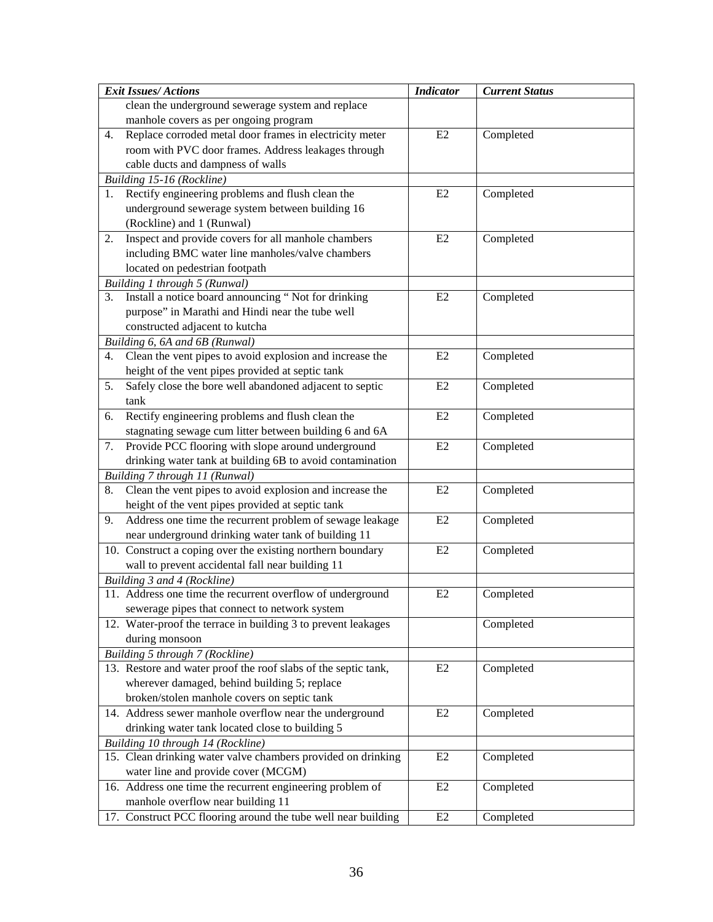| <b>Exit Issues/Actions</b> |                                                                | <b>Indicator</b> | <b>Current Status</b> |
|----------------------------|----------------------------------------------------------------|------------------|-----------------------|
|                            | clean the underground sewerage system and replace              |                  |                       |
|                            | manhole covers as per ongoing program                          |                  |                       |
| 4.                         | Replace corroded metal door frames in electricity meter        | E2               | Completed             |
|                            | room with PVC door frames. Address leakages through            |                  |                       |
|                            | cable ducts and dampness of walls                              |                  |                       |
|                            | Building 15-16 (Rockline)                                      |                  |                       |
| 1.                         | Rectify engineering problems and flush clean the               | E2               | Completed             |
|                            | underground sewerage system between building 16                |                  |                       |
|                            | (Rockline) and 1 (Runwal)                                      |                  |                       |
| 2.                         | Inspect and provide covers for all manhole chambers            | E2               | Completed             |
|                            | including BMC water line manholes/valve chambers               |                  |                       |
|                            | located on pedestrian footpath                                 |                  |                       |
|                            | Building 1 through 5 (Runwal)                                  |                  |                       |
| 3.                         | Install a notice board announcing "Not for drinking            | E2               | Completed             |
|                            | purpose" in Marathi and Hindi near the tube well               |                  |                       |
|                            | constructed adjacent to kutcha                                 |                  |                       |
|                            | Building 6, 6A and 6B (Runwal)                                 |                  |                       |
| 4.                         | Clean the vent pipes to avoid explosion and increase the       | E2               | Completed             |
|                            | height of the vent pipes provided at septic tank               |                  |                       |
| 5.                         | Safely close the bore well abandoned adjacent to septic        | E2               | Completed             |
| tank                       |                                                                |                  |                       |
| 6.                         | Rectify engineering problems and flush clean the               | E2               | Completed             |
|                            | stagnating sewage cum litter between building 6 and 6A         |                  |                       |
| 7.                         | Provide PCC flooring with slope around underground             | E2               | Completed             |
|                            | drinking water tank at building 6B to avoid contamination      |                  |                       |
|                            | Building 7 through 11 (Runwal)                                 |                  |                       |
| 8.                         | Clean the vent pipes to avoid explosion and increase the       | E2               | Completed             |
|                            | height of the vent pipes provided at septic tank               |                  |                       |
| 9.                         | Address one time the recurrent problem of sewage leakage       | E2               | Completed             |
|                            | near underground drinking water tank of building 11            |                  |                       |
|                            | 10. Construct a coping over the existing northern boundary     | E2               | Completed             |
|                            | wall to prevent accidental fall near building 11               |                  |                       |
|                            | Building 3 and 4 (Rockline)                                    |                  |                       |
|                            | 11. Address one time the recurrent overflow of underground     | E2               | Completed             |
|                            | sewerage pipes that connect to network system                  |                  |                       |
|                            | 12. Water-proof the terrace in building 3 to prevent leakages  |                  | Completed             |
|                            | during monsoon                                                 |                  |                       |
|                            | Building 5 through 7 (Rockline)                                |                  |                       |
|                            | 13. Restore and water proof the roof slabs of the septic tank, | E2               | Completed             |
|                            | wherever damaged, behind building 5; replace                   |                  |                       |
|                            | broken/stolen manhole covers on septic tank                    |                  |                       |
|                            | 14. Address sewer manhole overflow near the underground        | E2               | Completed             |
|                            | drinking water tank located close to building 5                |                  |                       |
|                            | Building 10 through 14 (Rockline)                              |                  |                       |
|                            | 15. Clean drinking water valve chambers provided on drinking   | E2               | Completed             |
|                            | water line and provide cover (MCGM)                            |                  |                       |
|                            | 16. Address one time the recurrent engineering problem of      | E2               | Completed             |
|                            | manhole overflow near building 11                              |                  |                       |
|                            | 17. Construct PCC flooring around the tube well near building  | E2               | Completed             |